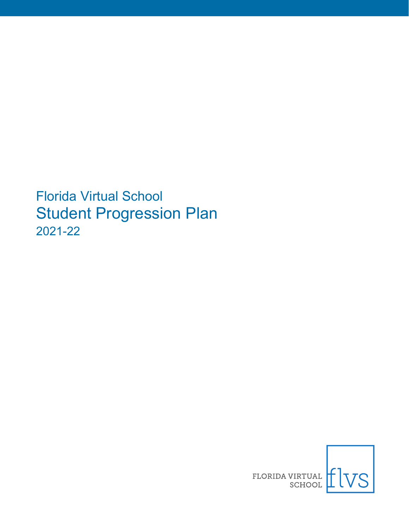Florida Virtual School Student Progression Plan 2021-22

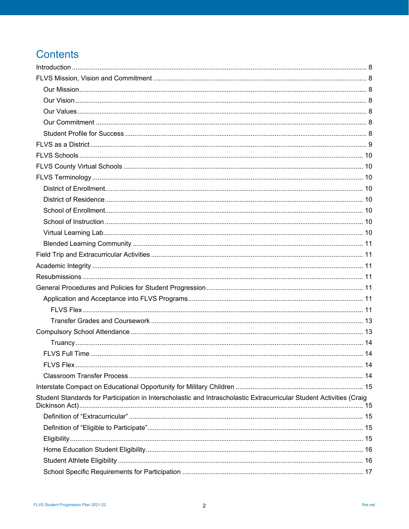# **Contents**

| Student Standards for Participation in Interscholastic and Intrascholastic Extracurricular Student Activities (Craig |  |
|----------------------------------------------------------------------------------------------------------------------|--|
|                                                                                                                      |  |
|                                                                                                                      |  |
|                                                                                                                      |  |
|                                                                                                                      |  |
|                                                                                                                      |  |
|                                                                                                                      |  |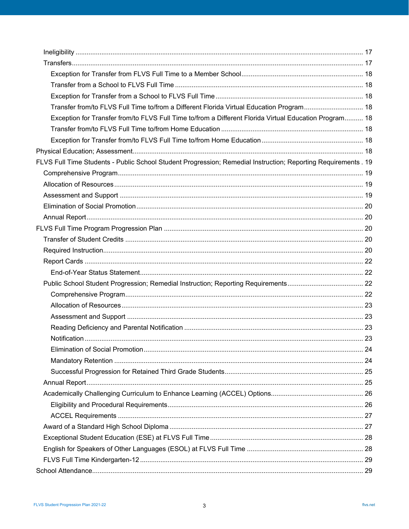| Transfer from/to FLVS Full Time to/from a Different Florida Virtual Education Program 18                      |  |
|---------------------------------------------------------------------------------------------------------------|--|
| Exception for Transfer from/to FLVS Full Time to/from a Different Florida Virtual Education Program 18        |  |
|                                                                                                               |  |
|                                                                                                               |  |
|                                                                                                               |  |
| FLVS Full Time Students - Public School Student Progression; Remedial Instruction; Reporting Requirements. 19 |  |
|                                                                                                               |  |
|                                                                                                               |  |
|                                                                                                               |  |
|                                                                                                               |  |
|                                                                                                               |  |
|                                                                                                               |  |
|                                                                                                               |  |
|                                                                                                               |  |
|                                                                                                               |  |
|                                                                                                               |  |
|                                                                                                               |  |
|                                                                                                               |  |
|                                                                                                               |  |
|                                                                                                               |  |
|                                                                                                               |  |
|                                                                                                               |  |
|                                                                                                               |  |
|                                                                                                               |  |
|                                                                                                               |  |
|                                                                                                               |  |
|                                                                                                               |  |
|                                                                                                               |  |
|                                                                                                               |  |
|                                                                                                               |  |
|                                                                                                               |  |
|                                                                                                               |  |
|                                                                                                               |  |
|                                                                                                               |  |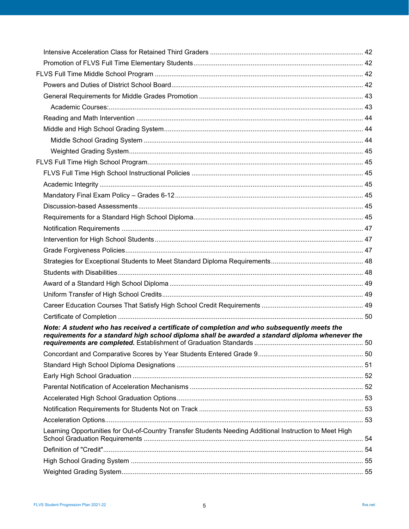| Note: A student who has received a certificate of completion and who subsequently meets the<br>requirements for a standard high school diploma shall be awarded a standard diploma whenever the |  |
|-------------------------------------------------------------------------------------------------------------------------------------------------------------------------------------------------|--|
|                                                                                                                                                                                                 |  |
|                                                                                                                                                                                                 |  |
|                                                                                                                                                                                                 |  |
|                                                                                                                                                                                                 |  |
|                                                                                                                                                                                                 |  |
|                                                                                                                                                                                                 |  |
|                                                                                                                                                                                                 |  |
| Learning Opportunities for Out-of-Country Transfer Students Needing Additional Instruction to Meet High                                                                                         |  |
|                                                                                                                                                                                                 |  |
|                                                                                                                                                                                                 |  |
|                                                                                                                                                                                                 |  |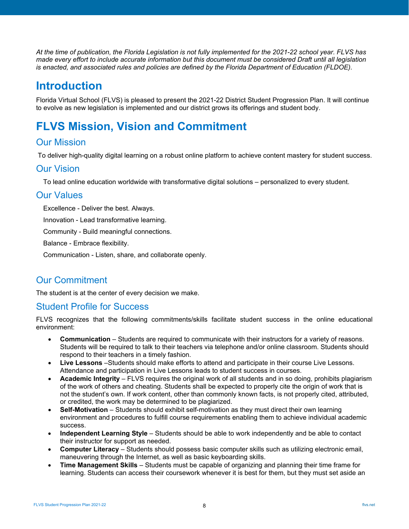*At the time of publication, the Florida Legislation is not fully implemented for the 2021-22 school year. FLVS has made every effort to include accurate information but this document must be considered Draft until all legislation is enacted, and associated rules and policies are defined by the Florida Department of Education (FLDOE).*

# <span id="page-7-0"></span>**Introduction**

Florida Virtual School (FLVS) is pleased to present the 2021-22 District Student Progression Plan. It will continue to evolve as new legislation is implemented and our district grows its offerings and student body.

# <span id="page-7-1"></span>**FLVS Mission, Vision and Commitment**

## <span id="page-7-2"></span>Our Mission

To deliver high-quality digital learning on a robust online platform to achieve content mastery for student success.

## <span id="page-7-3"></span>Our Vision

To lead online education worldwide with transformative digital solutions – personalized to every student.

## <span id="page-7-4"></span>Our Values

Excellence - Deliver the best. Always.

Innovation - Lead transformative learning.

Community - Build meaningful connections.

Balance - Embrace flexibility.

Communication - Listen, share, and collaborate openly.

# <span id="page-7-5"></span>Our Commitment

The student is at the center of every decision we make.

## <span id="page-7-6"></span>Student Profile for Success

FLVS recognizes that the following commitments/skills facilitate student success in the online educational environment:

- **Communication**  Students are required to communicate with their instructors for a variety of reasons. Students will be required to talk to their teachers via telephone and/or online classroom. Students should respond to their teachers in a timely fashion.
- **Live Lessons** –Students should make efforts to attend and participate in their course Live Lessons. Attendance and participation in Live Lessons leads to student success in courses.
- **Academic Integrity**  FLVS requires the original work of all students and in so doing, prohibits plagiarism of the work of others and cheating. Students shall be expected to properly cite the origin of work that is not the student's own. If work content, other than commonly known facts, is not properly cited, attributed, or credited, the work may be determined to be plagiarized.
- **Self-Motivation**  Students should exhibit self-motivation as they must direct their own learning environment and procedures to fulfill course requirements enabling them to achieve individual academic success.
- **Independent Learning Style**  Students should be able to work independently and be able to contact their instructor for support as needed.
- **Computer Literacy** Students should possess basic computer skills such as utilizing electronic email, maneuvering through the Internet, as well as basic keyboarding skills.
- **Time Management Skills**  Students must be capable of organizing and planning their time frame for learning. Students can access their coursework whenever it is best for them, but they must set aside an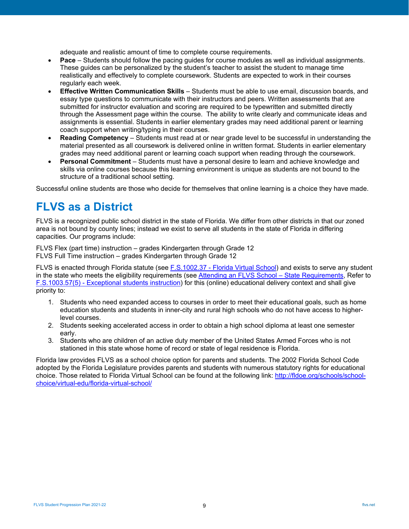adequate and realistic amount of time to complete course requirements.

- **Pace**  Students should follow the pacing guides for course modules as well as individual assignments. These guides can be personalized by the student's teacher to assist the student to manage time realistically and effectively to complete coursework. Students are expected to work in their courses regularly each week.
- **Effective Written Communication Skills**  Students must be able to use email, discussion boards, and essay type questions to communicate with their instructors and peers. Written assessments that are submitted for instructor evaluation and scoring are required to be typewritten and submitted directly through the Assessment page within the course. The ability to write clearly and communicate ideas and assignments is essential. Students in earlier elementary grades may need additional parent or learning coach support when writing/typing in their courses.
- **Reading Competency**  Students must read at or near grade level to be successful in understanding the material presented as all coursework is delivered online in written format. Students in earlier elementary grades may need additional parent or learning coach support when reading through the coursework.
- **Personal Commitment**  Students must have a personal desire to learn and achieve knowledge and skills via online courses because this learning environment is unique as students are not bound to the structure of a traditional school setting.

Successful online students are those who decide for themselves that online learning is a choice they have made.

# <span id="page-8-0"></span>**FLVS as a District**

FLVS is a recognized public school district in the state of Florida. We differ from other districts in that our zoned area is not bound by county lines; instead we exist to serve all students in the state of Florida in differing capacities. Our programs include:

FLVS Flex (part time) instruction – grades Kindergarten through Grade 12 FLVS Full Time instruction – grades Kindergarten through Grade 12

FLVS is enacted through Florida statute (see F.S.1002.37 - [Florida Virtual School\)](http://www.leg.state.fl.us/statutes/index.cfm?mode=View%20Statutes&SubMenu=1&App_mode=Display_Statute&Search_String=1002.37&URL=1000-1099/1002/Sections/1002.37.html) and exists to serve any student in the state who meets the eligibility requirements (see [Attending an FLVS School –](https://www.flvs.net/flex/faqs) State Requirements, Refer to F.S.1003.57(5) - [Exceptional students instruction\)](http://www.leg.state.fl.us/statutes/index.cfm?App_mode=Display_Statute&URL=1000-1099/1003/Sections/1003.57.html) for this (online) educational delivery context and shall give priority to:

- 1. Students who need expanded access to courses in order to meet their educational goals, such as home education students and students in inner-city and rural high schools who do not have access to higherlevel courses.
- 2. Students seeking accelerated access in order to obtain a high school diploma at least one semester early.
- 3. Students who are children of an active duty member of the United States Armed Forces who is not stationed in this state whose home of record or state of legal residence is Florida.

Florida law provides FLVS as a school choice option for parents and students. The 2002 Florida School Code adopted by the Florida Legislature provides parents and students with numerous statutory rights for educational choice. Those related to Florida Virtual School can be found at the following link: [http://fldoe.org/schools/school](http://fldoe.org/schools/school-choice/virtual-edu/florida-virtual-school/)[choice/virtual-edu/florida-virtual-school/](http://fldoe.org/schools/school-choice/virtual-edu/florida-virtual-school/)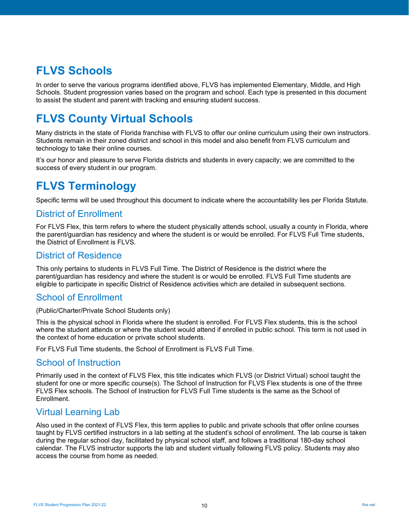# <span id="page-9-0"></span>**FLVS Schools**

In order to serve the various programs identified above, FLVS has implemented Elementary, Middle, and High Schools. Student progression varies based on the program and school. Each type is presented in this document to assist the student and parent with tracking and ensuring student success.

# <span id="page-9-1"></span>**FLVS County Virtual Schools**

Many districts in the state of Florida franchise with FLVS to offer our online curriculum using their own instructors. Students remain in their zoned district and school in this model and also benefit from FLVS curriculum and technology to take their online courses.

It's our honor and pleasure to serve Florida districts and students in every capacity; we are committed to the success of every student in our program.

# <span id="page-9-2"></span>**FLVS Terminology**

Specific terms will be used throughout this document to indicate where the accountability lies per Florida Statute.

## <span id="page-9-3"></span>District of Enrollment

For FLVS Flex, this term refers to where the student physically attends school, usually a county in Florida, where the parent/guardian has residency and where the student is or would be enrolled. For FLVS Full Time students, the District of Enrollment is FLVS.

## <span id="page-9-4"></span>District of Residence

This only pertains to students in FLVS Full Time. The District of Residence is the district where the parent/guardian has residency and where the student is or would be enrolled. FLVS Full Time students are eligible to participate in specific District of Residence activities which are detailed in subsequent sections.

## <span id="page-9-5"></span>School of Enrollment

(Public/Charter/Private School Students only)

This is the physical school in Florida where the student is enrolled. For FLVS Flex students, this is the school where the student attends or where the student would attend if enrolled in public school. This term is not used in the context of home education or private school students.

For FLVS Full Time students, the School of Enrollment is FLVS Full Time.

## <span id="page-9-6"></span>School of Instruction

Primarily used in the context of FLVS Flex, this title indicates which FLVS (or District Virtual) school taught the student for one or more specific course(s). The School of Instruction for FLVS Flex students is one of the three FLVS Flex schools. The School of Instruction for FLVS Full Time students is the same as the School of Enrollment.

## <span id="page-9-7"></span>Virtual Learning Lab

Also used in the context of FLVS Flex, this term applies to public and private schools that offer online courses taught by FLVS certified instructors in a lab setting at the student's school of enrollment. The lab course is taken during the regular school day, facilitated by physical school staff, and follows a traditional 180-day school calendar. The FLVS instructor supports the lab and student virtually following FLVS policy. Students may also access the course from home as needed.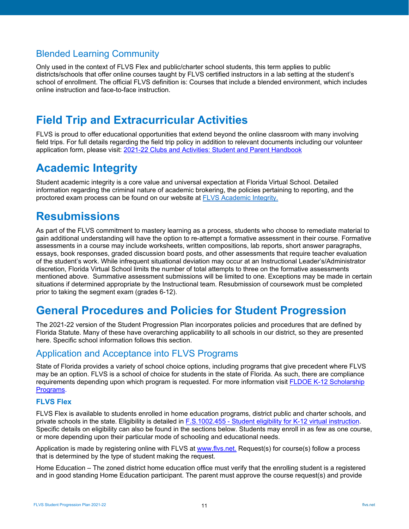# <span id="page-10-0"></span>Blended Learning Community

Only used in the context of FLVS Flex and public/charter school students, this term applies to public districts/schools that offer online courses taught by FLVS certified instructors in a lab setting at the student's school of enrollment. The official FLVS definition is: Courses that include a blended environment, which includes online instruction and face-to-face instruction.

# <span id="page-10-1"></span>**Field Trip and Extracurricular Activities**

FLVS is proud to offer educational opportunities that extend beyond the online classroom with many involving field trips. For full details regarding the field trip policy in addition to relevant documents including our volunteer application form, please visit: [2021-22 Clubs and Activities: Student and Parent Handbook](https://flvs.box.com/s/5mnnvwpqs02jxus6z6apzfyei5c6ygsq)

# <span id="page-10-2"></span>**Academic Integrity**

Student academic integrity is a core value and universal expectation at Florida Virtual School. Detailed information regarding the criminal nature of academic brokering, the policies pertaining to reporting, and the proctored exam process can be found on our website at [FLVS Academic Integrity.](https://www.flvs.net/student-resources/academic-integrity)

# <span id="page-10-3"></span>**Resubmissions**

As part of the FLVS commitment to mastery learning as a process, students who choose to remediate material to gain additional understanding will have the option to re-attempt a formative assessment in their course. Formative assessments in a course may include worksheets, written compositions, lab reports, short answer paragraphs, essays, book responses, graded discussion board posts, and other assessments that require teacher evaluation of the student's work. While infrequent situational deviation may occur at an Instructional Leader's/Administrator discretion, Florida Virtual School limits the number of total attempts to three on the formative assessments mentioned above. Summative assessment submissions will be limited to one. Exceptions may be made in certain situations if determined appropriate by the Instructional team. Resubmission of coursework must be completed prior to taking the segment exam (grades 6-12).

# <span id="page-10-4"></span>**General Procedures and Policies for Student Progression**

The 2021-22 version of the Student Progression Plan incorporates policies and procedures that are defined by Florida Statute. Many of these have overarching applicability to all schools in our district, so they are presented here. Specific school information follows this section.

## <span id="page-10-5"></span>Application and Acceptance into FLVS Programs

State of Florida provides a variety of school choice options, including programs that give precedent where FLVS may be an option. FLVS is a school of choice for students in the state of Florida. As such, there are compliance requirements depending upon which program is requested. For more information visit FLDOE K-12 Scholarship [Programs.](http://www.fldoe.org/schools/school-choice/k-12-scholarship-programs)

## <span id="page-10-6"></span>**FLVS Flex**

FLVS Flex is available to students enrolled in home education programs, district public and charter schools, and private schools in the state. Eligibility is detailed in F.S.1002.455 - [Student eligibility for K-12 virtual instruction.](http://www.leg.state.fl.us/statutes/index.cfm?App_mode=Display_Statute&URL=1000-1099/1002/Sections/1002.455.html) Specific details on eligibility can also be found in the sections below. Students may enroll in as few as one course, or more depending upon their particular mode of schooling and educational needs.

Application is made by registering online with FLVS at [www.flvs.net.](http://www.flvs.net/) Request(s) for course(s) follow a process that is determined by the type of student making the request.

Home Education – The zoned district home education office must verify that the enrolling student is a registered and in good standing Home Education participant. The parent must approve the course request(s) and provide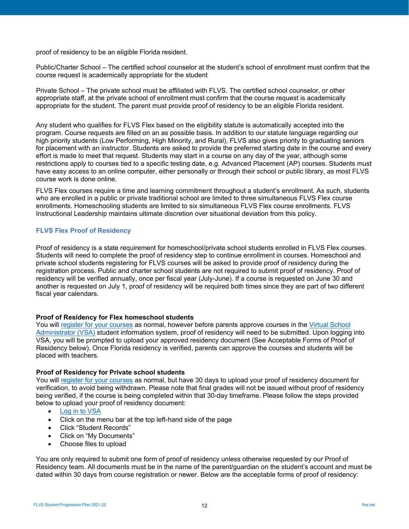proof of residency to be an eligible Florida resident.

Public/Charter School – The certified school counselor at the student's school of enrollment must confirm that the course request is academically appropriate for the student

Private School – The private school must be affiliated with FLVS. The certified school counselor, or other appropriate staff, at the private school of enrollment must confirm that the course request is academically appropriate for the student. The parent must provide proof of residency to be an eligible Florida resident.

Any student who qualifies for FLVS Flex based on the eligibility statute is automatically accepted into the program. Course requests are filled on an as possible basis. In addition to our statute language regarding our high priority students (Low Performing, High Minority, and Rural), FLVS also gives priority to graduating seniors for placement with an instructor. Students are asked to provide the preferred starting date in the course and every effort is made to meet that request. Students may start in a course on any day of the year, although some restrictions apply to courses tied to a specific testing date, e.g. Advanced Placement (AP) courses. Students must have easy access to an online computer, either personally or through their school or public library, as most FLVS course work is done online.

FLVS Flex courses require a time and learning commitment throughout a student's enrollment. As such, students who are enrolled in a public or private traditional school are limited to three simultaneous FLVS Flex course enrollments. Homeschooling students are limited to six simultaneous FLVS Flex course enrollments. FLVS Instructional Leadership maintains ultimate discretion over situational deviation from this policy.

#### **FLVS Flex Proof of Residency**

Proof of residency is a state requirement for homeschool/private school students enrolled in FLVS Flex courses. Students will need to complete the proof of residency step to continue enrollment in courses. Homeschool and private school students registering for FLVS courses will be asked to provide proof of residency during the registration process. Public and charter school students are not required to submit proof of residency. Proof of residency will be verified annually, once per fiscal year (July-June). If a course is requested on June 30 and another is requested on July 1, proof of residency will be required both times since they are part of two different fiscal year calendars.

#### **Proof of Residency for Flex homeschool students**

You will [register for your courses](https://www.flvs.net/flex/enroll) as normal, however before parents approve courses in the [Virtual School](https://vsa.flvs.net/)  [Administrator \(VSA\)](https://vsa.flvs.net/) student information system, proof of residency will need to be submitted. Upon logging into VSA, you will be prompted to upload your approved residency document (See Acceptable Forms of Proof of Residency below). Once Florida residency is verified, parents can approve the courses and students will be placed with teachers.

#### **Proof of Residency for Private school students**

You will [register for your courses](https://www.flvs.net/flex/enroll) as normal, but have 30 days to upload your proof of residency document for verification, to avoid being withdrawn. Please note that final grades will not be issued without proof of residency being verified, if the course is being completed within that 30-day timeframe. Please follow the steps provided below to upload your proof of residency document:

- [Log in to VSA](https://vsa.flvs.net/)
- Click on the menu bar at the top left-hand side of the page
- Click "Student Records"
- Click on "My Documents"
- Choose files to upload

You are only required to submit one form of proof of residency unless otherwise requested by our Proof of Residency team. All documents must be in the name of the parent/guardian on the student's account and must be dated within 30 days from course registration or newer. Below are the acceptable forms of proof of residency: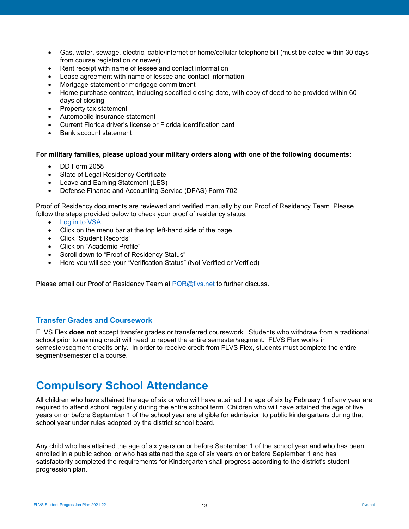- Gas, water, sewage, electric, cable/internet or home/cellular telephone bill (must be dated within 30 days from course registration or newer)
- Rent receipt with name of lessee and contact information
- Lease agreement with name of lessee and contact information
- Mortgage statement or mortgage commitment
- Home purchase contract, including specified closing date, with copy of deed to be provided within 60 days of closing
- Property tax statement
- Automobile insurance statement
- Current Florida driver's license or Florida identification card
- Bank account statement

#### **For military families, please upload your military orders along with one of the following documents:**

- DD Form 2058
- **State of Legal Residency Certificate**
- Leave and Earning Statement (LES)
- Defense Finance and Accounting Service (DFAS) Form 702

Proof of Residency documents are reviewed and verified manually by our Proof of Residency Team. Please follow the steps provided below to check your proof of residency status:

- **[Log in to VSA](https://vsa.flvs.net/)**
- Click on the menu bar at the top left-hand side of the page
- Click "Student Records"
- Click on "Academic Profile"
- Scroll down to "Proof of Residency Status"
- Here you will see your "Verification Status" (Not Verified or Verified)

Please email our Proof of Residency Team at [POR@flvs.net](mailto:POR@flvs.net) to further discuss.

#### <span id="page-12-0"></span>**Transfer Grades and Coursework**

FLVS Flex **does not** accept transfer grades or transferred coursework. Students who withdraw from a traditional school prior to earning credit will need to repeat the entire semester/segment. FLVS Flex works in semester/segment credits only. In order to receive credit from FLVS Flex, students must complete the entire segment/semester of a course.

# <span id="page-12-1"></span>**Compulsory School Attendance**

All children who have attained the age of six or who will have attained the age of six by February 1 of any year are required to attend school regularly during the entire school term. Children who will have attained the age of five years on or before September 1 of the school year are eligible for admission to public kindergartens during that school year under rules adopted by the district school board.

Any child who has attained the age of six years on or before September 1 of the school year and who has been enrolled in a public school or who has attained the age of six years on or before September 1 and has satisfactorily completed the requirements for Kindergarten shall progress according to the district's student progression plan.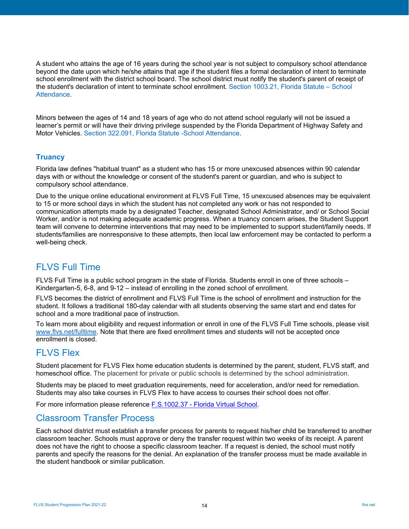A student who attains the age of 16 years during the school year is not subject to compulsory school attendance beyond the date upon which he/she attains that age if the student files a formal declaration of intent to terminate school enrollment with the district school board. The school district must notify the student's parent of receipt of the student's declaration of intent to terminate school enrollment[. Section 1003.21, Florida Statute](http://www.flsenate.gov/Laws/Statutes/2018/1003.21) – School Attendance.

Minors between the ages of 14 and 18 years of age who do not attend school regularly will not be issued a learner's permit or will have their driving privilege suspended by the Florida Department of Highway Safety and Motor Vehicles. [Section 322.091, Florida Statute](http://www.flsenate.gov/Laws/Statutes/2017/322.091) -School Attendance.

## <span id="page-13-0"></span>**Truancy**

Florida law defines "habitual truant" as a student who has 15 or more unexcused absences within 90 calendar days with or without the knowledge or consent of the student's parent or guardian, and who is subject to compulsory school attendance.

Due to the unique online educational environment at FLVS Full Time, 15 unexcused absences may be equivalent to 15 or more school days in which the student has not completed any work or has not responded to communication attempts made by a designated Teacher, designated School Administrator, and/ or School Social Worker, and/or is not making adequate academic progress. When a truancy concern arises, the Student Support team will convene to determine interventions that may need to be implemented to support student/family needs. If students/families are nonresponsive to these attempts, then local law enforcement may be contacted to perform a well-being check.

# <span id="page-13-1"></span>FLVS Full Time

FLVS Full Time is a public school program in the state of Florida. Students enroll in one of three schools – Kindergarten-5, 6-8, and 9-12 – instead of enrolling in the zoned school of enrollment.

FLVS becomes the district of enrollment and FLVS Full Time is the school of enrollment and instruction for the student. It follows a traditional 180-day calendar with all students observing the same start and end dates for school and a more traditional pace of instruction.

To learn more about eligibility and request information or enroll in one of the FLVS Full Time schools, please visit [www.flvs.net/fulltime.](http://www.flvs.net/fulltime) Note that there are fixed enrollment times and students will not be accepted once enrollment is closed.

## <span id="page-13-2"></span>FLVS Flex

Student placement for FLVS Flex home education students is determined by the parent, student, FLVS staff, and homeschool office. The placement for private or public schools is determined by the school administration.

Students may be placed to meet graduation requirements, need for acceleration, and/or need for remediation. Students may also take courses in FLVS Flex to have access to courses their school does not offer.

For more information please reference **F.S.1002.37 - [Florida Virtual School.](http://www.leg.state.fl.us/Statutes/index.cfm?App_mode=Display_Statute&URL=1000-1099/1002/Sections/1002.37.html)** 

## <span id="page-13-3"></span>Classroom Transfer Process

Each school district must establish a transfer process for parents to request his/her child be transferred to another classroom teacher. Schools must approve or deny the transfer request within two weeks of its receipt. A parent does not have the right to choose a specific classroom teacher. If a request is denied, the school must notify parents and specify the reasons for the denial. An explanation of the transfer process must be made available in the student handbook or similar publication.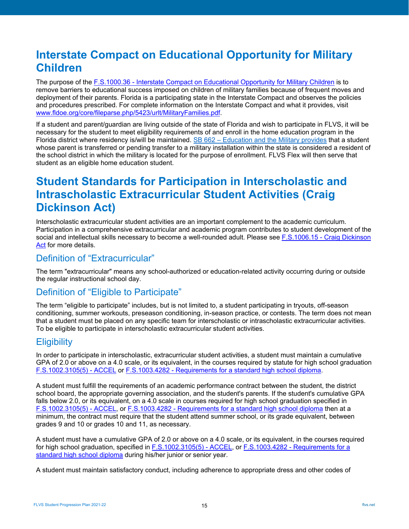# <span id="page-14-0"></span>**Interstate Compact on Educational Opportunity for Military Children**

The purpose of the F.S.1000.36 - [Interstate Compact on Educational Opportunity for](http://www.leg.state.fl.us/statutes/index.cfm?mode=View%20Statutes&SubMenu=1&App_mode=Display_Statute&Search_String=1000.36&URL=1000-1099/1000/Sections/1000.36.html) Military Children is to remove barriers to educational success imposed on children of military families because of frequent moves and deployment of their parents. Florida is a participating state in the Interstate Compact and observes the policies and procedures prescribed. For complete information on the Interstate Compact and what it provides, visit [www.fldoe.org/core/fileparse.php/5423/urlt/MilitaryFamilies.pdf.](http://www.fldoe.org/core/fileparse.php/5423/urlt/MilitaryFamilies.pdf)

If a student and parent/guardian are living outside of the state of Florida and wish to participate in FLVS, it will be necessary for the student to meet eligibility requirements of and enroll in the home education program in the Florida district where residency is/will be maintained. SB 662 – [Education and the Military provides](https://www.flsenate.gov/Session/Bill/2020/662) that a student whose parent is transferred or pending transfer to a military installation within the state is considered a resident of the school district in which the military is located for the purpose of enrollment. FLVS Flex will then serve that student as an eligible home education student.

# <span id="page-14-1"></span>**Student Standards for Participation in Interscholastic and Intrascholastic Extracurricular Student Activities (Craig Dickinson Act)**

Interscholastic extracurricular student activities are an important complement to the academic curriculum. Participation in a comprehensive extracurricular and academic program contributes to student development of the social and intellectual skills necessary to become a well-rounded adult. Please see F.S.1006.15 - [Craig Dickinson](http://www.leg.state.fl.us/statutes/index.cfm?App_mode=Display_Statute&URL=1000-1099/1006/Sections/1006.15.html)  [Act](http://www.leg.state.fl.us/statutes/index.cfm?App_mode=Display_Statute&URL=1000-1099/1006/Sections/1006.15.html) for more details.

## <span id="page-14-2"></span>Definition of "Extracurricular"

The term "extracurricular" means any school-authorized or education-related activity occurring during or outside the regular instructional school day.

## <span id="page-14-3"></span>Definition of "Eligible to Participate"

The term "eligible to participate" includes, but is not limited to, a student participating in tryouts, off-season conditioning, summer workouts, preseason conditioning, in-season practice, or contests. The term does not mean that a student must be placed on any specific team for interscholastic or intrascholastic extracurricular activities. To be eligible to participate in interscholastic extracurricular student activities.

## <span id="page-14-4"></span>**Eligibility**

In order to participate in interscholastic, extracurricular student activities, a student must maintain a cumulative GPA of 2.0 or above on a 4.0 scale, or its equivalent, in the courses required by statute for high school graduation [F.S.1002.3105\(5\) -](http://www.leg.state.fl.us/Statutes/index.cfm?App_mode=Display_Statute&URL=1000-1099/1002/Sections/1002.3105.html) ACCEL or F.S.1003.4282 - [Requirements for a standard high school diploma.](http://www.leg.state.fl.us/Statutes/index.cfm?App_mode=Display_Statute&URL=1000-1099/1003/Sections/1003.4282.html)

A student must fulfill the requirements of an academic performance contract between the student, the district school board, the appropriate governing association, and the student's parents. If the student's cumulative GPA falls below 2.0, or its equivalent, on a 4.0 scale in courses required for high school graduation specified in [F.S.1002.3105\(5\) -](http://www.leg.state.fl.us/Statutes/index.cfm?App_mode=Display_Statute&URL=1000-1099/1002/Sections/1002.3105.html) ACCEL, or F.S.1003.4282 - [Requirements for a standard high school diploma](http://www.leg.state.fl.us/Statutes/index.cfm?App_mode=Display_Statute&URL=1000-1099/1003/Sections/1003.4282.html) then at a minimum, the contract must require that the student attend summer school, or its grade equivalent, between grades 9 and 10 or grades 10 and 11, as necessary.

A student must have a cumulative GPA of 2.0 or above on a 4.0 scale, or its equivalent, in the courses required for high school graduation, specified in [F.S.1002.3105\(5\) -](http://www.leg.state.fl.us/Statutes/index.cfm?App_mode=Display_Statute&URL=1000-1099/1002/Sections/1002.3105.html) ACCEL, or F.S.1003.4282 - [Requirements for a](http://www.leg.state.fl.us/Statutes/index.cfm?App_mode=Display_Statute&URL=1000-1099/1003/Sections/1003.4282.html)  [standard high school diploma](http://www.leg.state.fl.us/Statutes/index.cfm?App_mode=Display_Statute&URL=1000-1099/1003/Sections/1003.4282.html) during his/her junior or senior year.

A student must maintain satisfactory conduct, including adherence to appropriate dress and other codes of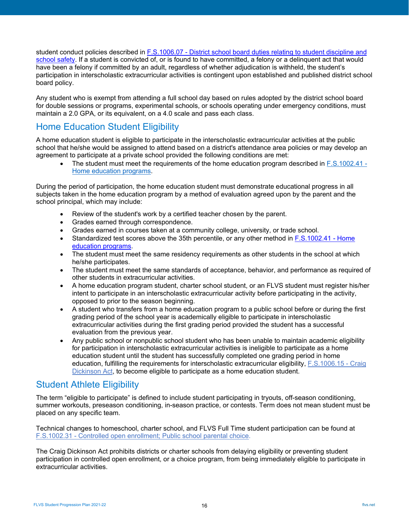student conduct policies described in F.S.1006.07 - [District school board duties relating to student discipline and](http://www.leg.state.fl.us/statutes/index.cfm?mode=View%20Statutes&SubMenu=1&App_mode=Display_Statute&Search_String=1006.07&URL=1000-1099/1006/Sections/1006.07.html)  [school safety.](http://www.leg.state.fl.us/statutes/index.cfm?mode=View%20Statutes&SubMenu=1&App_mode=Display_Statute&Search_String=1006.07&URL=1000-1099/1006/Sections/1006.07.html) If a student is convicted of, or is found to have committed, a felony or a delinquent act that would have been a felony if committed by an adult, regardless of whether adjudication is withheld, the student's participation in interscholastic extracurricular activities is contingent upon established and published district school board policy.

Any student who is exempt from attending a full school day based on rules adopted by the district school board for double sessions or programs, experimental schools, or schools operating under emergency conditions, must maintain a 2.0 GPA, or its equivalent, on a 4.0 scale and pass each class.

## <span id="page-15-0"></span>Home Education Student Eligibility

A home education student is eligible to participate in the interscholastic extracurricular activities at the public school that he/she would be assigned to attend based on a district's attendance area policies or may develop an agreement to participate at a private school provided the following conditions are met:

• The student must meet the requirements of the home education program described in [F.S.1002.41 -](http://www.leg.state.fl.us/statutes/index.cfm?mode=View%20Statutes&SubMenu=1&App_mode=Display_Statute&Search_String=1002.41&URL=1000-1099/1002/Sections/1002.41.html) [Home education programs.](http://www.leg.state.fl.us/statutes/index.cfm?mode=View%20Statutes&SubMenu=1&App_mode=Display_Statute&Search_String=1002.41&URL=1000-1099/1002/Sections/1002.41.html)

During the period of participation, the home education student must demonstrate educational progress in all subjects taken in the home education program by a method of evaluation agreed upon by the parent and the school principal, which may include:

- Review of the student's work by a certified teacher chosen by the parent.
- Grades earned through correspondence.
- Grades earned in courses taken at a community college, university, or trade school.
- Standardized test scores above the 35th percentile, or any other method in [F.S.1002.41 -](http://www.leg.state.fl.us/statutes/index.cfm?mode=View%20Statutes&SubMenu=1&App_mode=Display_Statute&Search_String=1002.41&URL=1000-1099/1002/Sections/1002.41.html) Home [education programs.](http://www.leg.state.fl.us/statutes/index.cfm?mode=View%20Statutes&SubMenu=1&App_mode=Display_Statute&Search_String=1002.41&URL=1000-1099/1002/Sections/1002.41.html)
- The student must meet the same residency requirements as other students in the school at which he/she participates.
- The student must meet the same standards of acceptance, behavior, and performance as required of other students in extracurricular activities.
- A home education program student, charter school student, or an FLVS student must register his/her intent to participate in an interscholastic extracurricular activity before participating in the activity, opposed to prior to the season beginning.
- A student who transfers from a home education program to a public school before or during the first grading period of the school year is academically eligible to participate in interscholastic extracurricular activities during the first grading period provided the student has a successful evaluation from the previous year.
- Any public school or nonpublic school student who has been unable to maintain academic eligibility for participation in interscholastic extracurricular activities is ineligible to participate as a home education student until the student has successfully completed one grading period in home education, fulfilling the requirements for interscholastic extracurricular eligibility, [F.S.1006.15 -](http://www.leg.state.fl.us/statutes/index.cfm?App_mode=Display_Statute&URL=1000-1099/1006/Sections/1006.15.html) Craig [Dickinson Act,](http://www.leg.state.fl.us/statutes/index.cfm?App_mode=Display_Statute&URL=1000-1099/1006/Sections/1006.15.html) to become eligible to participate as a home education student.

# <span id="page-15-1"></span>Student Athlete Eligibility

The term "eligible to participate" is defined to include student participating in tryouts, off-season conditioning, summer workouts, preseason conditioning, in-season practice, or contests. Term does not mean student must be placed on any specific team.

Technical changes to homeschool, charter school, and FLVS Full Time student participation can be found at F.S.1002.31 - [Controlled open enrollment; Public school parental choice.](http://www.leg.state.fl.us/statutes/index.cfm?mode=View%20Statutes&SubMenu=1&App_mode=Display_Statute&Search_String=1002.31&URL=1000-1099/1002/Sections/1002.31.html)

The Craig Dickinson Act prohibits districts or charter schools from delaying eligibility or preventing student participation in controlled open enrollment, or a choice program, from being immediately eligible to participate in extracurricular activities.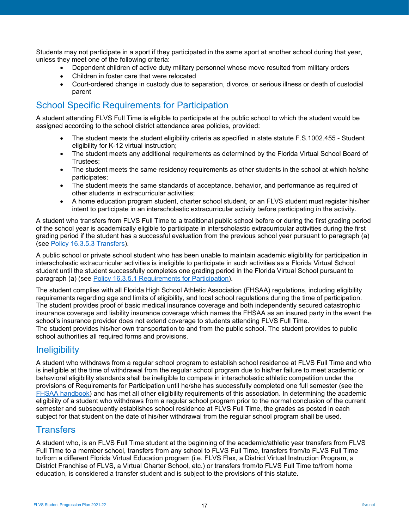Students may not participate in a sport if they participated in the same sport at another school during that year, unless they meet one of the following criteria:

- Dependent children of active duty military personnel whose move resulted from military orders
- Children in foster care that were relocated
- Court-ordered change in custody due to separation, divorce, or serious illness or death of custodial parent

## <span id="page-16-0"></span>School Specific Requirements for Participation

A student attending FLVS Full Time is eligible to participate at the public school to which the student would be assigned according to the school district attendance area policies, provided:

- The student meets the student eligibility criteria as specified in state statute [F.S.1002.455 -](http://www.leg.state.fl.us/statutes/index.cfm?App_mode=Display_Statute&URL=1000-1099/1002/Sections/1002.455.html) Student [eligibility for K-12 virtual instruction;](http://www.leg.state.fl.us/statutes/index.cfm?App_mode=Display_Statute&URL=1000-1099/1002/Sections/1002.455.html)
- The student meets any additional requirements as determined by the Florida Virtual School Board of Trustees;
- The student meets the same residency requirements as other students in the school at which he/she participates;
- The student meets the same standards of acceptance, behavior, and performance as required of other students in extracurricular activities;
- A home education program student, charter school student, or an FLVS student must register his/her intent to participate in an interscholastic extracurricular activity before participating in the activity.

A student who transfers from FLVS Full Time to a traditional public school before or during the first grading period of the school year is academically eligible to participate in interscholastic extracurricular activities during the first grading period if the student has a successful evaluation from the previous school year pursuant to paragraph (a) (see [Policy 16.3.5.3 Transfers\)](https://www.fhsaa.org/sites/default/files/attachments/2011/09/26/node-6591/policy_16_flvs-ft_-_pr_2.pdf).

A public school or private school student who has been unable to maintain academic eligibility for participation in interscholastic extracurricular activities is ineligible to participate in such activities as a Florida Virtual School student until the student successfully completes one grading period in the Florida Virtual School pursuant to paragraph (a) (see [Policy 16.3.5.1 Requirements for Participation\)](https://www.fhsaa.org/sites/default/files/attachments/2011/09/26/node-6591/policy_16_flvs-ft_-_pr_2.pdf).

The student complies with all Florida High School Athletic Association (FHSAA) regulations, including eligibility requirements regarding age and limits of eligibility, and local school regulations during the time of participation. The student provides proof of basic medical insurance coverage and both independently secured catastrophic insurance coverage and liability insurance coverage which names the FHSAA as an insured party in the event the school's insurance provider does not extend coverage to students attending FLVS Full Time. The student provides his/her own transportation to and from the public school. The student provides to public school authorities all required forms and provisions.

## <span id="page-16-1"></span>**Ineligibility**

A student who withdraws from a regular school program to establish school residence at FLVS Full Time and who is ineligible at the time of withdrawal from the regular school program due to his/her failure to meet academic or behavioral eligibility standards shall be ineligible to compete in interscholastic athletic competition under the provisions of Requirements for Participation until he/she has successfully completed one full semester (see the [FHSAA handbook\)](https://www.fhsaa.org/rules/fhsaa-handbook) and has met all other eligibility requirements of this association. In determining the academic eligibility of a student who withdraws from a regular school program prior to the normal conclusion of the current semester and subsequently establishes school residence at FLVS Full Time, the grades as posted in each subject for that student on the date of his/her withdrawal from the regular school program shall be used.

## <span id="page-16-2"></span>**Transfers**

A student who, is an FLVS Full Time student at the beginning of the academic/athletic year transfers from FLVS Full Time to a member school, transfers from any school to FLVS Full Time, transfers from/to FLVS Full Time to/from a different Florida Virtual Education program (i.e. FLVS Flex, a District Virtual Instruction Program, a District Franchise of FLVS, a Virtual Charter School, etc.) or transfers from/to FLVS Full Time to/from home education, is considered a transfer student and is subject to the provisions of this statute.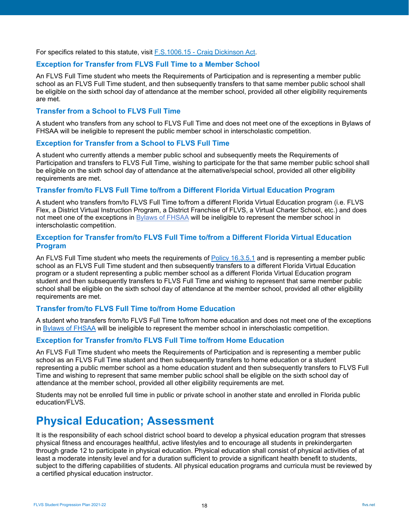For specifics related to this statute, visit F.S.1006.15 - [Craig Dickinson Act.](http://www.leg.state.fl.us/statutes/index.cfm?App_mode=Display_Statute&URL=1000-1099/1006/Sections/1006.15.html)

### <span id="page-17-0"></span>**Exception for Transfer from FLVS Full Time to a Member School**

An FLVS Full Time student who meets the Requirements of Participation and is representing a member public school as an FLVS Full Time student, and then subsequently transfers to that same member public school shall be eligible on the sixth school day of attendance at the member school, provided all other eligibility requirements are met.

#### <span id="page-17-1"></span>**Transfer from a School to FLVS Full Time**

A student who transfers from any school to FLVS Full Time and does not meet one of the exceptions in [Bylaws of](http://s3.amazonaws.com/vnn-aws-sites/10661/files/2017/07/7aaa1d73d1331e72-2017-2018-FHSAA-Hanbook.pdf)  [FHSAA](http://s3.amazonaws.com/vnn-aws-sites/10661/files/2017/07/7aaa1d73d1331e72-2017-2018-FHSAA-Hanbook.pdf) will be ineligible to represent the public member school in interscholastic competition.

#### <span id="page-17-2"></span>**Exception for Transfer from a School to FLVS Full Time**

A student who currently attends a member public school and subsequently meets the Requirements of Participation and transfers to FLVS Full Time, wishing to participate for the that same member public school shall be eligible on the sixth school day of attendance at the alternative/special school, provided all other eligibility requirements are met.

#### <span id="page-17-3"></span>**Transfer from/to FLVS Full Time to/from a Different Florida Virtual Education Program**

A student who transfers from/to FLVS Full Time to/from a different Florida Virtual Education program (i.e. FLVS Flex, a District Virtual Instruction Program, a District Franchise of FLVS, a Virtual Charter School, etc.) and does not meet one of the exceptions in Bylaws [of FHSAA](https://www.fhsaa.org/rules/fhsaa-handbook) will be ineligible to represent the member school in interscholastic competition.

### <span id="page-17-4"></span>**Exception for Transfer from/to FLVS Full Time to/from a Different Florida Virtual Education Program**

An FLVS Full Time student who meets the requirements of [Policy 16.3.5.1](https://www.fhsaa.org/sites/default/files/attachments/2011/09/26/node-6591/policy_16_flvs-ft_-_pr_2.pdf) and is representing a member public school as an FLVS Full Time student and then subsequently transfers to a different Florida Virtual Education program or a student representing a public member school as a different Florida Virtual Education program student and then subsequently transfers to FLVS Full Time and wishing to represent that same member public school shall be eligible on the sixth school day of attendance at the member school, provided all other eligibility requirements are met.

### <span id="page-17-5"></span>**Transfer from/to FLVS Full Time to/from Home Education**

A student who transfers from/to FLVS Full Time to/from home education and does not meet one of the exceptions in [Bylaws of FHSAA](https://www.fhsaa.org/rules/fhsaa-handbook) will be ineligible to represent the member school in interscholastic competition.

### <span id="page-17-6"></span>**Exception for Transfer from/to FLVS Full Time to/from Home Education**

An FLVS Full Time student who meets the Requirements of Participation and is representing a member public school as an FLVS Full Time student and then subsequently transfers to home education or a student representing a public member school as a home education student and then subsequently transfers to FLVS Full Time and wishing to represent that same member public school shall be eligible on the sixth school day of attendance at the member school, provided all other eligibility requirements are met.

Students may not be enrolled full time in public or private school in another state and enrolled in Florida public education/FLVS.

# <span id="page-17-7"></span>**Physical Education; Assessment**

It is the responsibility of each school district school board to develop a physical education program that stresses physical fitness and encourages healthful, active lifestyles and to encourage all students in prekindergarten through grade 12 to participate in physical education. Physical education shall consist of physical activities of at least a moderate intensity level and for a duration sufficient to provide a significant health benefit to students, subject to the differing capabilities of students. All physical education programs and curricula must be reviewed by a certified physical education instructor.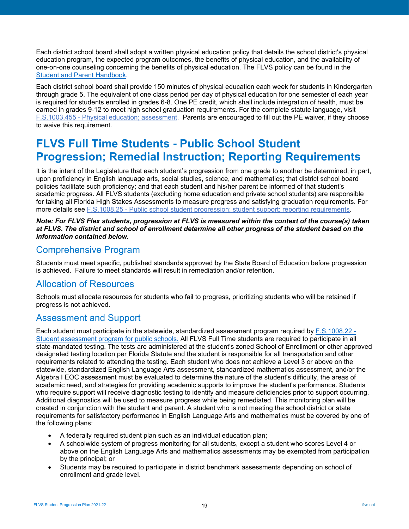Each district school board shall adopt a written physical education policy that details the school district's physical education program, the expected program outcomes, the benefits of physical education, and the availability of one-on-one counseling concerning the benefits of physical education. The FLVS policy can be found in the [Student and Parent Handbook.](https://www.flvs.net/docs/default-source/district/student_parent_handbook.pdf?sfvrsn=50be7a2a_32)

Each district school board shall provide 150 minutes of physical education each week for students in Kindergarten through grade 5. The equivalent of one class period per day of physical education for one semester of each year is required for students enrolled in grades 6-8. One PE credit, which shall include integration of health, must be earned in grades 9-12 to meet high school graduation requirements. For the complete statute language, visit F.S.1003.455 - [Physical education; assessment.](http://www.leg.state.fl.us/statutes/index.cfm?mode=View%20Statutes&SubMenu=1&App_mode=Display_Statute&Search_String=1003.455&URL=1000-1099/1003/Sections/1003.455.html) Parents are encouraged to fill out the PE waiver, if they choose to waive this requirement.

# <span id="page-18-0"></span>**FLVS Full Time Students - Public School Student Progression; Remedial Instruction; Reporting Requirements**

It is the intent of the Legislature that each student's progression from one grade to another be determined, in part, upon proficiency in English language arts, social studies, science, and mathematics; that district school board policies facilitate such proficiency; and that each student and his/her parent be informed of that student's academic progress. All FLVS students (excluding home education and private school students) are responsible for taking all Florida High Stakes Assessments to measure progress and satisfying graduation requirements. For more details see F.S.1008.25 - [Public school student progression; student support;](http://www.leg.state.fl.us/statutes/index.cfm?mode=View%20Statutes&SubMenu=1&App_mode=Display_Statute&Search_String=1008.25&URL=1000-1099/1008/Sections/1008.25.html) reporting requirements.

#### *Note: For FLVS Flex students, progression at FLVS is measured within the context of the course(s) taken at FLVS. The district and school of enrollment determine all other progress of the student based on the information contained below.*

## <span id="page-18-1"></span>Comprehensive Program

Students must meet specific, published standards approved by the State Board of Education before progression is achieved. Failure to meet standards will result in remediation and/or retention.

## <span id="page-18-2"></span>Allocation of Resources

Schools must allocate resources for students who fail to progress, prioritizing students who will be retained if progress is not achieved.

## <span id="page-18-3"></span>Assessment and Support

Each student must participate in the statewide, standardized assessment program required by [F.S.1008.22 -](http://www.leg.state.fl.us/Statutes/?App_mode=Display_Statute&URL=1000-1099/1008/Sections/1008.22.html) [Student assessment program for public schools.](http://www.leg.state.fl.us/Statutes/?App_mode=Display_Statute&URL=1000-1099/1008/Sections/1008.22.html) All FLVS Full Time students are required to participate in all state-mandated testing. The tests are administered at the student's zoned School of Enrollment or other approved designated testing location per Florida Statute and the student is responsible for all transportation and other requirements related to attending the testing. Each student who does not achieve a Level 3 or above on the statewide, standardized English Language Arts assessment, standardized mathematics assessment, and/or the Algebra I EOC assessment must be evaluated to determine the nature of the student's difficulty, the areas of academic need, and strategies for providing academic supports to improve the student's performance. Students who require support will receive diagnostic testing to identify and measure deficiencies prior to support occurring. Additional diagnostics will be used to measure progress while being remediated. This monitoring plan will be created in conjunction with the student and parent. A student who is not meeting the school district or state requirements for satisfactory performance in English Language Arts and mathematics must be covered by one of the following plans:

- A federally required student plan such as an individual education plan;
- A schoolwide system of progress monitoring for all students, except a student who scores Level 4 or above on the English Language Arts and mathematics assessments may be exempted from participation by the principal; or
- Students may be required to participate in district benchmark assessments depending on school of enrollment and grade level.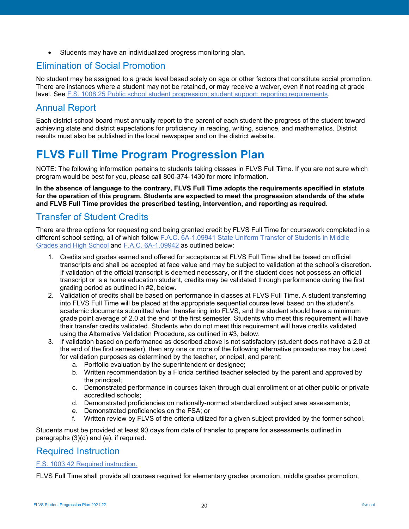• Students may have an individualized progress monitoring plan.

# <span id="page-19-0"></span>Elimination of Social Promotion

No student may be assigned to a grade level based solely on age or other factors that constitute social promotion. There are instances where a student may not be retained, or may receive a waiver, even if not reading at grade level. See [F.S. 1008.25 Public school student progression; student support; reporting](http://www.leg.state.fl.us/Statutes/index.cfm?App_mode=Display_Statute&URL=1000-1099/1008/Sections/1008.25.html) requirements.

# <span id="page-19-1"></span>Annual Report

Each district school board must annually report to the parent of each student the progress of the student toward achieving state and district expectations for proficiency in reading, writing, science, and mathematics. District results must also be published in the local newspaper and on the district website.

# <span id="page-19-2"></span>**FLVS Full Time Program Progression Plan**

NOTE: The following information pertains to students taking classes in FLVS Full Time. If you are not sure which program would be best for you, please call 800-374-1430 for more information.

**In the absence of language to the contrary, FLVS Full Time adopts the requirements specified in statute for the operation of this program. Students are expected to meet the progression standards of the state and FLVS Full Time provides the prescribed testing, intervention, and reporting as required.**

## <span id="page-19-3"></span>Transfer of Student Credits

There are three options for requesting and being granted credit by FLVS Full Time for coursework completed in a different school setting, all of which follow [F.A.C. 6A-1.09941 State Uniform Transfer of Students in Middle](https://www.flrules.org/gateway/ruleno.asp?id=6A-1.09941)  [Grades and High School](https://www.flrules.org/gateway/ruleno.asp?id=6A-1.09941) and [F.A.C. 6A-1.09942](https://www.flrules.org/gateway/ruleno.asp?id=6A-1.09942) as outlined below:

- 1. Credits and grades earned and offered for acceptance at FLVS Full Time shall be based on official transcripts and shall be accepted at face value and may be subject to validation at the school's discretion. If validation of the official transcript is deemed necessary, or if the student does not possess an official transcript or is a home education student, credits may be validated through performance during the first grading period as outlined in #2, below.
- 2. Validation of credits shall be based on performance in classes at FLVS Full Time. A student transferring into FLVS Full Time will be placed at the appropriate sequential course level based on the student's academic documents submitted when transferring into FLVS, and the student should have a minimum grade point average of 2.0 at the end of the first semester. Students who meet this requirement will have their transfer credits validated. Students who do not meet this requirement will have credits validated using the Alternative Validation Procedure, as outlined in #3, below.
- 3. If validation based on performance as described above is not satisfactory (student does not have a 2.0 at the end of the first semester), then any one or more of the following alternative procedures may be used for validation purposes as determined by the teacher, principal, and parent:
	- a. Portfolio evaluation by the superintendent or designee;
	- b. Written recommendation by a Florida certified teacher selected by the parent and approved by the principal;
	- c. Demonstrated performance in courses taken through dual enrollment or at other public or private accredited schools;
	- d. Demonstrated proficiencies on nationally-normed standardized subject area assessments;
	- e. Demonstrated proficiencies on the FSA; or
	- f. Written review by FLVS of the criteria utilized for a given subject provided by the former school.

Students must be provided at least 90 days from date of transfer to prepare for assessments outlined in paragraphs (3)(d) and (e), if required.

## <span id="page-19-4"></span>Required Instruction

### [F.S. 1003.42 Required instruction.](http://www.leg.state.fl.us/statutes/index.cfm?mode=View%20Statutes&SubMenu=1&App_mode=Display_Statute&Search_String=1003.42&URL=1000-1099/1003/Sections/1003.42.html)

FLVS Full Time shall provide all courses required for elementary grades promotion, middle grades promotion,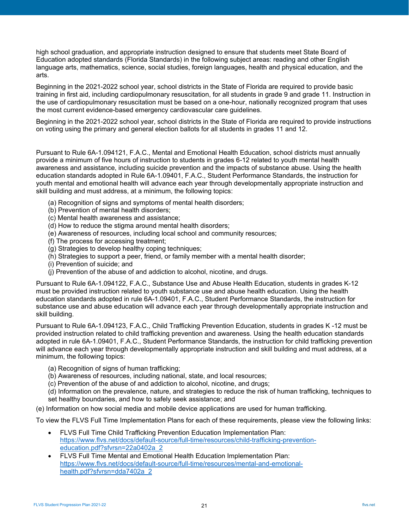high school graduation, and appropriate instruction designed to ensure that students meet State Board of Education adopted standards (Florida Standards) in the following subject areas: reading and other English language arts, mathematics, science, social studies, foreign languages, health and physical education, and the arts.

Beginning in the 2021-2022 school year, school districts in the State of Florida are required to provide basic training in first aid, including cardiopulmonary resuscitation, for all students in grade 9 and grade 11. Instruction in the use of cardiopulmonary resuscitation must be based on a one-hour, nationally recognized program that uses the most current evidence-based emergency cardiovascular care guidelines.

Beginning in the 2021-2022 school year, school districts in the State of Florida are required to provide instructions on voting using the primary and general election ballots for all students in grades 11 and 12.

Pursuant to Rule 6A-1.094121, F.A.C., Mental and Emotional Health Education, school districts must annually provide a minimum of five hours of instruction to students in grades 6-12 related to youth mental health awareness and assistance, including suicide prevention and the impacts of substance abuse. Using the health education standards adopted in Rule 6A-1.09401, F.A.C., Student Performance Standards, the instruction for youth mental and emotional health will advance each year through developmentally appropriate instruction and skill building and must address, at a minimum, the following topics:

- (a) Recognition of signs and symptoms of mental health disorders;
- (b) Prevention of mental health disorders;
- (c) Mental health awareness and assistance;
- (d) How to reduce the stigma around mental health disorders;
- (e) Awareness of resources, including local school and community resources;
- (f) The process for accessing treatment;
- (g) Strategies to develop healthy coping techniques;
- (h) Strategies to support a peer, friend, or family member with a mental health disorder;
- (i) Prevention of suicide; and
- (j) Prevention of the abuse of and addiction to alcohol, nicotine, and drugs.

Pursuant to Rule 6A-1.094122, F.A.C., Substance Use and Abuse Health Education, students in grades K-12 must be provided instruction related to youth substance use and abuse health education. Using the health education standards adopted in rule 6A-1.09401, F.A.C., Student Performance Standards, the instruction for substance use and abuse education will advance each year through developmentally appropriate instruction and skill building.

Pursuant to Rule 6A-1.094123, F.A.C., Child Trafficking Prevention Education, students in grades K -12 must be provided instruction related to child trafficking prevention and awareness. Using the health education standards adopted in rule 6A-1.09401, F.A.C., Student Performance Standards, the instruction for child trafficking prevention will advance each year through developmentally appropriate instruction and skill building and must address, at a minimum, the following topics:

(a) Recognition of signs of human trafficking;

- (b) Awareness of resources, including national, state, and local resources;
- (c) Prevention of the abuse of and addiction to alcohol, nicotine, and drugs;
- (d) Information on the prevalence, nature, and strategies to reduce the risk of human trafficking, techniques to set healthy boundaries, and how to safely seek assistance; and

(e) Information on how social media and mobile device applications are used for human trafficking.

To view the FLVS Full Time Implementation Plans for each of these requirements, please view the following links:

- FLVS Full Time Child Trafficking Prevention Education Implementation Plan: [https://www.flvs.net/docs/default-source/full-time/resources/child-trafficking-prevention](https://www.flvs.net/docs/default-source/full-time/resources/child-trafficking-prevention-education.pdf?sfvrsn=22a0402a_2)[education.pdf?sfvrsn=22a0402a\\_2](https://www.flvs.net/docs/default-source/full-time/resources/child-trafficking-prevention-education.pdf?sfvrsn=22a0402a_2)
- FLVS Full Time Mental and Emotional Health Education Implementation Plan: [https://www.flvs.net/docs/default-source/full-time/resources/mental-and-emotional](https://www.flvs.net/docs/default-source/full-time/resources/mental-and-emotional-health.pdf?sfvrsn=dda7402a_2)[health.pdf?sfvrsn=dda7402a\\_2](https://www.flvs.net/docs/default-source/full-time/resources/mental-and-emotional-health.pdf?sfvrsn=dda7402a_2)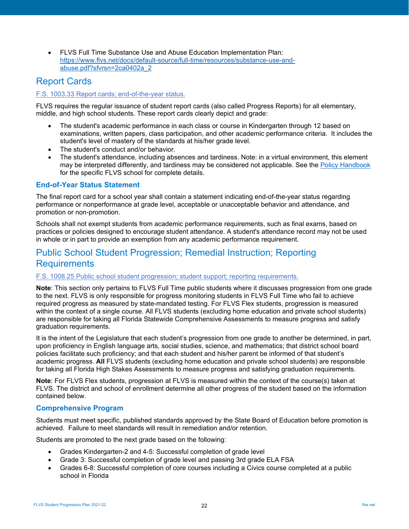• FLVS Full Time Substance Use and Abuse Education Implementation Plan: [https://www.flvs.net/docs/default-source/full-time/resources/substance-use-and](https://www.flvs.net/docs/default-source/full-time/resources/substance-use-and-abuse.pdf?sfvrsn=2ca0402a_2)[abuse.pdf?sfvrsn=2ca0402a\\_2](https://www.flvs.net/docs/default-source/full-time/resources/substance-use-and-abuse.pdf?sfvrsn=2ca0402a_2)

## <span id="page-21-0"></span>Report Cards

### [F.S. 1003.33 Report cards; end-of-the-year status.](http://www.leg.state.fl.us/statutes/index.cfm?mode=View%20Statutes&SubMenu=1&App_mode=Display_Statute&Search_String=1003.33&URL=1000-1099/1003/Sections/1003.33.html)

FLVS requires the regular issuance of student report cards (also called Progress Reports) for all elementary, middle, and high school students. These report cards clearly depict and grade:

- The student's academic performance in each class or course in Kindergarten through 12 based on examinations, written papers, class participation, and other academic performance criteria. It includes the student's level of mastery of the standards at his/her grade level.
- The student's conduct and/or behavior.
- The student's attendance, including absences and tardiness. Note: in a virtual environment, this element may be interpreted differently, and tardiness may be considered not applicable. See th[e Policy Handbook](https://www.flvs.net/student-resources/flex/policies-procedures) for the specific FLVS school for complete details.

### <span id="page-21-1"></span>**End-of-Year Status Statement**

The final report card for a school year shall contain a statement indicating end-of-the-year status regarding performance or nonperformance at grade level, acceptable or unacceptable behavior and attendance, and promotion or non-promotion.

Schools shall not exempt students from academic performance requirements, such as final exams, based on practices or policies designed to encourage student attendance. A student's attendance record may not be used in whole or in part to provide an exemption from any academic performance requirement.

## <span id="page-21-2"></span>Public School Student Progression; Remedial Instruction; Reporting Requirements

#### [F.S. 1008.25 Public school student progression; student support; reporting requirements.](http://www.leg.state.fl.us/statutes/index.cfm?mode=View%20Statutes&SubMenu=1&App_mode=Display_Statute&Search_String=1008.25&URL=1000-1099/1008/Sections/1008.25.html)

**Note**: This section only pertains to FLVS Full Time public students where it discusses progression from one grade to the next. FLVS is only responsible for progress monitoring students in FLVS Full Time who fail to achieve required progress as measured by state-mandated testing. For FLVS Flex students, progression is measured within the context of a single course. All FLVS students (excluding home education and private school students) are responsible for taking all Florida Statewide Comprehensive Assessments to measure progress and satisfy graduation requirements.

It is the intent of the Legislature that each student's progression from one grade to another be determined, in part, upon proficiency in English language arts, social studies, science, and mathematics; that district school board policies facilitate such proficiency; and that each student and his/her parent be informed of that student's academic progress. **All** FLVS students (excluding home education and private school students) are responsible for taking all Florida High Stakes Assessments to measure progress and satisfying graduation requirements.

**Note**: For FLVS Flex students, progression at FLVS is measured within the context of the course(s) taken at FLVS. The district and school of enrollment determine all other progress of the student based on the information contained below.

### <span id="page-21-3"></span>**Comprehensive Program**

Students must meet specific, published standards approved by the State Board of Education before promotion is achieved. Failure to meet standards will result in remediation and/or retention.

Students are promoted to the next grade based on the following:

- Grades Kindergarten-2 and 4-5: Successful completion of grade level
- Grade 3: Successful completion of grade level and passing 3rd grade ELA FSA
- Grades 6-8: Successful completion of core courses including a Civics course completed at a public school in Florida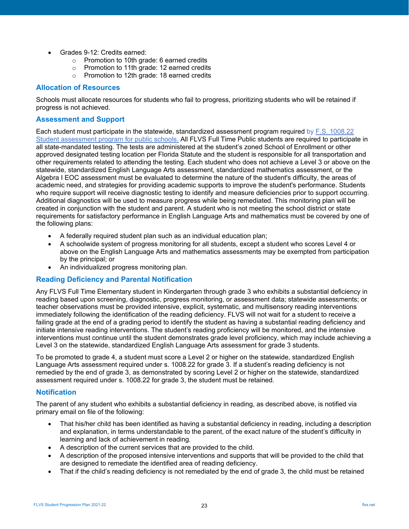- Grades 9-12: Credits earned:
	- o Promotion to 10th grade: 6 earned credits
	- o Promotion to 11th grade: 12 earned credits
	- o Promotion to 12th grade: 18 earned credits

#### <span id="page-22-0"></span>**Allocation of Resources**

Schools must allocate resources for students who fail to progress, prioritizing students who will be retained if progress is not achieved.

#### <span id="page-22-1"></span>**Assessment and Support**

Each student must participate in the statewide, standardized assessment program required by [F.S. 1008.22](http://www.leg.state.fl.us/statutes/index.cfm?mode=View%20Statutes&SubMenu=1&App_mode=Display_Statute&Search_String=1008.22&URL=1000-1099/1008/Sections/1008.22.html)  [Student assessment program for public schools.](http://www.leg.state.fl.us/statutes/index.cfm?mode=View%20Statutes&SubMenu=1&App_mode=Display_Statute&Search_String=1008.22&URL=1000-1099/1008/Sections/1008.22.html) All FLVS Full Time Public students are required to participate in all state-mandated testing. The tests are administered at the student's zoned School of Enrollment or other approved designated testing location per Florida Statute and the student is responsible for all transportation and other requirements related to attending the testing. Each student who does not achieve a Level 3 or above on the statewide, standardized English Language Arts assessment, standardized mathematics assessment, or the Algebra I EOC assessment must be evaluated to determine the nature of the student's difficulty, the areas of academic need, and strategies for providing academic supports to improve the student's performance. Students who require support will receive diagnostic testing to identify and measure deficiencies prior to support occurring. Additional diagnostics will be used to measure progress while being remediated. This monitoring plan will be created in conjunction with the student and parent. A student who is not meeting the school district or state requirements for satisfactory performance in English Language Arts and mathematics must be covered by one of the following plans:

- A federally required student plan such as an individual education plan;
- A schoolwide system of progress monitoring for all students, except a student who scores Level 4 or above on the English Language Arts and mathematics assessments may be exempted from participation by the principal; or
- An individualized progress monitoring plan.

### <span id="page-22-2"></span>**Reading Deficiency and Parental Notification**

Any FLVS Full Time Elementary student in Kindergarten through grade 3 who exhibits a substantial deficiency in reading based upon screening, diagnostic, progress monitoring, or assessment data; statewide assessments; or teacher observations must be provided intensive, explicit, systematic, and multisensory reading interventions immediately following the identification of the reading deficiency. FLVS will not wait for a student to receive a failing grade at the end of a grading period to identify the student as having a substantial reading deficiency and initiate intensive reading interventions. The student's reading proficiency will be monitored, and the intensive interventions must continue until the student demonstrates grade level proficiency, which may include achieving a Level 3 on the statewide, standardized English Language Arts assessment for grade 3 students.

To be promoted to grade 4, a student must score a Level 2 or higher on the statewide, standardized English Language Arts assessment required under s. 1008.22 for grade 3. If a student's reading deficiency is not remedied by the end of grade 3, as demonstrated by scoring Level 2 or higher on the statewide, standardized assessment required under s. 1008.22 for grade 3, the student must be retained.

### <span id="page-22-3"></span>**Notification**

The parent of any student who exhibits a substantial deficiency in reading, as described above, is notified via primary email on file of the following:

- That his/her child has been identified as having a substantial deficiency in reading, including a description and explanation, in terms understandable to the parent, of the exact nature of the student's difficulty in learning and lack of achievement in reading.
- A description of the current services that are provided to the child.
- A description of the proposed intensive interventions and supports that will be provided to the child that are designed to remediate the identified area of reading deficiency.
- That if the child's reading deficiency is not remediated by the end of grade 3, the child must be retained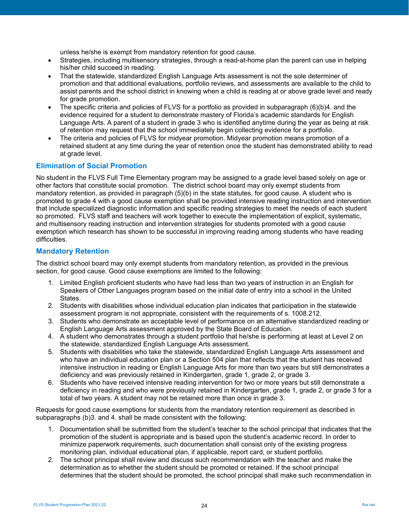unless he/she is exempt from mandatory retention for good cause.

- Strategies, including multisensory strategies, through a read-at-home plan the parent can use in helping his/her child succeed in reading.
- That the statewide, standardized English Language Arts assessment is not the sole determiner of promotion and that additional evaluations, portfolio reviews, and assessments are available to the child to assist parents and the school district in knowing when a child is reading at or above grade level and ready for grade promotion.
- The specific criteria and policies of FLVS for a portfolio as provided in subparagraph (6)(b)4. and the evidence required for a student to demonstrate mastery of Florida's academic standards for English Language Arts. A parent of a student in grade 3 who is identified anytime during the year as being at risk of retention may request that the school immediately begin collecting evidence for a portfolio.
- The criteria and policies of FLVS for midyear promotion. Midyear promotion means promotion of a retained student at any time during the year of retention once the student has demonstrated ability to read at grade level.

### <span id="page-23-0"></span>**Elimination of Social Promotion**

No student in the FLVS Full Time Elementary program may be assigned to a grade level based solely on age or other factors that constitute social promotion. The district school board may only exempt students from mandatory retention, as provided in paragraph (5)(b) in the state statutes, for good cause. A student who is promoted to grade 4 with a good cause exemption shall be provided intensive reading instruction and intervention that include specialized diagnostic information and specific reading strategies to meet the needs of each student so promoted. FLVS staff and teachers will work together to execute the implementation of explicit, systematic, and multisensory reading instruction and intervention strategies for students promoted with a good cause exemption which research has shown to be successful in improving reading among students who have reading difficulties.

### <span id="page-23-1"></span>**Mandatory Retention**

The district school board may only exempt students from mandatory retention, as provided in the previous section, for good cause. Good cause exemptions are limited to the following:

- 1. Limited English proficient students who have had less than two years of instruction in an English for Speakers of Other Languages program based on the initial date of entry into a school in the United States.
- 2. Students with disabilities whose individual education plan indicates that participation in the statewide assessment program is not appropriate, consistent with the requirements of s. 1008.212.
- 3. Students who demonstrate an acceptable level of performance on an alternative standardized reading or English Language Arts assessment approved by the State Board of Education.
- 4. A student who demonstrates through a student portfolio that he/she is performing at least at Level 2 on the statewide, standardized English Language Arts assessment.
- 5. Students with disabilities who take the statewide, standardized English Language Arts assessment and who have an individual education plan or a Section 504 plan that reflects that the student has received intensive instruction in reading or English Language Arts for more than two years but still demonstrates a deficiency and was previously retained in Kindergarten, grade 1, grade 2, or grade 3.
- 6. Students who have received intensive reading intervention for two or more years but still demonstrate a deficiency in reading and who were previously retained in Kindergarten, grade 1, grade 2, or grade 3 for a total of two years. A student may not be retained more than once in grade 3.

Requests for good cause exemptions for students from the mandatory retention requirement as described in subparagraphs (b)3. and 4. shall be made consistent with the following:

- 1. Documentation shall be submitted from the student's teacher to the school principal that indicates that the promotion of the student is appropriate and is based upon the student's academic record. In order to minimize paperwork requirements, such documentation shall consist only of the existing progress monitoring plan, individual educational plan, if applicable, report card, or student portfolio.
- 2. The school principal shall review and discuss such recommendation with the teacher and make the determination as to whether the student should be promoted or retained. If the school principal determines that the student should be promoted, the school principal shall make such recommendation in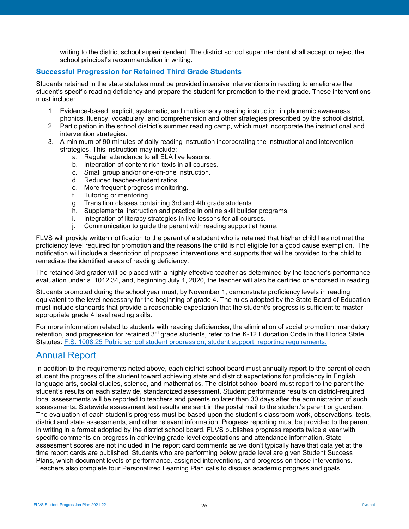writing to the district school superintendent. The district school superintendent shall accept or reject the school principal's recommendation in writing.

## <span id="page-24-0"></span>**Successful Progression for Retained Third Grade Students**

Students retained in the state statutes must be provided intensive interventions in reading to ameliorate the student's specific reading deficiency and prepare the student for promotion to the next grade. These interventions must include:

- 1. Evidence-based, explicit, systematic, and multisensory reading instruction in phonemic awareness, phonics, fluency, vocabulary, and comprehension and other strategies prescribed by the school district.
- 2. Participation in the school district's summer reading camp, which must incorporate the instructional and intervention strategies.
- 3. A minimum of 90 minutes of daily reading instruction incorporating the instructional and intervention strategies. This instruction may include:
	- a. Regular attendance to all ELA live lessons.
	- b. Integration of content-rich texts in all courses.
	- c. Small group and/or one-on-one instruction.
	- d. Reduced teacher-student ratios.
	- e. More frequent progress monitoring.
	- f. Tutoring or mentoring.
	- g. Transition classes containing 3rd and 4th grade students.
	- h. Supplemental instruction and practice in online skill builder programs.
	- i. Integration of literacy strategies in live lessons for all courses.
	- j. Communication to guide the parent with reading support at home.

FLVS will provide written notification to the parent of a student who is retained that his/her child has not met the proficiency level required for promotion and the reasons the child is not eligible for a good cause exemption. The notification will include a description of proposed interventions and supports that will be provided to the child to remediate the identified areas of reading deficiency.

The retained 3rd grader will be placed with a highly effective teacher as determined by the teacher's performance evaluation under s. 1012.34, and, beginning July 1, 2020, the teacher will also be certified or endorsed in reading.

Students promoted during the school year must, by November 1, demonstrate proficiency levels in reading equivalent to the level necessary for the beginning of grade 4. The rules adopted by the State Board of Education must include standards that provide a reasonable expectation that the student's progress is sufficient to master appropriate grade 4 level reading skills.

For more information related to students with reading deficiencies, the elimination of social promotion, mandatory retention, and progression for retained 3<sup>rd</sup> grade students, refer to the K-12 Education Code in the Florida State Statutes: [F.S. 1008.25 Public school student progression; student support; reporting requirements.](http://www.leg.state.fl.us/Statutes/index.cfm?App_mode=Display_Statute&URL=1000-1099/1008/Sections/1008.25.html)

## <span id="page-24-1"></span>Annual Report

In addition to the requirements noted above, each district school board must annually report to the parent of each student the progress of the student toward achieving state and district expectations for proficiency in English language arts, social studies, science, and mathematics. The district school board must report to the parent the student's results on each statewide, standardized assessment. Student performance results on district-required local assessments will be reported to teachers and parents no later than 30 days after the administration of such assessments. Statewide assessment test results are sent in the postal mail to the student's parent or guardian. The evaluation of each student's progress must be based upon the student's classroom work, observations, tests, district and state assessments, and other relevant information. Progress reporting must be provided to the parent in writing in a format adopted by the district school board. FLVS publishes progress reports twice a year with specific comments on progress in achieving grade-level expectations and attendance information. State assessment scores are not included in the report card comments as we don't typically have that data yet at the time report cards are published. Students who are performing below grade level are given Student Success Plans, which document levels of performance, assigned interventions, and progress on those interventions. Teachers also complete four Personalized Learning Plan calls to discuss academic progress and goals.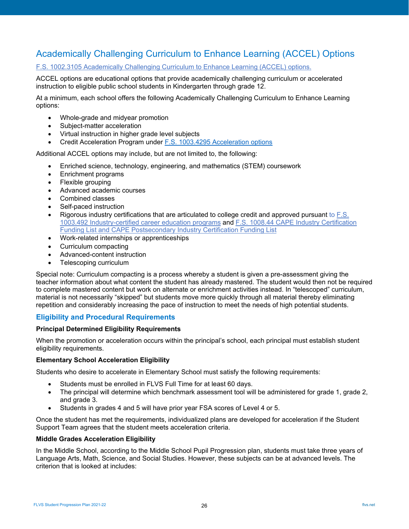# <span id="page-25-0"></span>Academically Challenging Curriculum to Enhance Learning (ACCEL) Options

[F.S. 1002.3105 Academically Challenging Curriculum to Enhance Learning \(ACCEL\) options.](http://www.leg.state.fl.us/statutes/index.cfm?mode=View%20Statutes&SubMenu=1&App_mode=Display_Statute&Search_String=1002.3105&URL=1000-1099/1002/Sections/1002.3105.html)

ACCEL options are educational options that provide academically challenging curriculum or accelerated instruction to eligible public school students in Kindergarten through grade 12.

At a minimum, each school offers the following Academically Challenging Curriculum to Enhance Learning options:

- Whole-grade and midyear promotion
- Subject-matter acceleration
- Virtual instruction in higher grade level subjects
- Credit Acceleration Program under [F.S. 1003.4295 Acceleration options](http://www.leg.state.fl.us/statutes/index.cfm?mode=View%20Statutes&SubMenu=1&App_mode=Display_Statute&Search_String=1003.4295&URL=1000-1099/1003/Sections/1003.4295.html)

Additional ACCEL options may include, but are not limited to, the following:

- Enriched science, technology, engineering, and mathematics (STEM) coursework
- Enrichment programs
- Flexible grouping
- Advanced academic courses
- Combined classes
- Self-paced instruction
- Rigorous industry certifications that are articulated to college credit and approved pursuant to [F.S.](http://www.leg.state.fl.us/statutes/index.cfm?mode=View%20Statutes&SubMenu=1&App_mode=Display_Statute&Search_String=1003.492&URL=1000-1099/1003/Sections/1003.492.html)  1003.492 [Industry-certified career education programs](http://www.leg.state.fl.us/statutes/index.cfm?mode=View%20Statutes&SubMenu=1&App_mode=Display_Statute&Search_String=1003.492&URL=1000-1099/1003/Sections/1003.492.html) and [F.S. 1008.44 CAPE Industry Certification](http://www.leg.state.fl.us/statutes/index.cfm?mode=View%20Statutes&SubMenu=1&App_mode=Display_Statute&Search_String=1008.44&URL=1000-1099/1008/Sections/1008.44.html)  [Funding List and CAPE Postsecondary Industry Certification Funding List](http://www.leg.state.fl.us/statutes/index.cfm?mode=View%20Statutes&SubMenu=1&App_mode=Display_Statute&Search_String=1008.44&URL=1000-1099/1008/Sections/1008.44.html)
- Work-related internships or apprenticeships
- Curriculum compacting
- Advanced-content instruction
- Telescoping curriculum

Special note: Curriculum compacting is a process whereby a student is given a pre-assessment giving the teacher information about what content the student has already mastered. The student would then not be required to complete mastered content but work on alternate or enrichment activities instead. In "telescoped" curriculum, material is not necessarily "skipped" but students move more quickly through all material thereby eliminating repetition and considerably increasing the pace of instruction to meet the needs of high potential students.

### <span id="page-25-1"></span>**Eligibility and Procedural Requirements**

#### **Principal Determined Eligibility Requirements**

When the promotion or acceleration occurs within the principal's school, each principal must establish student eligibility requirements.

#### **Elementary School Acceleration Eligibility**

Students who desire to accelerate in Elementary School must satisfy the following requirements:

- Students must be enrolled in FLVS Full Time for at least 60 days.
- The principal will determine which benchmark assessment tool will be administered for grade 1, grade 2, and grade 3.
- Students in grades 4 and 5 will have prior year FSA scores of Level 4 or 5.

Once the student has met the requirements, individualized plans are developed for acceleration if the Student Support Team agrees that the student meets acceleration criteria.

#### **Middle Grades Acceleration Eligibility**

In the Middle School, according to the Middle School Pupil Progression plan, students must take three years of Language Arts, Math, Science, and Social Studies. However, these subjects can be at advanced levels. The criterion that is looked at includes: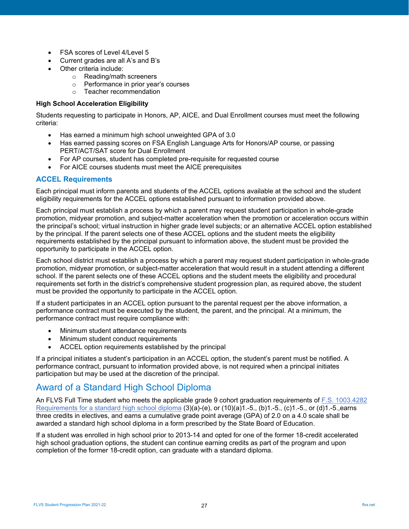- FSA scores of Level 4/Level 5
- Current grades are all A's and B's
- Other criteria include:
	- o Reading/math screeners
	- o Performance in prior year's courses
	- o Teacher recommendation

#### **High School Acceleration Eligibility**

Students requesting to participate in Honors, AP, AICE, and Dual Enrollment courses must meet the following criteria:

- Has earned a minimum high school unweighted GPA of 3.0
- Has earned passing scores on FSA English Language Arts for Honors/AP course, or passing PERT/ACT/SAT score for Dual Enrollment
- For AP courses, student has completed pre-requisite for requested course
- For AICE courses students must meet the AICE prerequisites

### <span id="page-26-0"></span>**ACCEL Requirements**

Each principal must inform parents and students of the ACCEL options available at the school and the student eligibility requirements for the ACCEL options established pursuant to information provided above.

Each principal must establish a process by which a parent may request student participation in whole-grade promotion, midyear promotion, and subject-matter acceleration when the promotion or acceleration occurs within the principal's school; virtual instruction in higher grade level subjects; or an alternative ACCEL option established by the principal. If the parent selects one of these ACCEL options and the student meets the eligibility requirements established by the principal pursuant to information above, the student must be provided the opportunity to participate in the ACCEL option.

Each school district must establish a process by which a parent may request student participation in whole-grade promotion, midyear promotion, or subject-matter acceleration that would result in a student attending a different school. If the parent selects one of these ACCEL options and the student meets the eligibility and procedural requirements set forth in the district's comprehensive student progression plan, as required above, the student must be provided the opportunity to participate in the ACCEL option.

If a student participates in an ACCEL option pursuant to the parental request per the above information, a performance contract must be executed by the student, the parent, and the principal. At a minimum, the performance contract must require compliance with:

- Minimum student attendance requirements
- Minimum student conduct requirements
- ACCEL option requirements established by the principal

If a principal initiates a student's participation in an ACCEL option, the student's parent must be notified. A performance contract, pursuant to information provided above, is not required when a principal initiates participation but may be used at the discretion of the principal.

## <span id="page-26-1"></span>Award of a Standard High School Diploma

An FLVS Full Time student who meets the applicable grade 9 cohort graduation requirements of [F.S. 1003.4282](http://www.leg.state.fl.us/statutes/index.cfm?mode=View%20Statutes&SubMenu=1&App_mode=Display_Statute&Search_String=1003.4282&URL=1000-1099/1003/Sections/1003.4282.html)  [Requirements for a standard high school diploma](http://www.leg.state.fl.us/statutes/index.cfm?mode=View%20Statutes&SubMenu=1&App_mode=Display_Statute&Search_String=1003.4282&URL=1000-1099/1003/Sections/1003.4282.html) (3)(a)-(e), or (10)(a)1.-5., (b)1.-5., (c)1.-5., or (d)1.-5.,earns three credits in electives, and earns a cumulative grade point average (GPA) of 2.0 on a 4.0 scale shall be awarded a standard high school diploma in a form prescribed by the State Board of Education.

If a student was enrolled in high school prior to 2013-14 and opted for one of the former 18-credit accelerated high school graduation options, the student can continue earning credits as part of the program and upon completion of the former 18-credit option, can graduate with a standard diploma.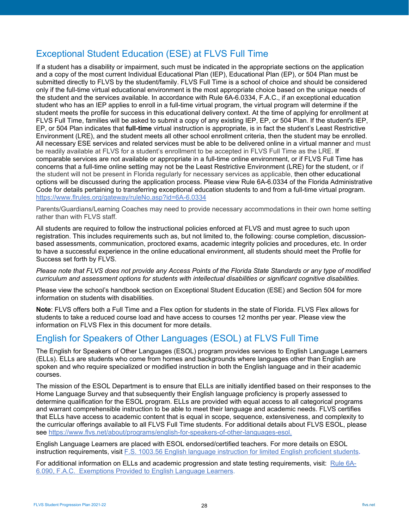# <span id="page-27-0"></span>Exceptional Student Education (ESE) at FLVS Full Time

If a student has a disability or impairment, such must be indicated in the appropriate sections on the application and a copy of the most current Individual Educational Plan (IEP), Educational Plan (EP), or 504 Plan must be submitted directly to FLVS by the student/family. FLVS Full Time is a school of choice and should be considered only if the full-time virtual educational environment is the most appropriate choice based on the unique needs of the student and the services available. In accordance with Rule 6A-6.0334, F.A.C., if an exceptional education student who has an IEP applies to enroll in a full-time virtual program, the virtual program will determine if the student meets the profile for success in this educational delivery context. At the time of applying for enrollment at FLVS Full Time, families will be asked to submit a copy of any existing IEP, EP, or 504 Plan. If the student's IEP, EP, or 504 Plan indicates that **full-time** virtual instruction is appropriate, is in fact the student's Least Restrictive Environment (LRE), and the student meets all other school enrollment criteria, then the student may be enrolled. All necessary ESE services and related services must be able to be delivered online in a virtual manner and must be readily available at FLVS for a student's enrollment to be accepted in FLVS Full Time as the LRE. If comparable services are not available or appropriate in a full-time online environment, or if FLVS Full Time has concerns that a full-time online setting may not be the Least Restrictive Environment (LRE) for the student, or if the student will not be present in Florida regularly for necessary services as applicable, then other educational options will be discussed during the application process. Please view Rule 6A-6.0334 of the Florida Administrative Code for details pertaining to transferring exceptional education students to and from a full-time virtual program. <https://www.flrules.org/gateway/ruleNo.asp?id=6A-6.0334>

Parents/Guardians/Learning Coaches may need to provide necessary accommodations in their own home setting rather than with FLVS staff.

All students are required to follow the instructional policies enforced at FLVS and must agree to such upon registration. This includes requirements such as, but not limited to, the following: course completion, discussionbased assessments, communication, proctored exams, academic integrity policies and procedures, etc. In order to have a successful experience in the online educational environment, all students should meet the Profile for Success set forth by FLVS.

*Please note that FLVS does not provide any Access Points of the Florida State Standards or any type of modified curriculum and assessment options for students with intellectual disabilities or significant cognitive disabilities.*

Please view the school's handbook section on Exceptional Student Education (ESE) and Section 504 for more information on students with disabilities.

**Note**: FLVS offers both a Full Time and a Flex option for students in the state of Florida. FLVS Flex allows for students to take a reduced course load and have access to courses 12 months per year. Please view the information on FLVS Flex in this document for more details.

# <span id="page-27-1"></span>English for Speakers of Other Languages (ESOL) at FLVS Full Time

The English for Speakers of Other Languages (ESOL) program provides services to English Language Learners (ELLs). ELLs are students who come from homes and backgrounds where languages other than English are spoken and who require specialized or modified instruction in both the English language and in their academic courses.

The mission of the ESOL Department is to ensure that ELLs are initially identified based on their responses to the Home Language Survey and that subsequently their English language proficiency is properly assessed to determine qualification for the ESOL program. ELLs are provided with equal access to all categorical programs and warrant comprehensible instruction to be able to meet their language and academic needs. FLVS certifies that ELLs have access to academic content that is equal in scope, sequence, extensiveness, and complexity to the curricular offerings available to all FLVS Full Time students. For additional details about FLVS ESOL, please see [https://www.flvs.net/about/programs/english-for-speakers-of-other-languages-esol.](https://www.flvs.net/about/programs/english-for-speakers-of-other-languages-esol)

English Language Learners are placed with ESOL endorsed/certified teachers. For more details on ESOL instruction requirements, visit [F.S. 1003.56 English language instruction for limited English proficient students.](http://www.leg.state.fl.us/statutes/index.cfm?mode=View%20Statutes&SubMenu=1&App_mode=Display_Statute&Search_String=1003.56&URL=1000-1099/1003/Sections/1003.56.html)

For additional information on ELLs and academic progression and state testing requirements, visit: [Rule 6A-](https://www.flrules.org/gateway/ruleNo.asp?ID=6A-6.0909)[6.090, F.A.C. Exemptions Provided to English Language Learners.](https://www.flrules.org/gateway/ruleNo.asp?ID=6A-6.0909)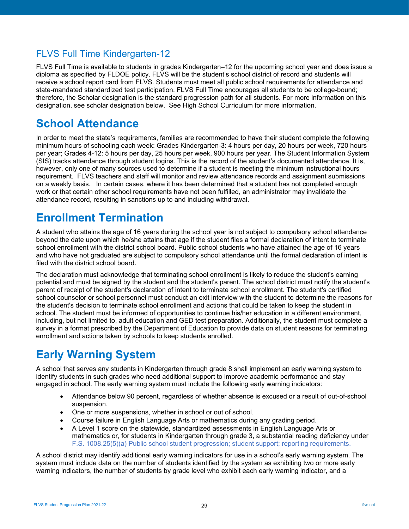# <span id="page-28-0"></span>FLVS Full Time Kindergarten-12

FLVS Full Time is available to students in grades Kindergarten–12 for the upcoming school year and does issue a diploma as specified by FLDOE policy. FLVS will be the student's school district of record and students will receive a school report card from FLVS. Students must meet all public school requirements for attendance and state-mandated standardized test participation. FLVS Full Time encourages all students to be college-bound; therefore, the Scholar designation is the standard progression path for all students. For more information on this designation, see scholar designation below. See High School Curriculum for more information.

# <span id="page-28-1"></span>**School Attendance**

In order to meet the state's requirements, families are recommended to have their student complete the following minimum hours of schooling each week: Grades Kindergarten-3: 4 hours per day, 20 hours per week, 720 hours per year; Grades 4-12: 5 hours per day, 25 hours per week, 900 hours per year. The Student Information System (SIS) tracks attendance through student logins. This is the record of the student's documented attendance. It is, however, only one of many sources used to determine if a student is meeting the minimum instructional hours requirement. FLVS teachers and staff will monitor and review attendance records and assignment submissions on a weekly basis. In certain cases, where it has been determined that a student has not completed enough work or that certain other school requirements have not been fulfilled, an administrator may invalidate the attendance record, resulting in sanctions up to and including withdrawal.

# <span id="page-28-2"></span>**Enrollment Termination**

A student who attains the age of 16 years during the school year is not subject to compulsory school attendance beyond the date upon which he/she attains that age if the student files a formal declaration of intent to terminate school enrollment with the district school board. Public school students who have attained the age of 16 years and who have not graduated are subject to compulsory school attendance until the formal declaration of intent is filed with the district school board.

The declaration must acknowledge that terminating school enrollment is likely to reduce the student's earning potential and must be signed by the student and the student's parent. The school district must notify the student's parent of receipt of the student's declaration of intent to terminate school enrollment. The student's certified school counselor or school personnel must conduct an exit interview with the student to determine the reasons for the student's decision to terminate school enrollment and actions that could be taken to keep the student in school. The student must be informed of opportunities to continue his/her education in a different environment, including, but not limited to, adult education and GED test preparation. Additionally, the student must complete a survey in a format prescribed by the Department of Education to provide data on student reasons for terminating enrollment and actions taken by schools to keep students enrolled.

# <span id="page-28-3"></span>**Early Warning System**

A school that serves any students in Kindergarten through grade 8 shall implement an early warning system to identify students in such grades who need additional support to improve academic performance and stay engaged in school. The early warning system must include the following early warning indicators:

- Attendance below 90 percent, regardless of whether absence is excused or a result of out-of-school suspension.
- One or more suspensions, whether in school or out of school.
- Course failure in English Language Arts or mathematics during any grading period.
- A Level 1 score on the statewide, standardized assessments in English Language Arts or mathematics or, for students in Kindergarten through grade 3, a substantial reading deficiency under [F.S. 1008.25\(5\)\(a\) Public school student progression; student support; reporting requirements.](http://www.leg.state.fl.us/statutes/index.cfm?mode=View%20Statutes&SubMenu=1&App_mode=Display_Statute&Search_String=1008.25&URL=1000-1099/1008/Sections/1008.25.html)

A school district may identify additional early warning indicators for use in a school's early warning system. The system must include data on the number of students identified by the system as exhibiting two or more early warning indicators, the number of students by grade level who exhibit each early warning indicator, and a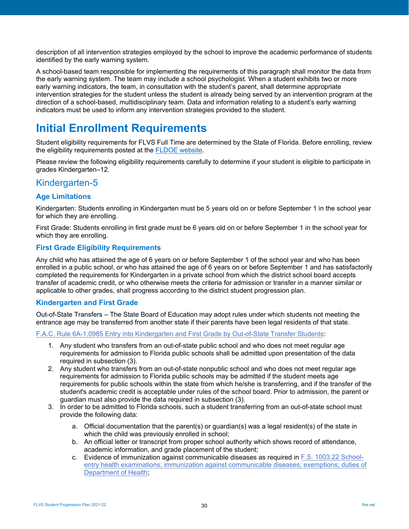description of all intervention strategies employed by the school to improve the academic performance of students identified by the early warning system.

A school-based team responsible for implementing the requirements of this paragraph shall monitor the data from the early warning system. The team may include a school psychologist. When a student exhibits two or more early warning indicators, the team, in consultation with the student's parent, shall determine appropriate intervention strategies for the student unless the student is already being served by an intervention program at the direction of a school-based, multidisciplinary team. Data and information relating to a student's early warning indicators must be used to inform any intervention strategies provided to the student.

# <span id="page-29-0"></span>**Initial Enrollment Requirements**

Student eligibility requirements for FLVS Full Time are determined by the State of Florida. Before enrolling, review the eligibility requirements posted at the [FLDOE website.](http://www.fldoe.org/schools/school-choice/virtual-edu/fl-virtual-school-full-time.stml)

Please review the following eligibility requirements carefully to determine if your student is eligible to participate in grades Kindergarten–12.

## <span id="page-29-1"></span>Kindergarten-5

## <span id="page-29-2"></span>**Age Limitations**

Kindergarten: Students enrolling in Kindergarten must be 5 years old on or before September 1 in the school year for which they are enrolling.

First Grade: Students enrolling in first grade must be 6 years old on or before September 1 in the school year for which they are enrolling.

## <span id="page-29-3"></span>**First Grade Eligibility Requirements**

Any child who has attained the age of 6 years on or before September 1 of the school year and who has been enrolled in a public school, or who has attained the age of 6 years on or before September 1 and has satisfactorily completed the requirements for Kindergarten in a private school from which the district school board accepts transfer of academic credit, or who otherwise meets the criteria for admission or transfer in a manner similar or applicable to other grades, shall progress according to the district student progression plan.

### <span id="page-29-4"></span>**Kindergarten and First Grade**

Out-of-State Transfers – The State Board of Education may adopt rules under which students not meeting the entrance age may be transferred from another state if their parents have been legal residents of that state.

[F.A.C. Rule 6A-1.0985 Entry into Kindergarten and First Grade by Out-of-State Transfer Students:](https://www.flrules.org/gateway/ruleno.asp?id=6A-1.0985)

- 1. Any student who transfers from an out-of-state public school and who does not meet regular age requirements for admission to Florida public schools shall be admitted upon presentation of the data required in subsection (3).
- 2. Any student who transfers from an out-of-state nonpublic school and who does not meet regular age requirements for admission to Florida public schools may be admitted if the student meets age requirements for public schools within the state from which he/she is transferring, and if the transfer of the student's academic credit is acceptable under rules of the school board. Prior to admission, the parent or guardian must also provide the data required in subsection (3).
- 3. In order to be admitted to Florida schools, such a student transferring from an out-of-state school must provide the following data:
	- a. Official documentation that the parent(s) or guardian(s) was a legal resident(s) of the state in which the child was previously enrolled in school;
	- b. An official letter or transcript from proper school authority which shows record of attendance, academic information, and grade placement of the student;
	- c. Evidence of immunization against communicable diseases as required in [F.S. 1003.22 School](http://www.leg.state.fl.us/statutes/index.cfm?mode=View%20Statutes&SubMenu=1&App_mode=Display_Statute&Search_String=1003.22&URL=1000-1099/1003/Sections/1003.22.html)[entry health examinations; immunization against communicable diseases; exemptions; duties of](http://www.leg.state.fl.us/statutes/index.cfm?mode=View%20Statutes&SubMenu=1&App_mode=Display_Statute&Search_String=1003.22&URL=1000-1099/1003/Sections/1003.22.html)  [Department of Health;](http://www.leg.state.fl.us/statutes/index.cfm?mode=View%20Statutes&SubMenu=1&App_mode=Display_Statute&Search_String=1003.22&URL=1000-1099/1003/Sections/1003.22.html)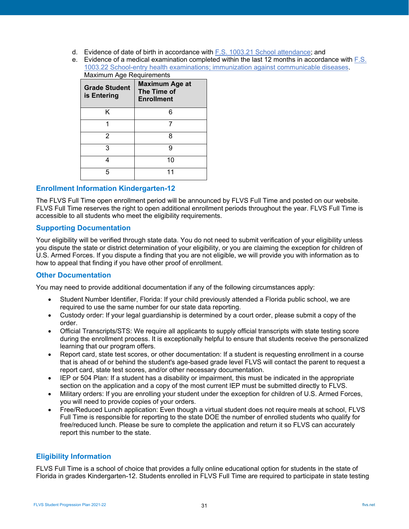- d. Evidence of date of birth in accordance with **F.S. 1003.21 School attendance**; and
- e. Evidence of a medical examination completed within the last 12 months in accordance with [F.S.](http://www.leg.state.fl.us/statutes/index.cfm?mode=View%20Statutes&SubMenu=1&App_mode=Display_Statute&Search_String=1003.22&URL=1000-1099/1003/Sections/1003.22.html)  [1003.22 School-entry health examinations; immunization against communicable diseases.](http://www.leg.state.fl.us/statutes/index.cfm?mode=View%20Statutes&SubMenu=1&App_mode=Display_Statute&Search_String=1003.22&URL=1000-1099/1003/Sections/1003.22.html) Maximum Age Requirements

| <b>Grade Student</b><br>is Entering | <b>Maximum Age at</b><br>The Time of<br><b>Enrollment</b> |  |  |
|-------------------------------------|-----------------------------------------------------------|--|--|
| ĸ                                   |                                                           |  |  |
| 1                                   |                                                           |  |  |
| 2                                   | 8                                                         |  |  |
| 3                                   | g                                                         |  |  |
|                                     | 10                                                        |  |  |
| 5                                   |                                                           |  |  |

### <span id="page-30-0"></span>**Enrollment Information Kindergarten-12**

The FLVS Full Time open enrollment period will be announced by FLVS Full Time and posted on our website. FLVS Full Time reserves the right to open additional enrollment periods throughout the year. FLVS Full Time is accessible to all students who meet the eligibility requirements.

## <span id="page-30-1"></span>**Supporting Documentation**

Your eligibility will be verified through state data. You do not need to submit verification of your eligibility unless you dispute the state or district determination of your eligibility, or you are claiming the exception for children of U.S. Armed Forces. If you dispute a finding that you are not eligible, we will provide you with information as to how to appeal that finding if you have other proof of enrollment.

### <span id="page-30-2"></span>**Other Documentation**

You may need to provide additional documentation if any of the following circumstances apply:

- Student Number Identifier, Florida: If your child previously attended a Florida public school, we are required to use the same number for our state data reporting.
- Custody order: If your legal guardianship is determined by a court order, please submit a copy of the order.
- Official Transcripts/STS: We require all applicants to supply official transcripts with state testing score during the enrollment process. It is exceptionally helpful to ensure that students receive the personalized learning that our program offers.
- Report card, state test scores, or other documentation: If a student is requesting enrollment in a course that is ahead of or behind the student's age-based grade level FLVS will contact the parent to request a report card, state test scores, and/or other necessary documentation.
- IEP or 504 Plan: If a student has a disability or impairment, this must be indicated in the appropriate section on the application and a copy of the most current IEP must be submitted directly to FLVS.
- Military orders: If you are enrolling your student under the exception for children of U.S. Armed Forces, you will need to provide copies of your orders.
- Free/Reduced Lunch application: Even though a virtual student does not require meals at school, FLVS Full Time is responsible for reporting to the state DOE the number of enrolled students who qualify for free/reduced lunch. Please be sure to complete the application and return it so FLVS can accurately report this number to the state.

## <span id="page-30-3"></span>**Eligibility Information**

FLVS Full Time is a school of choice that provides a fully online educational option for students in the state of Florida in grades Kindergarten-12. Students enrolled in FLVS Full Time are required to participate in state testing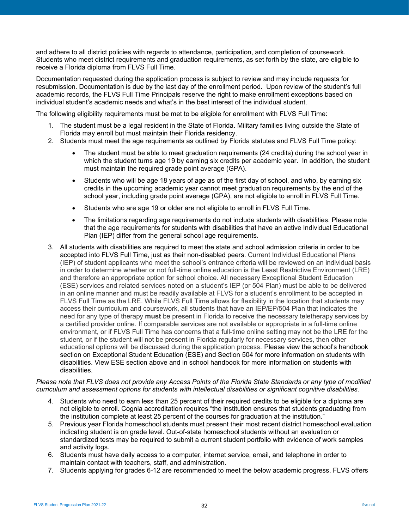and adhere to all district policies with regards to attendance, participation, and completion of coursework. Students who meet district requirements and graduation requirements, as set forth by the state, are eligible to receive a Florida diploma from FLVS Full Time.

Documentation requested during the application process is subject to review and may include requests for resubmission. Documentation is due by the last day of the enrollment period. Upon review of the student's full academic records, the FLVS Full Time Principals reserve the right to make enrollment exceptions based on individual student's academic needs and what's in the best interest of the individual student.

The following eligibility requirements must be met to be eligible for enrollment with FLVS Full Time:

- 1. The student must be a legal resident in the State of Florida. Military families living outside the State of Florida may enroll but must maintain their Florida residency.
- 2. Students must meet the age requirements as outlined by Florida statutes and FLVS Full Time policy:
	- The student must be able to meet graduation requirements (24 credits) during the school year in which the student turns age 19 by earning six credits per academic year. In addition, the student must maintain the required grade point average (GPA).
	- Students who will be age 18 years of age as of the first day of school, and who, by earning six credits in the upcoming academic year cannot meet graduation requirements by the end of the school year, including grade point average (GPA), are not eligible to enroll in FLVS Full Time.
	- Students who are age 19 or older are not eligible to enroll in FLVS Full Time.
	- The limitations regarding age requirements do not include students with disabilities. Please note that the age requirements for students with disabilities that have an active Individual Educational Plan (IEP) differ from the general school age requirements.
- 3. All students with disabilities are required to meet the state and school admission criteria in order to be accepted into FLVS Full Time, just as their non-disabled peers. Current Individual Educational Plans (IEP) of student applicants who meet the school's entrance criteria will be reviewed on an individual basis in order to determine whether or not full-time online education is the Least Restrictive Environment (LRE) and therefore an appropriate option for school choice. All necessary Exceptional Student Education (ESE) services and related services noted on a student's IEP (or 504 Plan) must be able to be delivered in an online manner and must be readily available at FLVS for a student's enrollment to be accepted in FLVS Full Time as the LRE. While FLVS Full Time allows for flexibility in the location that students may access their curriculum and coursework, all students that have an IEP/EP/504 Plan that indicates the need for any type of therapy **must** be present in Florida to receive the necessary teletherapy services by a certified provider online. If comparable services are not available or appropriate in a full-time online environment, or if FLVS Full Time has concerns that a full-time online setting may not be the LRE for the student, or if the student will not be present in Florida regularly for necessary services, then other educational options will be discussed during the application process. Please view the school's handbook section on Exceptional Student Education (ESE) and Section 504 for more information on students with disabilities. View ESE section above and in school handbook for more information on students with disabilities.

#### *Please note that FLVS does not provide any Access Points of the Florida State Standards or any type of modified curriculum and assessment options for students with intellectual disabilities or significant cognitive disabilities.*

- 4. Students who need to earn less than 25 percent of their required credits to be eligible for a diploma are not eligible to enroll. Cognia accreditation requires "the institution ensures that students graduating from the institution complete at least 25 percent of the courses for graduation at the institution."
- 5. Previous year Florida homeschool students must present their most recent district homeschool evaluation indicating student is on grade level. Out-of-state homeschool students without an evaluation or standardized tests may be required to submit a current student portfolio with evidence of work samples and activity logs.
- 6. Students must have daily access to a computer, internet service, email, and telephone in order to maintain contact with teachers, staff, and administration.
- 7. Students applying for grades 6-12 are recommended to meet the below academic progress. FLVS offers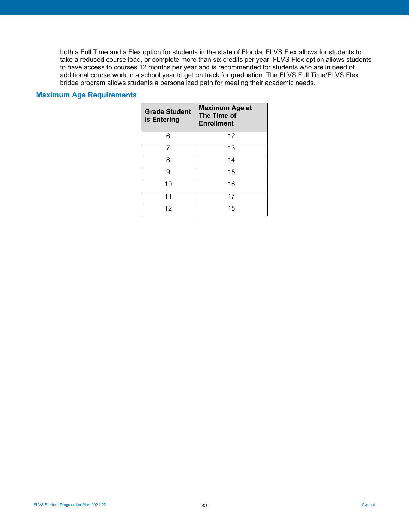both a Full Time and a Flex option for students in the state of Florida. FLVS Flex allows for students to take a reduced course load, or complete more than six credits per year. FLVS Flex option allows students to have access to courses 12 months per year and is recommended for students who are in need of additional course work in a school year to get on track for graduation. The FLVS Full Time/FLVS Flex bridge program allows students a personalized path for meeting their academic needs.

#### <span id="page-32-0"></span>**Maximum Age Requirements**

| <b>Grade Student</b><br>is Entering | <b>Maximum Age at</b><br>The Time of<br><b>Enrollment</b> |  |  |
|-------------------------------------|-----------------------------------------------------------|--|--|
| 6                                   | 12                                                        |  |  |
| 7                                   | 13                                                        |  |  |
| 8                                   | 14                                                        |  |  |
| 9                                   | 15                                                        |  |  |
| 10                                  | 16                                                        |  |  |
| 11                                  | 17                                                        |  |  |
| 12                                  | 18                                                        |  |  |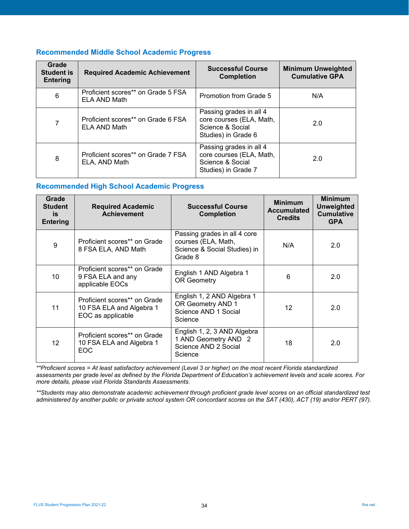## <span id="page-33-0"></span>**Recommended Middle School Academic Progress**

| Grade<br><b>Student is</b><br><b>Entering</b> | <b>Required Academic Achievement</b>                | <b>Successful Course</b><br><b>Completion</b>                                                  | <b>Minimum Unweighted</b><br><b>Cumulative GPA</b> |  |
|-----------------------------------------------|-----------------------------------------------------|------------------------------------------------------------------------------------------------|----------------------------------------------------|--|
| 6                                             | Proficient scores** on Grade 5 FSA<br>ELA AND Math  | Promotion from Grade 5                                                                         | N/A                                                |  |
| 7                                             | Proficient scores** on Grade 6 FSA<br>ELA AND Math  | Passing grades in all 4<br>core courses (ELA, Math,<br>Science & Social<br>Studies) in Grade 6 | 2.0                                                |  |
| 8                                             | Proficient scores** on Grade 7 FSA<br>ELA, AND Math | Passing grades in all 4<br>core courses (ELA, Math,<br>Science & Social<br>Studies) in Grade 7 | 2.0                                                |  |

#### <span id="page-33-1"></span>**Recommended High School Academic Progress**

| Grade<br><b>Student</b><br>is<br><b>Entering</b> | <b>Required Academic</b><br><b>Achievement</b>                                | <b>Successful Course</b><br><b>Completion</b>                                                  | <b>Minimum</b><br><b>Accumulated</b><br><b>Credits</b> | <b>Minimum</b><br><b>Unweighted</b><br><b>Cumulative</b><br><b>GPA</b> |
|--------------------------------------------------|-------------------------------------------------------------------------------|------------------------------------------------------------------------------------------------|--------------------------------------------------------|------------------------------------------------------------------------|
| 9                                                | Proficient scores** on Grade<br>8 FSA ELA, AND Math                           | Passing grades in all 4 core<br>courses (ELA, Math,<br>Science & Social Studies) in<br>Grade 8 | N/A                                                    | 2.0                                                                    |
| 10                                               | Proficient scores** on Grade<br>9 FSA ELA and any<br>applicable EOCs          | English 1 AND Algebra 1<br><b>OR Geometry</b>                                                  | 6                                                      | 2.0                                                                    |
| 11                                               | Proficient scores** on Grade<br>10 FSA ELA and Algebra 1<br>EOC as applicable | English 1, 2 AND Algebra 1<br>OR Geometry AND 1<br>Science AND 1 Social<br>Science             | 12                                                     | 2.0                                                                    |
| 12                                               | Proficient scores** on Grade<br>10 FSA ELA and Algebra 1<br>EOC               | English 1, 2, 3 AND Algebra<br>1 AND Geometry AND 2<br>Science AND 2 Social<br>Science         | 18                                                     | 2.0                                                                    |

*\*\*Proficient scores = At least satisfactory achievement (Level 3 or higher) on the most recent Florida standardized assessments per grade level as defined by the Florida Department of Education's achievement levels and scale scores. For more details, please visit [Florida Standards Assessments.](http://www.fldoe.org/accountability/assessments/k-12-student-assessment/fsa.stml)*

*\*\*Students may also demonstrate academic achievement through proficient grade level scores on an official standardized test administered by another public or private school system OR concordant scores on the SAT (430), ACT (19) and/or PERT (97).*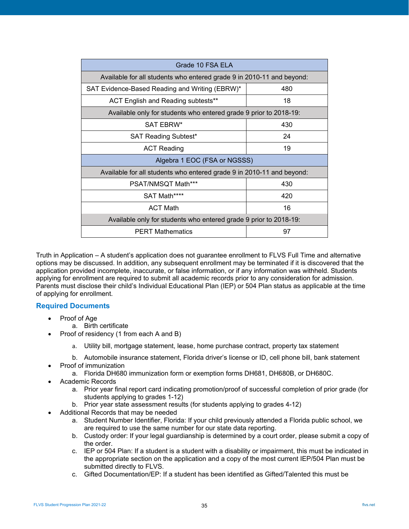| Grade 10 FSA ELA                                                      |     |  |  |  |
|-----------------------------------------------------------------------|-----|--|--|--|
| Available for all students who entered grade 9 in 2010-11 and beyond: |     |  |  |  |
| SAT Evidence-Based Reading and Writing (EBRW)*<br>480                 |     |  |  |  |
| ACT English and Reading subtests**                                    | 18  |  |  |  |
| Available only for students who entered grade 9 prior to 2018-19:     |     |  |  |  |
| SAT EBRW*                                                             | 430 |  |  |  |
| <b>SAT Reading Subtest*</b>                                           | 24  |  |  |  |
| <b>ACT Reading</b>                                                    | 19  |  |  |  |
| Algebra 1 EOC (FSA or NGSSS)                                          |     |  |  |  |
| Available for all students who entered grade 9 in 2010-11 and beyond: |     |  |  |  |
| PSAT/NMSQT Math***                                                    | 430 |  |  |  |
| SAT Math****                                                          | 420 |  |  |  |
| <b>ACT Math</b>                                                       | 16  |  |  |  |
| Available only for students who entered grade 9 prior to 2018-19:     |     |  |  |  |
| <b>PERT Mathematics</b><br>97                                         |     |  |  |  |

Truth in Application – A student's application does not guarantee enrollment to FLVS Full Time and alternative options may be discussed. In addition, any subsequent enrollment may be terminated if it is discovered that the application provided incomplete, inaccurate, or false information, or if any information was withheld. Students applying for enrollment are required to submit all academic records prior to any consideration for admission. Parents must disclose their child's Individual Educational Plan (IEP) or 504 Plan status as applicable at the time of applying for enrollment.

### <span id="page-34-0"></span>**Required Documents**

- Proof of Age
	- a. Birth certificate
- Proof of residency (1 from each A and B)
	- a. Utility bill, mortgage statement, lease, home purchase contract, property tax statement
	- b. Automobile insurance statement, Florida driver's license or ID, cell phone bill, bank statement
- Proof of immunization
	- a. Florida DH680 immunization form or exemption forms DH681, DH680B, or DH680C.
- Academic Records
	- a. Prior year final report card indicating promotion/proof of successful completion of prior grade (for students applying to grades 1-12)
	- b. Prior year state assessment results (for students applying to grades 4-12)
- Additional Records that may be needed
	- a. Student Number Identifier, Florida: If your child previously attended a Florida public school, we are required to use the same number for our state data reporting.
	- b. Custody order: If your legal guardianship is determined by a court order, please submit a copy of the order.
	- c. IEP or 504 Plan: If a student is a student with a disability or impairment, this must be indicated in the appropriate section on the application and a copy of the most current IEP/504 Plan must be submitted directly to FLVS.
	- c. Gifted Documentation/EP: If a student has been identified as Gifted/Talented this must be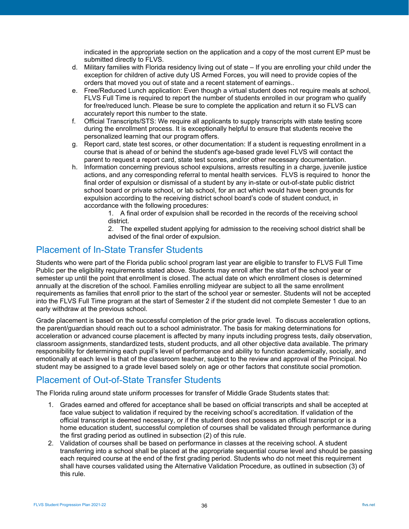indicated in the appropriate section on the application and a copy of the most current EP must be submitted directly to FLVS.

- d. Military families with Florida residency living out of state If you are enrolling your child under the exception for children of active duty US Armed Forces, you will need to provide copies of the orders that moved you out of state and a recent statement of earnings..
- e. Free/Reduced Lunch application: Even though a virtual student does not require meals at school, FLVS Full Time is required to report the number of students enrolled in our program who qualify for free/reduced lunch. Please be sure to complete the application and return it so FLVS can accurately report this number to the state.
- f. Official Transcripts/STS: We require all applicants to supply transcripts with state testing score during the enrollment process. It is exceptionally helpful to ensure that students receive the personalized learning that our program offers.
- g. Report card, state test scores, or other documentation: If a student is requesting enrollment in a course that is ahead of or behind the student's age-based grade level FLVS will contact the parent to request a report card, state test scores, and/or other necessary documentation.
- h. Information concerning previous school expulsions, arrests resulting in a charge, juvenile justice actions, and any corresponding referral to mental health services. FLVS is required to honor the final order of expulsion or dismissal of a student by any in-state or out-of-state public district school board or private school, or lab school, for an act which would have been grounds for expulsion according to the receiving district school board's code of student conduct, in accordance with the following procedures:

1. A final order of expulsion shall be recorded in the records of the receiving school district.

2. The expelled student applying for admission to the receiving school district shall be advised of the final order of expulsion.

## <span id="page-35-0"></span>Placement of In-State Transfer Students

Students who were part of the Florida public school program last year are eligible to transfer to FLVS Full Time Public per the eligibility requirements stated above. Students may enroll after the start of the school year or semester up until the point that enrollment is closed. The actual date on which enrollment closes is determined annually at the discretion of the school. Families enrolling midyear are subject to all the same enrollment requirements as families that enroll prior to the start of the school year or semester. Students will not be accepted into the FLVS Full Time program at the start of Semester 2 if the student did not complete Semester 1 due to an early withdraw at the previous school.

Grade placement is based on the successful completion of the prior grade level. To discuss acceleration options, the parent/guardian should reach out to a school administrator. The basis for making determinations for acceleration or advanced course placement is affected by many inputs including progress tests, daily observation, classroom assignments, standardized tests, student products, and all other objective data available. The primary responsibility for determining each pupil's level of performance and ability to function academically, socially, and emotionally at each level is that of the classroom teacher, subject to the review and approval of the Principal. No student may be assigned to a grade level based solely on age or other factors that constitute social promotion.

# <span id="page-35-1"></span>Placement of Out-of-State Transfer Students

The Florida ruling around state uniform processes for transfer of Middle Grade Students states that:

- 1. Grades earned and offered for acceptance shall be based on official transcripts and shall be accepted at face value subject to validation if required by the receiving school's accreditation. If validation of the official transcript is deemed necessary, or if the student does not possess an official transcript or is a home education student, successful completion of courses shall be validated through performance during the first grading period as outlined in subsection (2) of this rule.
- 2. Validation of courses shall be based on performance in classes at the receiving school. A student transferring into a school shall be placed at the appropriate sequential course level and should be passing each required course at the end of the first grading period. Students who do not meet this requirement shall have courses validated using the Alternative Validation Procedure, as outlined in subsection (3) of this rule.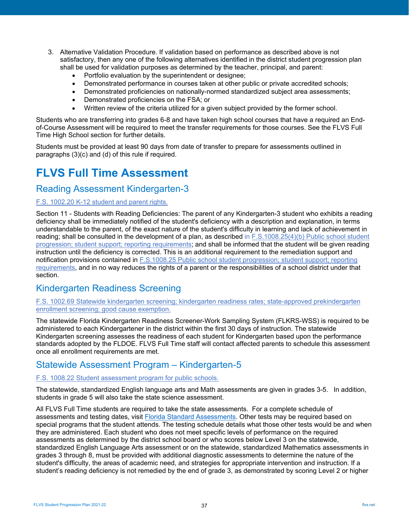- 3. Alternative Validation Procedure. If validation based on performance as described above is not satisfactory, then any one of the following alternatives identified in the district student progression plan shall be used for validation purposes as determined by the teacher, principal, and parent:
	- Portfolio evaluation by the superintendent or designee;
	- Demonstrated performance in courses taken at other public or private accredited schools;
	- Demonstrated proficiencies on nationally-normed standardized subject area assessments;
	- Demonstrated proficiencies on the FSA; or
	- Written review of the criteria utilized for a given subject provided by the former school.

Students who are transferring into grades 6-8 and have taken high school courses that have a required an Endof-Course Assessment will be required to meet the transfer requirements for those courses. See the FLVS Full Time High School section for further details.

Students must be provided at least 90 days from date of transfer to prepare for assessments outlined in paragraphs (3)(c) and (d) of this rule if required.

# <span id="page-36-0"></span>**FLVS Full Time Assessment**

## <span id="page-36-1"></span>Reading Assessment Kindergarten-3

## [F.S. 1002.20 K-12 student and parent rights.](http://www.leg.state.fl.us/statutes/index.cfm?mode=View%20Statutes&SubMenu=1&App_mode=Display_Statute&Search_String=1002.20&URL=1000-1099/1002/Sections/1002.20.html)

Section 11 - Students with Reading Deficiencies: The parent of any Kindergarten-3 student who exhibits a reading deficiency shall be immediately notified of the student's deficiency with a description and explanation, in terms understandable to the parent, of the exact nature of the student's difficulty in learning and lack of achievement in reading; shall be consulted in the development of a plan, as described in F.S.1008.25(4)(b) Public school student [progression; student support; reporting requirements;](http://www.leg.state.fl.us/statutes/index.cfm?mode=View%20Statutes&SubMenu=1&App_mode=Display_Statute&Search_String=1008.25&URL=1000-1099/1008/Sections/1008.25.html) and shall be informed that the student will be given reading instruction until the deficiency is corrected. This is an additional requirement to the remediation support and notification provisions contained in [F.S.1008.25 Public school student progression; student support; reporting](http://www.leg.state.fl.us/statutes/index.cfm?mode=View%20Statutes&SubMenu=1&App_mode=Display_Statute&Search_String=1008.25&URL=1000-1099/1008/Sections/1008.25.html)  [requirements,](http://www.leg.state.fl.us/statutes/index.cfm?mode=View%20Statutes&SubMenu=1&App_mode=Display_Statute&Search_String=1008.25&URL=1000-1099/1008/Sections/1008.25.html) and in no way reduces the rights of a parent or the responsibilities of a school district under that section.

## <span id="page-36-2"></span>Kindergarten Readiness Screening

[F.S. 1002.69 Statewide kindergarten screening; kindergarten readiness rates; state-approved prekindergarten](http://www.leg.state.fl.us/statutes/index.cfm?mode=View%20Statutes&SubMenu=1&App_mode=Display_Statute&Search_String=1002.69&URL=1000-1099/1002/Sections/1002.69.html)  [enrollment screening; good cause exemption.](http://www.leg.state.fl.us/statutes/index.cfm?mode=View%20Statutes&SubMenu=1&App_mode=Display_Statute&Search_String=1002.69&URL=1000-1099/1002/Sections/1002.69.html)

The statewide Florida Kindergarten Readiness Screener-Work Sampling System (FLKRS-WSS) is required to be administered to each Kindergartener in the district within the first 30 days of instruction. The statewide Kindergarten screening assesses the readiness of each student for Kindergarten based upon the performance standards adopted by the FLDOE. FLVS Full Time staff will contact affected parents to schedule this assessment once all enrollment requirements are met.

## <span id="page-36-3"></span>Statewide Assessment Program – Kindergarten-5

#### [F.S. 1008.22 Student assessment program for public schools.](http://www.leg.state.fl.us/statutes/index.cfm?mode=View%20Statutes&SubMenu=1&App_mode=Display_Statute&Search_String=1008.22&URL=1000-1099/1008/Sections/1008.22.html)

The statewide, standardized English language arts and Math assessments are given in grades 3-5. In addition, students in grade 5 will also take the state science assessment.

All FLVS Full Time students are required to take the state assessments. For a complete schedule of assessments and testing dates, visit [Florida Standard Assessments.](https://fsassessments.org/) Other tests may be required based on special programs that the student attends. The testing schedule details what those other tests would be and when they are administered. Each student who does not meet specific levels of performance on the required assessments as determined by the district school board or who scores below Level 3 on the statewide, standardized English Language Arts assessment or on the statewide, standardized Mathematics assessments in grades 3 through 8, must be provided with additional diagnostic assessments to determine the nature of the student's difficulty, the areas of academic need, and strategies for appropriate intervention and instruction. If a student's reading deficiency is not remedied by the end of grade 3, as demonstrated by scoring Level 2 or higher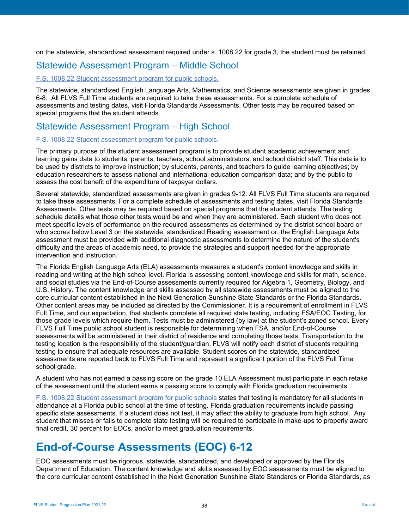on the statewide, standardized assessment required under s. 1008.22 for grade 3, the student must be retained.

## <span id="page-37-0"></span>Statewide Assessment Program – Middle School

### [F.S. 1008.22 Student assessment program for public schools.](http://www.leg.state.fl.us/statutes/index.cfm?mode=View%20Statutes&SubMenu=1&App_mode=Display_Statute&Search_String=1008.22&URL=1000-1099/1008/Sections/1008.22.html)

The statewide, standardized English Language Arts, Mathematics, and Science assessments are given in grades 6-8. All FLVS Full Time students are required to take these assessments. For a complete schedule of assessments and testing dates, visit [Florida Standards Assessments.](http://fsassessments.org/) Other tests may be required based on special programs that the student attends.

# <span id="page-37-1"></span>Statewide Assessment Program – High School

#### [F.S. 1008.22 Student assessment program for public schools.](http://www.leg.state.fl.us/statutes/index.cfm?mode=View%20Statutes&SubMenu=1&App_mode=Display_Statute&Search_String=1008.22&URL=1000-1099/1008/Sections/1008.22.html)

The primary purpose of the student assessment program is to provide student academic achievement and learning gains data to students, parents, teachers, school administrators, and school district staff. This data is to be used by districts to improve instruction; by students, parents, and teachers to guide learning objectives; by education researchers to assess national and international education comparison data; and by the public to assess the cost benefit of the expenditure of taxpayer dollars.

Several statewide, standardized assessments are given in grades 9-12. All FLVS Full Time students are required to take these assessments. For a complete schedule of assessments and testing dates, visit [Florida Standards](http://fsassessments.org/)  [Assessments.](http://fsassessments.org/) Other tests may be required based on special programs that the student attends. The testing schedule details what those other tests would be and when they are administered. Each student who does not meet specific levels of performance on the required assessments as determined by the district school board or who scores below Level 3 on the statewide, standardized Reading assessment or, the English Language Arts assessment must be provided with additional diagnostic assessments to determine the nature of the student's difficulty and the areas of academic need, to provide the strategies and support needed for the appropriate intervention and instruction.

The Florida English Language Arts (ELA) assessments measures a student's content knowledge and skills in reading and writing at the high school level. Florida is assessing content knowledge and skills for math, science, and social studies via the End-of-Course assessments currently required for Algebra 1, Geometry, Biology, and U.S. History. The content knowledge and skills assessed by all statewide assessments must be aligned to the core curricular content established in the Next Generation Sunshine State Standards or the Florida Standards. Other content areas may be included as directed by the Commissioner. It is a requirement of enrollment in FLVS Full Time, and our expectation, that students complete all required state testing, including FSA/EOC Testing, for those grade levels which require them. Tests must be administered (by law) at the student's zoned school. Every FLVS Full Time public school student is responsible for determining when FSA, and/or End-of-Course assessments will be administered in their district of residence and completing those tests. Transportation to the testing location is the responsibility of the student/guardian. FLVS will notify each district of students requiring testing to ensure that adequate resources are available. Student scores on the statewide, standardized assessments are reported back to FLVS Full Time and represent a significant portion of the FLVS Full Time school grade.

A student who has not earned a passing score on the grade 10 ELA Assessment must participate in each retake of the assessment until the student earns a passing score to comply with Florida graduation requirements.

[F.S. 1008.22 Student assessment program for public schools](http://www.leg.state.fl.us/statutes/index.cfm?mode=View%20Statutes&SubMenu=1&App_mode=Display_Statute&Search_String=1008.22&URL=1000-1099/1008/Sections/1008.22.html) states that testing is mandatory for all students in attendance at a Florida public school at the time of testing. Florida graduation requirements include passing specific state assessments. If a student does not test, it may affect the ability to graduate from high school. Any student that misses or fails to complete state testing will be required to participate in make-ups to properly award final credit, 30 percent for EOCs, and/or to meet graduation requirements.

# <span id="page-37-2"></span>**End-of-Course Assessments (EOC) 6-12**

EOC assessments must be rigorous, statewide, standardized, and developed or approved by the Florida Department of Education. The content knowledge and skills assessed by EOC assessments must be aligned to the core curricular content established in the Next Generation Sunshine State Standards or Florida Standards, as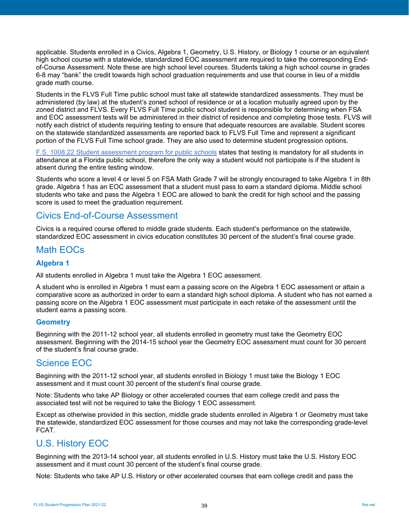applicable. Students enrolled in a Civics, Algebra 1, Geometry, U.S. History, or Biology 1 course or an equivalent high school course with a statewide, standardized EOC assessment are required to take the corresponding Endof-Course Assessment. Note these are high school level courses. Students taking a high school course in grades 6-8 may "bank" the credit towards high school graduation requirements and use that course in lieu of a middle grade math course.

Students in the FLVS Full Time public school must take all statewide standardized assessments. They must be administered (by law) at the student's zoned school of residence or at a location mutually agreed upon by the zoned district and FLVS. Every FLVS Full Time public school student is responsible for determining when FSA and EOC assessment tests will be administered in their district of residence and completing those tests. FLVS will notify each district of students requiring testing to ensure that adequate resources are available. Student scores on the statewide standardized assessments are reported back to FLVS Full Time and represent a significant portion of the FLVS Full Time school grade. They are also used to determine student progression options.

[F.S. 1008.22 Student assessment program for public schools](http://www.leg.state.fl.us/statutes/index.cfm?mode=View%20Statutes&SubMenu=1&App_mode=Display_Statute&Search_String=1008.22&URL=1000-1099/1008/Sections/1008.22.html) states that testing is mandatory for all students in attendance at a Florida public school, therefore the only way a student would not participate is if the student is absent during the entire testing window.

Students who score a level 4 or level 5 on FSA Math Grade 7 will be strongly encouraged to take Algebra 1 in 8th grade. Algebra 1 has an EOC assessment that a student must pass to earn a standard diploma. Middle school students who take and pass the Algebra 1 EOC are allowed to bank the credit for high school and the passing score is used to meet the graduation requirement.

## <span id="page-38-0"></span>Civics End-of-Course Assessment

Civics is a required course offered to middle grade students. Each student's performance on the statewide, standardized EOC assessment in civics education constitutes 30 percent of the student's final course grade.

## <span id="page-38-1"></span>Math EOCs

## <span id="page-38-2"></span>**Algebra 1**

All students enrolled in Algebra 1 must take the Algebra 1 EOC assessment.

A student who is enrolled in Algebra 1 must earn a passing score on the Algebra 1 EOC assessment or attain a comparative score as authorized in order to earn a standard high school diploma. A student who has not earned a passing score on the Algebra 1 EOC assessment must participate in each retake of the assessment until the student earns a passing score.

### <span id="page-38-3"></span>**Geometry**

Beginning with the 2011-12 school year, all students enrolled in geometry must take the Geometry EOC assessment. Beginning with the 2014-15 school year the Geometry EOC assessment must count for 30 percent of the student's final course grade.

## <span id="page-38-4"></span>Science EOC

Beginning with the 2011-12 school year, all students enrolled in Biology 1 must take the Biology 1 EOC assessment and it must count 30 percent of the student's final course grade.

Note: Students who take AP Biology or other accelerated courses that earn college credit and pass the associated test will not be required to take the Biology 1 EOC assessment.

Except as otherwise provided in this section, middle grade students enrolled in Algebra 1 or Geometry must take the statewide, standardized EOC assessment for those courses and may not take the corresponding grade-level FCAT.

# <span id="page-38-5"></span>U.S. History EOC

Beginning with the 2013-14 school year, all students enrolled in U.S. History must take the U.S. History EOC assessment and it must count 30 percent of the student's final course grade.

Note: Students who take AP U.S. History or other accelerated courses that earn college credit and pass the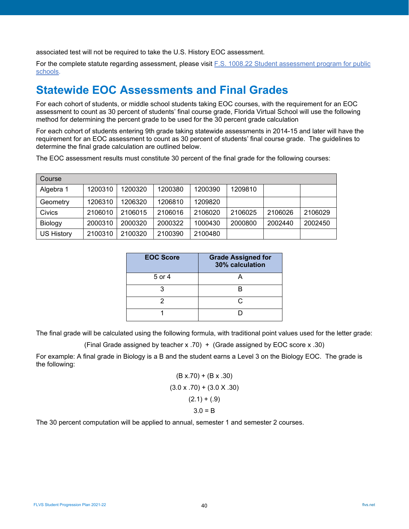associated test will not be required to take the U.S. History EOC assessment.

For the complete statute regarding assessment, please visit [F.S. 1008.22 Student assessment program for public](http://www.leg.state.fl.us/statutes/index.cfm?mode=View%20Statutes&SubMenu=1&App_mode=Display_Statute&Search_String=1008.22&URL=1000-1099/1008/Sections/1008.22.html)  [schools.](http://www.leg.state.fl.us/statutes/index.cfm?mode=View%20Statutes&SubMenu=1&App_mode=Display_Statute&Search_String=1008.22&URL=1000-1099/1008/Sections/1008.22.html)

# <span id="page-39-0"></span>**Statewide EOC Assessments and Final Grades**

For each cohort of students, or middle school students taking EOC courses, with the requirement for an EOC assessment to count as 30 percent of students' final course grade, Florida Virtual School will use the following method for determining the percent grade to be used for the 30 percent grade calculation

For each cohort of students entering 9th grade taking statewide assessments in 2014-15 and later will have the requirement for an EOC assessment to count as 30 percent of students' final course grade. The guidelines to determine the final grade calculation are outlined below.

The EOC assessment results must constitute 30 percent of the final grade for the following courses:

<span id="page-39-1"></span>

| Course            |         |         |         |         |         |         |         |
|-------------------|---------|---------|---------|---------|---------|---------|---------|
| Algebra 1         | 1200310 | 1200320 | 1200380 | 1200390 | 1209810 |         |         |
| Geometry          | 1206310 | 1206320 | 1206810 | 1209820 |         |         |         |
| Civics            | 2106010 | 2106015 | 2106016 | 2106020 | 2106025 | 2106026 | 2106029 |
| Biology           | 2000310 | 2000320 | 2000322 | 1000430 | 2000800 | 2002440 | 2002450 |
| <b>US History</b> | 2100310 | 2100320 | 2100390 | 2100480 |         |         |         |

| <b>EOC Score</b> | <b>Grade Assigned for</b><br>30% calculation |
|------------------|----------------------------------------------|
| 5 or 4           |                                              |
|                  |                                              |
| 2                | r.                                           |
|                  |                                              |

The final grade will be calculated using the following formula, with traditional point values used for the letter grade:

(Final Grade assigned by teacher x .70) + (Grade assigned by EOC score x .30)

For example: A final grade in Biology is a B and the student earns a Level 3 on the Biology EOC. The grade is the following:

$$
(B x.70) + (B x .30)
$$
  
(3.0 x .70) + (3.0 X .30)  
(2.1) + (.9)  
3.0 = B

The 30 percent computation will be applied to annual, semester 1 and semester 2 courses.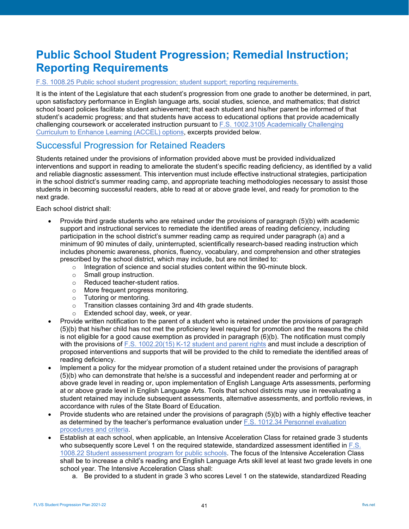# **Public School Student Progression; Remedial Instruction; Reporting Requirements**

#### [F.S. 1008.25 Public school student progression; student support; reporting requirements.](http://www.leg.state.fl.us/statutes/index.cfm?mode=View%20Statutes&SubMenu=1&App_mode=Display_Statute&Search_String=1008.25&URL=1000-1099/1008/Sections/1008.25.html)

It is the intent of the Legislature that each student's progression from one grade to another be determined, in part, upon satisfactory performance in English language arts, social studies, science, and mathematics; that district school board policies facilitate student achievement; that each student and his/her parent be informed of that student's academic progress; and that students have access to educational options that provide academically challenging coursework or accelerated instruction pursuant to [F.S. 1002.3105 Academically Challenging](http://www.leg.state.fl.us/statutes/index.cfm?mode=View%20Statutes&SubMenu=1&App_mode=Display_Statute&Search_String=1002.3105&URL=1000-1099/1002/Sections/1002.3105.html)  [Curriculum to Enhance Learning \(ACCEL\) options,](http://www.leg.state.fl.us/statutes/index.cfm?mode=View%20Statutes&SubMenu=1&App_mode=Display_Statute&Search_String=1002.3105&URL=1000-1099/1002/Sections/1002.3105.html) excerpts provided below.

## <span id="page-40-0"></span>Successful Progression for Retained Readers

Students retained under the provisions of information provided above must be provided individualized interventions and support in reading to ameliorate the student's specific reading deficiency, as identified by a valid and reliable diagnostic assessment. This intervention must include effective instructional strategies, participation in the school district's summer reading camp, and appropriate teaching methodologies necessary to assist those students in becoming successful readers, able to read at or above grade level, and ready for promotion to the next grade.

Each school district shall:

- Provide third grade students who are retained under the provisions of paragraph (5)(b) with academic support and instructional services to remediate the identified areas of reading deficiency, including participation in the school district's summer reading camp as required under paragraph (a) and a minimum of 90 minutes of daily, uninterrupted, scientifically research-based reading instruction which includes phonemic awareness, phonics, fluency, vocabulary, and comprehension and other strategies prescribed by the school district, which may include, but are not limited to:
	- $\circ$  Integration of science and social studies content within the 90-minute block.<br>  $\circ$  Small group instruction.
	- Small group instruction.
	- o Reduced teacher-student ratios.
	- o More frequent progress monitoring.
	- o Tutoring or mentoring.
	- o Transition classes containing 3rd and 4th grade students.
	- o Extended school day, week, or year.
- Provide written notification to the parent of a student who is retained under the provisions of paragraph (5)(b) that his/her child has not met the proficiency level required for promotion and the reasons the child is not eligible for a good cause exemption as provided in paragraph (6)(b). The notification must comply with the provisions of [F.S. 1002.20\(15\) K-12 student and parent rights](http://www.leg.state.fl.us/statutes/index.cfm?mode=View%20Statutes&SubMenu=1&App_mode=Display_Statute&Search_String=1002.20&URL=1000-1099/1002/Sections/1002.20.html) and must include a description of proposed interventions and supports that will be provided to the child to remediate the identified areas of reading deficiency.
- Implement a policy for the midyear promotion of a student retained under the provisions of paragraph (5)(b) who can demonstrate that he/she is a successful and independent reader and performing at or above grade level in reading or, upon implementation of English Language Arts assessments, performing at or above grade level in English Language Arts. Tools that school districts may use in reevaluating a student retained may include subsequent assessments, alternative assessments, and portfolio reviews, in accordance with rules of the State Board of Education.
- Provide students who are retained under the provisions of paragraph (5)(b) with a highly effective teacher as determined by the teacher's performance evaluation under  $F.S. 1012.34$  Personnel evaluation [procedures and criteria.](http://www.leg.state.fl.us/statutes/index.cfm?mode=View%20Statutes&SubMenu=1&App_mode=Display_Statute&Search_String=1012.34&URL=1000-1099/1012/Sections/1012.34.html)
- Establish at each school, when applicable, an Intensive Acceleration Class for retained grade 3 students who subsequently score Level 1 on the required statewide, standardized assessment identified in F.S. [1008.22 Student assessment program for public schools.](http://www.leg.state.fl.us/statutes/index.cfm?mode=View%20Statutes&SubMenu=1&App_mode=Display_Statute&Search_String=1008.22&URL=1000-1099/1008/Sections/1008.22.html) The focus of the Intensive Acceleration Class shall be to increase a child's reading and English Language Arts skill level at least two grade levels in one school year. The Intensive Acceleration Class shall:
	- a. Be provided to a student in grade 3 who scores Level 1 on the statewide, standardized Reading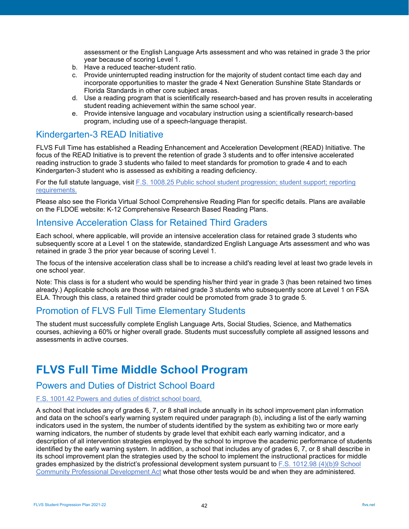assessment or the English Language Arts assessment and who was retained in grade 3 the prior year because of scoring Level 1.

- b. Have a reduced teacher-student ratio.
- c. Provide uninterrupted reading instruction for the majority of student contact time each day and incorporate opportunities to master the grade 4 Next Generation Sunshine State Standards or Florida Standards in other core subject areas.
- d. Use a reading program that is scientifically research-based and has proven results in accelerating student reading achievement within the same school year.
- e. Provide intensive language and vocabulary instruction using a scientifically research-based program, including use of a speech-language therapist.

## <span id="page-41-0"></span>Kindergarten-3 READ Initiative

FLVS Full Time has established a Reading Enhancement and Acceleration Development (READ) Initiative. The focus of the READ Initiative is to prevent the retention of grade 3 students and to offer intensive accelerated reading instruction to grade 3 students who failed to meet standards for promotion to grade 4 and to each Kindergarten-3 student who is assessed as exhibiting a reading deficiency.

For the full statute language, visit [F.S. 1008.25 Public school student progression; student support; reporting](http://www.leg.state.fl.us/statutes/index.cfm?mode=View%20Statutes&SubMenu=1&App_mode=Display_Statute&Search_String=1008.25&URL=1000-1099/1008/Sections/1008.25.html)  [requirements.](http://www.leg.state.fl.us/statutes/index.cfm?mode=View%20Statutes&SubMenu=1&App_mode=Display_Statute&Search_String=1008.25&URL=1000-1099/1008/Sections/1008.25.html)

Please also see the Florida Virtual School Comprehensive Reading Plan for specific details. Plans are available on the FLDOE website: K-12 Comprehensive Research Based Reading Plans.

## <span id="page-41-1"></span>Intensive Acceleration Class for Retained Third Graders

Each school, where applicable, will provide an intensive acceleration class for retained grade 3 students who subsequently score at a Level 1 on the statewide, standardized English Language Arts assessment and who was retained in grade 3 the prior year because of scoring Level 1.

The focus of the intensive acceleration class shall be to increase a child's reading level at least two grade levels in one school year.

Note: This class is for a student who would be spending his/her third year in grade 3 (has been retained two times already.) Applicable schools are those with retained grade 3 students who subsequently score at Level 1 on FSA ELA. Through this class, a retained third grader could be promoted from grade 3 to grade 5.

## <span id="page-41-2"></span>Promotion of FLVS Full Time Elementary Students

The student must successfully complete English Language Arts, Social Studies, Science, and Mathematics courses, achieving a 60% or higher overall grade. Students must successfully complete all assigned lessons and assessments in active courses.

# <span id="page-41-3"></span>**FLVS Full Time Middle School Program**

## <span id="page-41-4"></span>Powers and Duties of District School Board

### [F.S. 1001.42 Powers and duties of district school board.](http://www.leg.state.fl.us/statutes/index.cfm?mode=View%20Statutes&SubMenu=1&App_mode=Display_Statute&Search_String=1001.42&URL=1000-1099/1001/Sections/1001.42.html)

A school that includes any of grades 6, 7, or 8 shall include annually in its school improvement plan information and data on the school's early warning system required under paragraph (b), including a list of the early warning indicators used in the system, the number of students identified by the system as exhibiting two or more early warning indicators, the number of students by grade level that exhibit each early warning indicator, and a description of all intervention strategies employed by the school to improve the academic performance of students identified by the early warning system. In addition, a school that includes any of grades 6, 7, or 8 shall describe in its school improvement plan the strategies used by the school to implement the instructional practices for middle grades emphasized by the district's professional development system pursuant to [F.S. 1012.98 \(4\)\(b\)9 School](http://www.leg.state.fl.us/statutes/index.cfm?mode=View%20Statutes&SubMenu=1&App_mode=Display_Statute&Search_String=1012.98&URL=1000-1099/1012/Sections/1012.98.html)  [Community Professional Development Act](http://www.leg.state.fl.us/statutes/index.cfm?mode=View%20Statutes&SubMenu=1&App_mode=Display_Statute&Search_String=1012.98&URL=1000-1099/1012/Sections/1012.98.html) what those other tests would be and when they are administered.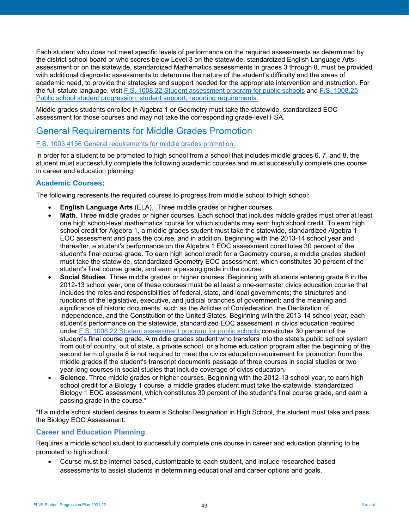Each student who does not meet specific levels of performance on the required assessments as determined by the district school board or who scores below Level 3 on the statewide, standardized English Language Arts assessment or on the statewide, standardized Mathematics assessments in grades 3 through 8, must be provided with additional diagnostic assessments to determine the nature of the student's difficulty and the areas of academic need, to provide the strategies and support needed for the appropriate intervention and instruction. For the full statute language, visi[t F.S. 1008.22 Student assessment program for public schools](http://www.leg.state.fl.us/statutes/index.cfm?mode=View%20Statutes&SubMenu=1&App_mode=Display_Statute&Search_String=1008.22&URL=1000-1099/1008/Sections/1008.22.html) and [F.S. 1008.25](http://www.leg.state.fl.us/statutes/index.cfm?mode=View%20Statutes&SubMenu=1&App_mode=Display_Statute&Search_String=1008.25&URL=1000-1099/1008/Sections/1008.25.html)  [Public school student progression; student support; reporting requirements.](http://www.leg.state.fl.us/statutes/index.cfm?mode=View%20Statutes&SubMenu=1&App_mode=Display_Statute&Search_String=1008.25&URL=1000-1099/1008/Sections/1008.25.html)

Middle grades students enrolled in Algebra 1 or Geometry must take the statewide, standardized EOC assessment for those courses and may not take the corresponding grade-level FSA.

## <span id="page-42-0"></span>General Requirements for Middle Grades Promotion

#### [F.S. 1003.4156 General requirements for middle grades promotion.](http://www.leg.state.fl.us/statutes/index.cfm?mode=View%20Statutes&SubMenu=1&App_mode=Display_Statute&Search_String=1003.4156&URL=1000-1099/1003/Sections/1003.4156.html)

In order for a student to be promoted to high school from a school that includes middle grades 6, 7, and 8, the student must successfully complete the following academic courses and must successfully complete one course in career and education planning:

## <span id="page-42-1"></span>**Academic Courses:**

The following represents the required courses to progress from middle school to high school:

- **English Language Arts** (ELA). Three middle grades or higher courses.
- **Math**. Three middle grades or higher courses. Each school that includes middle grades must offer at least one high school-level mathematics course for which students may earn high school credit. To earn high school credit for Algebra 1, a middle grades student must take the statewide, standardized Algebra 1 EOC assessment and pass the course, and in addition, beginning with the 2013-14 school year and thereafter, a student's performance on the Algebra 1 EOC assessment constitutes 30 percent of the student's final course grade. To earn high school credit for a Geometry course, a middle grades student must take the statewide, standardized Geometry EOC assessment, which constitutes 30 percent of the student's final course grade, and earn a passing grade in the course.
- **Social Studies**. Three middle grades or higher courses. Beginning with students entering grade 6 in the 2012-13 school year, one of these courses must be at least a one-semester civics education course that includes the roles and responsibilities of federal, state, and local governments; the structures and functions of the legislative, executive, and judicial branches of government; and the meaning and significance of historic documents, such as the Articles of Confederation, the Declaration of Independence, and the Constitution of the United States. Beginning with the 2013-14 school year, each student's performance on the statewide, standardized EOC assessment in civics education required under [F.S. 1008.22 Student assessment](http://www.leg.state.fl.us/statutes/index.cfm?mode=View%20Statutes&SubMenu=1&App_mode=Display_Statute&Search_String=1008.22&URL=1000-1099/1008/Sections/1008.22.html) program for public schools constitutes 30 percent of the student's final course grade. A middle grades student who transfers into the state's public school system from out of country, out of state, a private school, or a home education program after the beginning of the second term of grade 8 is not required to meet the civics education requirement for promotion from the middle grades if the student's transcript documents passage of three courses in social studies or two year-long courses in social studies that include coverage of civics education.
- **Science**. Three middle grades or higher courses. Beginning with the 2012-13 school year, to earn high school credit for a Biology 1 course, a middle grades student must take the statewide, standardized Biology 1 EOC assessment, which constitutes 30 percent of the student's final course grade, and earn a passing grade in the course.\*

\*If a middle school student desires to earn a Scholar Designation in High School, the student must take and pass the Biology EOC Assessment.

### **Career and Education Planning**:

Requires a middle school student to successfully complete one course in career and education planning to be promoted to high school:

• Course must be internet based, customizable to each student, and include researched-based assessments to assist students in determining educational and career options and goals.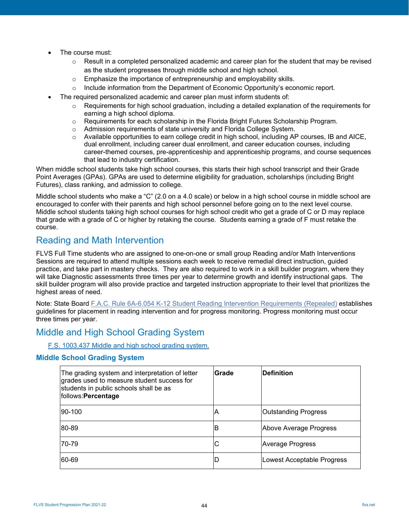- The course must:
	- $\circ$  Result in a completed personalized academic and career plan for the student that may be revised as the student progresses through middle school and high school.
	- o Emphasize the importance of entrepreneurship and employability skills.
	- $\circ$  Include information from the Department of Economic Opportunity's economic report.
- The required personalized academic and career plan must inform students of:
	- $\circ$  Requirements for high school graduation, including a detailed explanation of the requirements for earning a high school diploma.
	- o Requirements for each scholarship in the Florida Bright Futures Scholarship Program.
	- o Admission requirements of state university and Florida College System.
	- $\circ$  Available opportunities to earn college credit in high school, including AP courses, IB and AICE, dual enrollment, including career dual enrollment, and career education courses, including career-themed courses, pre-apprenticeship and apprenticeship programs, and course sequences that lead to industry certification.

When middle school students take high school courses, this starts their high school transcript and their Grade Point Averages (GPAs). GPAs are used to determine eligibility for graduation, scholarships (including Bright Futures), class ranking, and admission to college.

Middle school students who make a "C" (2.0 on a 4.0 scale) or below in a high school course in middle school are encouraged to confer with their parents and high school personnel before going on to the next level course. Middle school students taking high school courses for high school credit who get a grade of C or D may replace that grade with a grade of C or higher by retaking the course. Students earning a grade of F must retake the course.

## <span id="page-43-0"></span>Reading and Math Intervention

FLVS Full Time students who are assigned to one-on-one or small group Reading and/or Math Interventions Sessions are required to attend multiple sessions each week to receive remedial direct instruction, guided practice, and take part in mastery checks. They are also required to work in a skill builder program, where they will take Diagnostic assessments three times per year to determine growth and identify instructional gaps. The skill builder program will also provide practice and targeted instruction appropriate to their level that prioritizes the highest areas of need.

Note: State Board [F.A.C. Rule 6A-6.054 K-12 Student Reading Intervention Requirements \(Repealed\)](https://www.flrules.org/gateway/ruleno.asp?id=6A-6.054) establishes guidelines for placement in reading intervention and for progress monitoring. Progress monitoring must occur three times per year.

## <span id="page-43-1"></span>Middle and High School Grading System

## F.S. 1003.437 Middle [and high school grading system.](http://www.leg.state.fl.us/statutes/index.cfm?mode=View%20Statutes&SubMenu=1&App_mode=Display_Statute&Search_String=1003.437&URL=1000-1099/1003/Sections/1003.437.html)

#### <span id="page-43-2"></span>**Middle School Grading System**

| The grading system and interpretation of letter<br>grades used to measure student success for<br>students in public schools shall be as<br>follows: Percentage | Grade | <b>Definition</b>           |
|----------------------------------------------------------------------------------------------------------------------------------------------------------------|-------|-----------------------------|
| 90-100                                                                                                                                                         | Α     | <b>Outstanding Progress</b> |
| 80-89                                                                                                                                                          | 'B    | Above Average Progress      |
| 70-79                                                                                                                                                          | С     | Average Progress            |
| 60-69                                                                                                                                                          |       | Lowest Acceptable Progress  |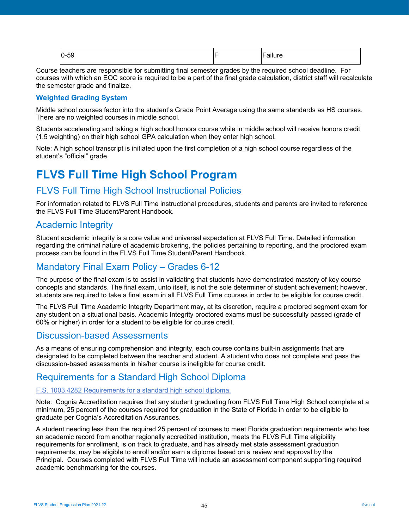| $\sim$<br>$0 - 59$ | -<br>. |
|--------------------|--------|
|                    |        |

Course teachers are responsible for submitting final semester grades by the required school deadline. For courses with which an EOC score is required to be a part of the final grade calculation, district staff will recalculate the semester grade and finalize.

## <span id="page-44-0"></span>**Weighted Grading System**

Middle school courses factor into the student's Grade Point Average using the same standards as HS courses. There are no weighted courses in middle school.

Students accelerating and taking a high school honors course while in middle school will receive honors credit (1.5 weighting) on their high school GPA calculation when they enter high school.

Note: A high school transcript is initiated upon the first completion of a high school course regardless of the student's "official" grade.

# <span id="page-44-1"></span>**FLVS Full Time High School Program**

## <span id="page-44-2"></span>FLVS Full Time High School Instructional Policies

For information related to FLVS Full Time instructional procedures, students and parents are invited to reference the FLVS Full Time Student/Parent Handbook.

## <span id="page-44-3"></span>Academic Integrity

Student academic integrity is a core value and universal expectation at FLVS Full Time. Detailed information regarding the criminal nature of academic brokering, the policies pertaining to reporting, and the proctored exam process can be found in the FLVS Full Time Student/Parent Handbook.

## <span id="page-44-4"></span>Mandatory Final Exam Policy – Grades 6-12

The purpose of the final exam is to assist in validating that students have demonstrated mastery of key course concepts and standards. The final exam, unto itself, is not the sole determiner of student achievement; however, students are required to take a final exam in all FLVS Full Time courses in order to be eligible for course credit.

The FLVS Full Time Academic Integrity Department may, at its discretion, require a proctored segment exam for any student on a situational basis. Academic Integrity proctored exams must be successfully passed (grade of 60% or higher) in order for a student to be eligible for course credit.

## <span id="page-44-5"></span>Discussion-based Assessments

As a means of ensuring comprehension and integrity, each course contains built-in assignments that are designated to be completed between the teacher and student. A student who does not complete and pass the discussion-based assessments in his/her course is ineligible for course credit.

## <span id="page-44-6"></span>Requirements for a Standard High School Diploma

### [F.S. 1003.4282 Requirements for a standard high school diploma.](http://www.leg.state.fl.us/statutes/index.cfm?mode=View%20Statutes&SubMenu=1&App_mode=Display_Statute&Search_String=1003.4282&URL=1000-1099/1003/Sections/1003.4282.html)

Note: Coania Accreditation requires that any student graduating from FLVS Full Time High School complete at a minimum, 25 percent of the courses required for graduation in the State of Florida in order to be eligible to graduate per Cognia's Accreditation Assurances.

A student needing less than the required 25 percent of courses to meet Florida graduation requirements who has an academic record from another regionally accredited institution, meets the FLVS Full Time eligibility requirements for enrollment, is on track to graduate, and has already met state assessment graduation requirements, may be eligible to enroll and/or earn a diploma based on a review and approval by the Principal. Courses completed with FLVS Full Time will include an assessment component supporting required academic benchmarking for the courses.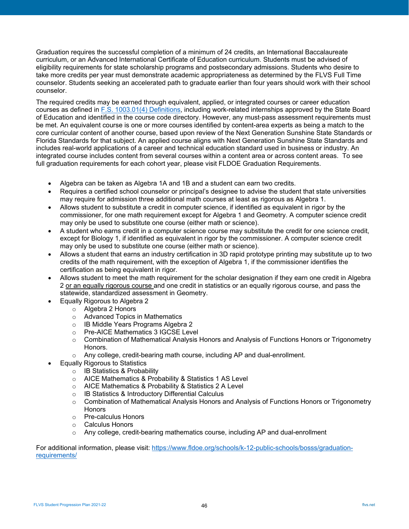Graduation requires the successful completion of a minimum of 24 credits, an International Baccalaureate curriculum, or an Advanced International Certificate of Education curriculum. Students must be advised of eligibility requirements for state scholarship programs and postsecondary admissions. Students who desire to take more credits per year must demonstrate academic appropriateness as determined by the FLVS Full Time counselor. Students seeking an accelerated path to graduate earlier than four years should work with their school counselor.

The required credits may be earned through equivalent, applied, or integrated courses or career education courses as defined in [F.S. 1003.01\(4\) Definitions,](http://www.leg.state.fl.us/statutes/index.cfm?mode=View%20Statutes&SubMenu=1&App_mode=Display_Statute&Search_String=1003.01&URL=1000-1099/1003/Sections/1003.01.html) including work-related internships approved by the State Board of Education and identified in the course code directory. However, any must-pass assessment requirements must be met. An equivalent course is one or more courses identified by content-area experts as being a match to the core curricular content of another course, based upon review of the Next Generation Sunshine State Standards or Florida Standards for that subject. An applied course aligns with Next Generation Sunshine State Standards and includes real-world applications of a career and technical education standard used in business or industry. An integrated course includes content from several courses within a content area or across content areas. To see full graduation requirements for each cohort year, please visit [FLDOE Graduation Requirements.](http://www.fldoe.org/academics/graduation-requirements/)

- Algebra can be taken as Algebra 1A and 1B and a student can earn two credits.
- Requires a certified school counselor or principal's designee to advise the student that state universities may require for admission three additional math courses at least as rigorous as Algebra 1.
- Allows student to substitute a credit in computer science, if identified as equivalent in rigor by the commissioner, for one math requirement except for Algebra 1 and Geometry. A computer science credit may only be used to substitute one course (either math or science).
- A student who earns credit in a computer science course may substitute the credit for one science credit, except for Biology 1, if identified as equivalent in rigor by the commissioner. A computer science credit may only be used to substitute one course (either math or science).
- Allows a student that earns an industry certification in 3D rapid prototype printing may substitute up to two credits of the math requirement, with the exception of Algebra 1, if the commissioner identifies the certification as being equivalent in rigor.
- Allows student to meet the math requirement for the scholar designation if they earn one credit in Algebra 2 or an equally rigorous course and one credit in statistics or an equally rigorous course, and pass the statewide, standardized assessment in Geometry.
- Equally Rigorous to Algebra 2
	- o Algebra 2 Honors
	- o Advanced Topics in Mathematics
	- o IB Middle Years Programs Algebra 2
	- o Pre-AICE Mathematics 3 IGCSE Level
	- $\circ$  Combination of Mathematical Analysis Honors and Analysis of Functions Honors or Trigonometry Honors.
	- $\circ$  Any college, credit-bearing math course, including AP and dual-enrollment.
- Equally Rigorous to Statistics
	- o IB Statistics & Probability
	- o AICE Mathematics & Probability & Statistics 1 AS Level
	- o AICE Mathematics & Probability & Statistics 2 A Level
	- o IB Statistics & Introductory Differential Calculus
	- $\circ$  Combination of Mathematical Analysis Honors and Analysis of Functions Honors or Trigonometry **Honors**
	- o Pre-calculus Honors
	- o Calculus Honors
	- $\circ$  Any college, credit-bearing mathematics course, including AP and dual-enrollment

For additional information, please visit: [https://www.fldoe.org/schools/k-12-public-schools/bosss/graduation](https://www.fldoe.org/schools/k-12-public-schools/bosss/graduation-requirements/)[requirements/](https://www.fldoe.org/schools/k-12-public-schools/bosss/graduation-requirements/)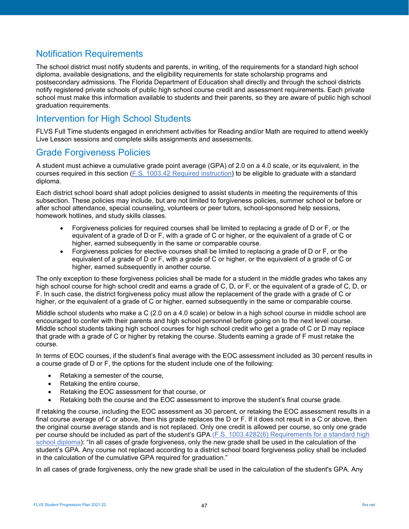# <span id="page-46-0"></span>Notification Requirements

The school district must notify students and parents, in writing, of the requirements for a standard high school diploma, available designations, and the eligibility requirements for state scholarship programs and postsecondary admissions. The Florida Department of Education shall directly and through the school districts notify registered private schools of public high school course credit and assessment requirements. Each private school must make this information available to students and their parents, so they are aware of public high school graduation requirements.

# <span id="page-46-1"></span>Intervention for High School Students

FLVS Full Time students engaged in enrichment activities for Reading and/or Math are required to attend weekly Live Lesson sessions and complete skills assignments and assessments.

## <span id="page-46-2"></span>Grade Forgiveness Policies

A student must achieve a cumulative grade point average (GPA) of 2.0 on a 4.0 scale, or its equivalent, in the courses required in this section [\(F.S. 1003.42 Required instruction\)](http://www.leg.state.fl.us/statutes/index.cfm?mode=View%20Statutes&SubMenu=1&App_mode=Display_Statute&Search_String=1003.42&URL=1000-1099/1003/Sections/1003.42.html) to be eligible to graduate with a standard diploma.

Each district school board shall adopt policies designed to assist students in meeting the requirements of this subsection. These policies may include, but are not limited to forgiveness policies, summer school or before or after school attendance, special counseling, volunteers or peer tutors, school-sponsored help sessions, homework hotlines, and study skills classes.

- Forgiveness policies for required courses shall be limited to replacing a grade of D or F, or the equivalent of a grade of D or F, with a grade of C or higher, or the equivalent of a grade of C or higher, earned subsequently in the same or comparable course.
- Forgiveness policies for elective courses shall be limited to replacing a grade of D or F, or the equivalent of a grade of D or F, with a grade of C or higher, or the equivalent of a grade of C or higher, earned subsequently in another course.

The only exception to these forgiveness policies shall be made for a student in the middle grades who takes any high school course for high school credit and earns a grade of C, D, or F, or the equivalent of a grade of C, D, or F. In such case, the district forgiveness policy must allow the replacement of the grade with a grade of C or higher, or the equivalent of a grade of C or higher, earned subsequently in the same or comparable course.

Middle school students who make a C (2.0 on a 4.0 scale) or below in a high school course in middle school are encouraged to confer with their parents and high school personnel before going on to the next level course. Middle school students taking high school courses for high school credit who get a grade of C or D may replace that grade with a grade of C or higher by retaking the course. Students earning a grade of F must retake the course.

In terms of EOC courses, if the student's final average with the EOC assessment included as 30 percent results in a course grade of D or F, the options for the student include one of the following:

- Retaking a semester of the course,
- Retaking the entire course,
- Retaking the EOC assessment for that course, or
- Retaking both the course and the EOC assessment to improve the student's final course grade.

If retaking the course, including the EOC assessment as 30 percent, or retaking the EOC assessment results in a final course average of C or above, then this grade replaces the D or F. If it does not result in a C or above, then the original course average stands and is not replaced. Only one credit is allowed per course, so only one grade per course should be included as part of the student's GPA [\(F.S. 1003.4282\(6\) Requirements for a standard high](http://www.leg.state.fl.us/statutes/index.cfm?mode=View%20Statutes&SubMenu=1&App_mode=Display_Statute&Search_String=1003.4282&URL=1000-1099/1003/Sections/1003.4282.html)  [school diploma\)](http://www.leg.state.fl.us/statutes/index.cfm?mode=View%20Statutes&SubMenu=1&App_mode=Display_Statute&Search_String=1003.4282&URL=1000-1099/1003/Sections/1003.4282.html): "In all cases of grade forgiveness, only the new grade shall be used in the calculation of the student's GPA. Any course not replaced according to a district school board forgiveness policy shall be included in the calculation of the cumulative GPA required for graduation."

In all cases of grade forgiveness, only the new grade shall be used in the calculation of the student's GPA. Any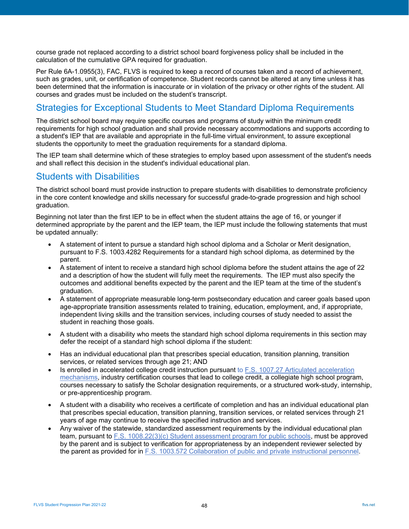course grade not replaced according to a district school board forgiveness policy shall be included in the calculation of the cumulative GPA required for graduation.

Per Rule 6A-1.0955(3), FAC, FLVS is required to keep a record of courses taken and a record of achievement, such as grades, unit, or certification of competence. Student records cannot be altered at any time unless it has been determined that the information is inaccurate or in violation of the privacy or other rights of the student. All courses and grades must be included on the student's transcript.

## <span id="page-47-0"></span>Strategies for Exceptional Students to Meet Standard Diploma Requirements

The district school board may require specific courses and programs of study within the minimum credit requirements for high school graduation and shall provide necessary accommodations and supports according to a student's IEP that are available and appropriate in the full-time virtual environment, to assure exceptional students the opportunity to meet the graduation requirements for a standard diploma.

The IEP team shall determine which of these strategies to employ based upon assessment of the student's needs and shall reflect this decision in the student's individual educational plan.

## <span id="page-47-1"></span>Students with Disabilities

The district school board must provide instruction to prepare students with disabilities to demonstrate proficiency in the core content knowledge and skills necessary for successful grade-to-grade progression and high school graduation.

Beginning not later than the first IEP to be in effect when the student attains the age of 16, or younger if determined appropriate by the parent and the IEP team, the IEP must include the following statements that must be updated annually:

- A statement of intent to pursue a standard high school diploma and a Scholar or Merit designation, pursuant to [F.S. 1003.4282 Requirements for a](http://www.leg.state.fl.us/statutes/index.cfm?mode=View%20Statutes&SubMenu=1&App_mode=Display_Statute&Search_String=1003.4282&URL=1000-1099/1003/Sections/1003.4282.html) standard high school diploma, as determined by the parent.
- A statement of intent to receive a standard high school diploma before the student attains the age of 22 and a description of how the student will fully meet the requirements. The IEP must also specify the outcomes and additional benefits expected by the parent and the IEP team at the time of the student's graduation.
- A statement of appropriate measurable long-term postsecondary education and career goals based upon age-appropriate transition assessments related to training, education, employment, and, if appropriate, independent living skills and the transition services, including courses of study needed to assist the student in reaching those goals.
- A student with a disability who meets the standard high school diploma requirements in this section may defer the receipt of a standard high school diploma if the student:
- Has an individual educational plan that prescribes special education, transition planning, transition services, or related services through age 21; AND
- Is enrolled in accelerated college credit instruction pursuant to [F.S. 1007.27 Articulated acceleration](http://www.leg.state.fl.us/statutes/index.cfm?mode=View%20Statutes&SubMenu=1&App_mode=Display_Statute&Search_String=1007.27&URL=1000-1099/1007/Sections/1007.27.html)  [mechanisms,](http://www.leg.state.fl.us/statutes/index.cfm?mode=View%20Statutes&SubMenu=1&App_mode=Display_Statute&Search_String=1007.27&URL=1000-1099/1007/Sections/1007.27.html) industry certification courses that lead to college credit, a collegiate high school program, courses necessary to satisfy the Scholar designation requirements, or a structured work-study, internship, or pre-apprenticeship program.
- A student with a disability who receives a certificate of completion and has an individual educational plan that prescribes special education, transition planning, transition services, or related services through 21 years of age may continue to receive the specified instruction and services.
- Any waiver of the statewide, standardized assessment requirements by the individual educational plan team, pursuant to [F.S. 1008.22\(3\)\(c\) Student assessment program for public schools,](http://www.leg.state.fl.us/statutes/index.cfm?mode=View%20Statutes&SubMenu=1&App_mode=Display_Statute&Search_String=1008.22&URL=1000-1099/1008/Sections/1008.22.html) must be approved by the parent and is subject to verification for appropriateness by an independent reviewer selected by the parent as provided for in [F.S. 1003.572 Collaboration of public and private instructional personnel.](http://www.leg.state.fl.us/statutes/index.cfm?mode=View%20Statutes&SubMenu=1&App_mode=Display_Statute&Search_String=1003.572&URL=1000-1099/1003/Sections/1003.572.html)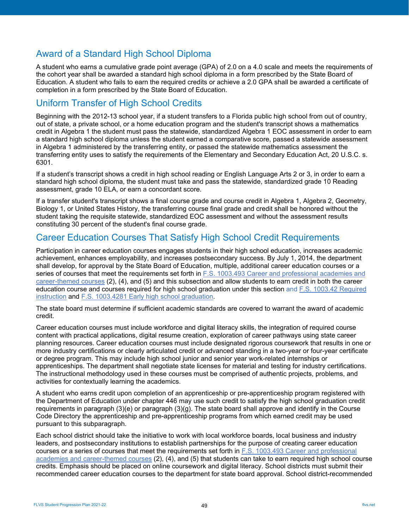# <span id="page-48-0"></span>Award of a Standard High School Diploma

A student who earns a cumulative grade point average (GPA) of 2.0 on a 4.0 scale and meets the requirements of the cohort year shall be awarded a standard high school diploma in a form prescribed by the State Board of Education. A student who fails to earn the required credits or achieve a 2.0 GPA shall be awarded a certificate of completion in a form prescribed by the State Board of Education.

## <span id="page-48-1"></span>Uniform Transfer of High School Credits

Beginning with the 2012-13 school year, if a student transfers to a Florida public high school from out of country, out of state, a private school, or a home education program and the student's transcript shows a mathematics credit in Algebra 1 the student must pass the statewide, standardized Algebra 1 EOC assessment in order to earn a standard high school diploma unless the student earned a comparative score, passed a statewide assessment in Algebra 1 administered by the transferring entity, or passed the statewide mathematics assessment the transferring entity uses to satisfy the requirements of the Elementary and Secondary Education Act, 20 U.S.C. s. 6301.

If a student's transcript shows a credit in high school reading or English Language Arts 2 or 3, in order to earn a standard high school diploma, the student must take and pass the statewide, standardized grade 10 Reading assessment, grade 10 ELA, or earn a concordant score.

If a transfer student's transcript shows a final course grade and course credit in Algebra 1, Algebra 2, Geometry, Biology 1, or United States History, the transferring course final grade and credit shall be honored without the student taking the requisite statewide, standardized EOC assessment and without the assessment results constituting 30 percent of the student's final course grade.

## <span id="page-48-2"></span>Career Education Courses That Satisfy High School Credit Requirements

Participation in career education courses engages students in their high school education, increases academic achievement, enhances employability, and increases postsecondary success. By July 1, 2014, the department shall develop, for approval by the State Board of Education, multiple, additional career education courses or a series of courses that meet the requirements set forth in F.S. 1003.493 Career and professional academies and [career-themed courses](http://www.leg.state.fl.us/statutes/index.cfm?mode=View%20Statutes&SubMenu=1&App_mode=Display_Statute&Search_String=1003.493&URL=1000-1099/1003/Sections/1003.493.html) (2), (4), and (5) and this subsection and allow students to earn credit in both the career education course and courses required for high school graduation under this section and [F.S. 1003.42 Required](http://www.leg.state.fl.us/statutes/index.cfm?mode=View%20Statutes&SubMenu=1&App_mode=Display_Statute&Search_String=1003.42&URL=1000-1099/1003/Sections/1003.42.html)  [instruction](http://www.leg.state.fl.us/statutes/index.cfm?mode=View%20Statutes&SubMenu=1&App_mode=Display_Statute&Search_String=1003.42&URL=1000-1099/1003/Sections/1003.42.html) and [F.S. 1003.4281 Early high school graduation.](http://www.leg.state.fl.us/statutes/index.cfm?mode=View%20Statutes&SubMenu=1&App_mode=Display_Statute&Search_String=1003.4281&URL=1000-1099/1003/Sections/1003.4281.html)

The state board must determine if sufficient academic standards are covered to warrant the award of academic credit.

Career education courses must include workforce and digital literacy skills, the integration of required course content with practical applications, digital resume creation, exploration of career pathways using state career planning resources. Career education courses must include designated rigorous coursework that results in one or more industry certifications or clearly articulated credit or advanced standing in a two-year or four-year certificate or degree program. This may include high school junior and senior year work-related internships or apprenticeships. The department shall negotiate state licenses for material and testing for industry certifications. The instructional methodology used in these courses must be comprised of authentic projects, problems, and activities for contextually learning the academics.

A student who earns credit upon completion of an apprenticeship or pre-apprenticeship program registered with the Department of Education under chapter 446 may use such credit to satisfy the high school graduation credit requirements in paragraph (3)(e) or paragraph (3)(g). The state board shall approve and identify in the Course Code Directory the apprenticeship and pre-apprenticeship programs from which earned credit may be used pursuant to this subparagraph.

Each school district should take the initiative to work with local workforce boards, local business and industry leaders, and postsecondary institutions to establish partnerships for the purpose of creating career education courses or a series of courses that meet the requirements set forth in [F.S. 1003.493 Career and professional](http://www.leg.state.fl.us/statutes/index.cfm?mode=View%20Statutes&SubMenu=1&App_mode=Display_Statute&Search_String=1003.493&URL=1000-1099/1003/Sections/1003.493.html)  [academies and career-themed courses](http://www.leg.state.fl.us/statutes/index.cfm?mode=View%20Statutes&SubMenu=1&App_mode=Display_Statute&Search_String=1003.493&URL=1000-1099/1003/Sections/1003.493.html) (2), (4), and (5) that students can take to earn required high school course credits. Emphasis should be placed on online coursework and digital literacy. School districts must submit their recommended career education courses to the department for state board approval. School district-recommended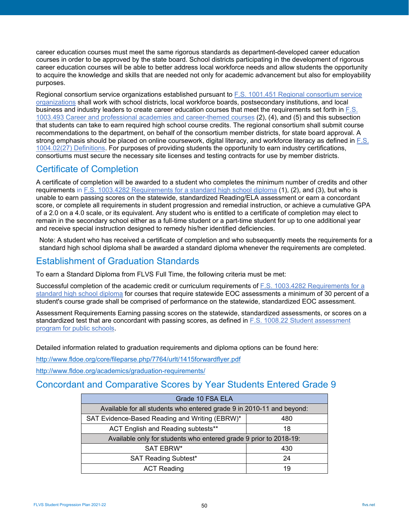career education courses must meet the same rigorous standards as department-developed career education courses in order to be approved by the state board. School districts participating in the development of rigorous career education courses will be able to better address local workforce needs and allow students the opportunity to acquire the knowledge and skills that are needed not only for academic advancement but also for employability purposes.

Regional consortium service organizations established pursuant to [F.S. 1001.451 Regional consortium service](http://www.leg.state.fl.us/statutes/index.cfm?mode=View%20Statutes&SubMenu=1&App_mode=Display_Statute&Search_String=1001.451&URL=1000-1099/1001/Sections/1001.451.html)  [organizations](http://www.leg.state.fl.us/statutes/index.cfm?mode=View%20Statutes&SubMenu=1&App_mode=Display_Statute&Search_String=1001.451&URL=1000-1099/1001/Sections/1001.451.html) shall work with school districts, local workforce boards, postsecondary institutions, and local business and industry leaders to create career education courses that meet the requirements set forth in [F.S.](http://www.leg.state.fl.us/statutes/index.cfm?mode=View%20Statutes&SubMenu=1&App_mode=Display_Statute&Search_String=1003.493&URL=1000-1099/1003/Sections/1003.493.html)  [1003.493 Career and professional academies and career-themed courses](http://www.leg.state.fl.us/statutes/index.cfm?mode=View%20Statutes&SubMenu=1&App_mode=Display_Statute&Search_String=1003.493&URL=1000-1099/1003/Sections/1003.493.html) (2), (4), and (5) and this subsection that students can take to earn required high school course credits. The regional consortium shall submit course recommendations to the department, on behalf of the consortium member districts, for state board approval. A strong emphasis should be placed on online coursework, digital literacy, and workforce literacy as defined in [F.S.](http://www.leg.state.fl.us/statutes/index.cfm?mode=View%20Statutes&SubMenu=1&App_mode=Display_Statute&Search_String=1004.02&URL=1000-1099/1004/Sections/1004.02.html)  [1004.02\(27\) Definitions.](http://www.leg.state.fl.us/statutes/index.cfm?mode=View%20Statutes&SubMenu=1&App_mode=Display_Statute&Search_String=1004.02&URL=1000-1099/1004/Sections/1004.02.html) For purposes of providing students the opportunity to earn industry certifications, consortiums must secure the necessary site licenses and testing contracts for use by member districts.

# <span id="page-49-0"></span>Certificate of Completion

A certificate of completion will be awarded to a student who completes the minimum number of credits and other requirements in [F.S. 1003.4282 Requirements for a standard high school diploma](http://www.leg.state.fl.us/Statutes/index.cfm?App_mode=Display_Statute&URL=1000-1099/1003/Sections/1003.4282.html) (1), (2), and (3), but who is unable to earn passing scores on the statewide, standardized Reading/ELA assessment or earn a concordant score, or complete all requirements in student progression and remedial instruction, or achieve a cumulative GPA of a 2.0 on a 4.0 scale, or its equivalent. Any student who is entitled to a certificate of completion may elect to remain in the secondary school either as a full-time student or a part-time student for up to one additional year and receive special instruction designed to remedy his/her identified deficiencies.

<span id="page-49-1"></span>Note: A student who has received a certificate of completion and who subsequently meets the requirements for a standard high school diploma shall be awarded a standard diploma whenever the requirements are completed.

# Establishment of Graduation Standards

To earn a Standard Diploma from FLVS Full Time, the following criteria must be met:

Successful completion of the academic credit or curriculum requirements o[f F.S. 1003.4282 Requirements for a](http://www.leg.state.fl.us/statutes/index.cfm?mode=View%20Statutes&SubMenu=1&App_mode=Display_Statute&Search_String=1003.4282&URL=1000-1099/1003/Sections/1003.4282.html)  [standard high school diploma](http://www.leg.state.fl.us/statutes/index.cfm?mode=View%20Statutes&SubMenu=1&App_mode=Display_Statute&Search_String=1003.4282&URL=1000-1099/1003/Sections/1003.4282.html) for courses that require statewide EOC assessments a minimum of 30 percent of a student's course grade shall be comprised of performance on the statewide, standardized EOC assessment.

Assessment Requirements Earning passing scores on the statewide, standardized assessments, or scores on a standardized test that are concordant with passing scores, as defined in [F.S. 1008.22 Student assessment](http://www.leg.state.fl.us/statutes/index.cfm?mode=View%20Statutes&SubMenu=1&App_mode=Display_Statute&Search_String=1008.22&URL=1000-1099/1008/Sections/1008.22.html)  [program for public schools.](http://www.leg.state.fl.us/statutes/index.cfm?mode=View%20Statutes&SubMenu=1&App_mode=Display_Statute&Search_String=1008.22&URL=1000-1099/1008/Sections/1008.22.html)

Detailed information related to graduation requirements and diploma options can be found here:

<http://www.fldoe.org/core/fileparse.php/7764/urlt/1415forwardflyer.pdf>

<http://www.fldoe.org/academics/graduation-requirements/>

## <span id="page-49-2"></span>Concordant and Comparative Scores by Year Students Entered Grade 9

| Grade 10 FSA ELA                                                      |    |  |  |  |
|-----------------------------------------------------------------------|----|--|--|--|
| Available for all students who entered grade 9 in 2010-11 and beyond: |    |  |  |  |
| SAT Evidence-Based Reading and Writing (EBRW)*<br>480                 |    |  |  |  |
| ACT English and Reading subtests**<br>18                              |    |  |  |  |
| Available only for students who entered grade 9 prior to 2018-19:     |    |  |  |  |
| SAT EBRW*<br>430                                                      |    |  |  |  |
| <b>SAT Reading Subtest*</b>                                           | 24 |  |  |  |
| <b>ACT Reading</b>                                                    | 19 |  |  |  |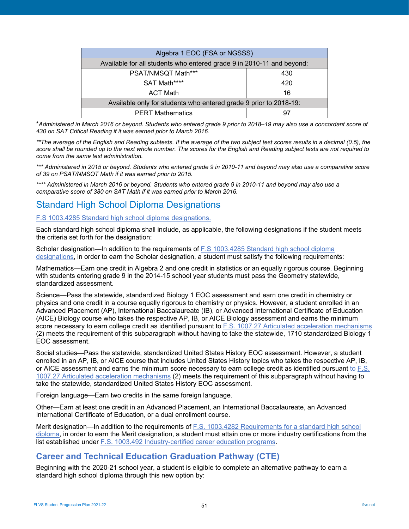| Algebra 1 EOC (FSA or NGSSS)                                          |  |  |  |  |
|-----------------------------------------------------------------------|--|--|--|--|
| Available for all students who entered grade 9 in 2010-11 and beyond: |  |  |  |  |
| PSAT/NMSQT Math***<br>430                                             |  |  |  |  |
| SAT Math****<br>420                                                   |  |  |  |  |
| <b>ACT Math</b><br>16                                                 |  |  |  |  |
| Available only for students who entered grade 9 prior to 2018-19:     |  |  |  |  |
| <b>PERT Mathematics</b><br>97                                         |  |  |  |  |

\**Administered in March 2016 or beyond. Students who entered grade 9 prior to 2018–19 may also use a concordant score of 430 on SAT Critical Reading if it was earned prior to March 2016.*

*\*\*The average of the English and Reading subtests. If the average of the two subject test scores results in a decimal (0.5), the score shall be rounded up to the next whole number. The scores for the English and Reading subject tests are not required to come from the same test administration.*

*\*\*\* Administered in 2015 or beyond. Students who entered grade 9 in 2010-11 and beyond may also use a comparative score of 39 on PSAT/NMSQT Math if it was earned prior to 2015.*

*\*\*\*\* Administered in March 2016 or beyond. Students who entered grade 9 in 2010-11 and beyond may also use a comparative score of 380 on SAT Math if it was earned prior to March 2016.*

# <span id="page-50-0"></span>Standard High School Diploma Designations

## [F.S 1003.4285 Standard high school diploma designations.](http://www.leg.state.fl.us/statutes/index.cfm?mode=View%20Statutes&SubMenu=1&App_mode=Display_Statute&Search_String=1003.4285&URL=1000-1099/1003/Sections/1003.4285.html)

Each standard high school diploma shall include, as applicable, the following designations if the student meets the criteria set forth for the designation:

Scholar designation—In addition to the requirements of [F.S 1003.4285 Standard high school diploma](http://www.leg.state.fl.us/statutes/index.cfm?mode=View%20Statutes&SubMenu=1&App_mode=Display_Statute&Search_String=1003.4285&URL=1000-1099/1003/Sections/1003.4285.html)  [designations,](http://www.leg.state.fl.us/statutes/index.cfm?mode=View%20Statutes&SubMenu=1&App_mode=Display_Statute&Search_String=1003.4285&URL=1000-1099/1003/Sections/1003.4285.html) in order to earn the Scholar designation, a student must satisfy the following requirements:

Mathematics—Earn one credit in Algebra 2 and one credit in statistics or an equally rigorous course. Beginning with students entering grade 9 in the 2014-15 school year students must pass the Geometry statewide, standardized assessment.

Science—Pass the statewide, standardized Biology 1 EOC assessment and earn one credit in chemistry or physics and one credit in a course equally rigorous to chemistry or physics. However, a student enrolled in an Advanced Placement (AP), International Baccalaureate (IB), or Advanced International Certificate of Education (AICE) Biology course who takes the respective AP, IB, or AICE Biology assessment and earns the minimum score necessary to earn college credit as identified pursuant to [F.S. 1007.27 Articulated acceleration mechanisms](http://www.leg.state.fl.us/statutes/index.cfm?mode=View%20Statutes&SubMenu=1&App_mode=Display_Statute&Search_String=1007.27&URL=1000-1099/1007/Sections/1007.27.html) (2) meets the requirement of this subparagraph without having to take the statewide, 1710 standardized Biology 1 EOC assessment.

Social studies—Pass the statewide, standardized United States History EOC assessment. However, a student enrolled in an AP, IB, or AICE course that includes United States History topics who takes the respective AP, IB, or AICE assessment and earns the minimum score necessary to earn college credit as identified pursuant to [F.S.](http://www.leg.state.fl.us/statutes/index.cfm?mode=View%20Statutes&SubMenu=1&App_mode=Display_Statute&Search_String=1007.27&URL=1000-1099/1007/Sections/1007.27.html)  [1007.27 Articulated acceleration mechanisms](http://www.leg.state.fl.us/statutes/index.cfm?mode=View%20Statutes&SubMenu=1&App_mode=Display_Statute&Search_String=1007.27&URL=1000-1099/1007/Sections/1007.27.html) (2) meets the requirement of this subparagraph without having to take the statewide, standardized United States History EOC assessment.

Foreign language—Earn two credits in the same foreign language.

Other—Earn at least one credit in an Advanced Placement, an International Baccalaureate, an Advanced International Certificate of Education, or a dual enrollment course.

Merit designation—In addition to the requirements of F.S. 1003.4282 Requirements for a standard high school [diploma,](http://www.leg.state.fl.us/statutes/index.cfm?mode=View%20Statutes&SubMenu=1&App_mode=Display_Statute&Search_String=1003.4282&URL=1000-1099/1003/Sections/1003.4282.html) in order to earn the Merit designation, a student must attain one or more industry certifications from the list established under [F.S. 1003.492 Industry-certified career education programs.](http://www.leg.state.fl.us/statutes/index.cfm?mode=View%20Statutes&SubMenu=1&App_mode=Display_Statute&Search_String=1003.492&URL=1000-1099/1003/Sections/1003.492.html)

## **Career and Technical Education Graduation Pathway (CTE)**

Beginning with the 2020-21 school year, a student is eligible to complete an alternative pathway to earn a standard high school diploma through this new option by: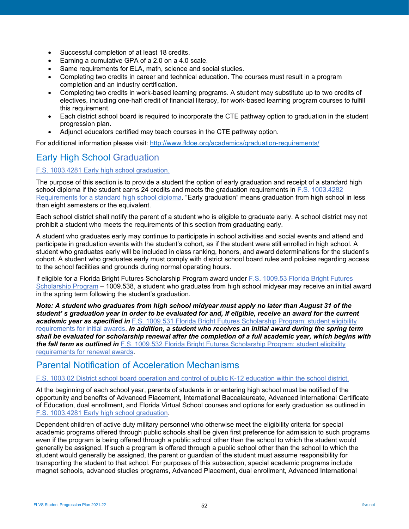- Successful completion of at least 18 credits.
- Earning a cumulative GPA of a 2.0 on a 4.0 scale.
- Same requirements for ELA, math, science and social studies.
- Completing two credits in career and technical education. The courses must result in a program completion and an industry certification.
- Completing two credits in work-based learning programs. A student may substitute up to two credits of electives, including one-half credit of financial literacy, for work-based learning program courses to fulfill this requirement.
- Each district school board is required to incorporate the CTE pathway option to graduation in the student progression plan.
- Adjunct educators certified may teach courses in the CTE pathway option.

For additional information please visit:<http://www.fldoe.org/academics/graduation-requirements/>

# <span id="page-51-0"></span>Early High School Graduation

## [F.S. 1003.4281 Early high school graduation.](http://www.leg.state.fl.us/statutes/index.cfm?mode=View%20Statutes&SubMenu=1&App_mode=Display_Statute&Search_String=1003.4281&URL=1000-1099/1003/Sections/1003.4281.html)

The purpose of this section is to provide a student the option of early graduation and receipt of a standard high school diploma if the student earns 24 credits and meets the graduation requirements in [F.S. 1003.4282](http://www.leg.state.fl.us/statutes/index.cfm?mode=View%20Statutes&SubMenu=1&App_mode=Display_Statute&Search_String=1003.4282&URL=1000-1099/1003/Sections/1003.4282.html)  [Requirements for a standard high school diploma.](http://www.leg.state.fl.us/statutes/index.cfm?mode=View%20Statutes&SubMenu=1&App_mode=Display_Statute&Search_String=1003.4282&URL=1000-1099/1003/Sections/1003.4282.html) "Early graduation" means graduation from high school in less than eight semesters or the equivalent.

Each school district shall notify the parent of a student who is eligible to graduate early. A school district may not prohibit a student who meets the requirements of this section from graduating early.

A student who graduates early may continue to participate in school activities and social events and attend and participate in graduation events with the student's cohort, as if the student were still enrolled in high school. A student who graduates early will be included in class ranking, honors, and award determinations for the student's cohort. A student who graduates early must comply with district school board rules and policies regarding access to the school facilities and grounds during normal operating hours.

If eligible for a Florida Bright Futures Scholarship Program award under [F.S. 1009.53 Florida Bright Futures](http://www.leg.state.fl.us/statutes/index.cfm?mode=View%20Statutes&SubMenu=1&App_mode=Display_Statute&Search_String=1009.53&URL=1000-1099/1009/Sections/1009.53.html)  [Scholarship Program](http://www.leg.state.fl.us/statutes/index.cfm?mode=View%20Statutes&SubMenu=1&App_mode=Display_Statute&Search_String=1009.53&URL=1000-1099/1009/Sections/1009.53.html) – 1009.538, a student who graduates from high school midyear may receive an initial award in the spring term following the student's graduation.

*Note: A student who graduates from high school midyear must apply no later than August 31 of the student' s graduation year in order to be evaluated for and, if eligible, receive an award for the current academic year as specified in* [F.S. 1009.531 Florida Bright Futures Scholarship Program; student eligibility](http://www.leg.state.fl.us/statutes/index.cfm?mode=View%20Statutes&SubMenu=1&App_mode=Display_Statute&Search_String=1009.531&URL=1000-1099/1009/Sections/1009.531.html)  [requirements for initial awards.](http://www.leg.state.fl.us/statutes/index.cfm?mode=View%20Statutes&SubMenu=1&App_mode=Display_Statute&Search_String=1009.531&URL=1000-1099/1009/Sections/1009.531.html) *In addition, a student who receives an initial award during the spring term shall be evaluated for scholarship renewal after the completion of a full academic year, which begins with the fall term as outlined in* [F.S. 1009.532 Florida Bright Futures Scholarship Program; student eligibility](http://www.leg.state.fl.us/statutes/index.cfm?mode=View%20Statutes&SubMenu=1&App_mode=Display_Statute&Search_String=1009.532&URL=1000-1099/1009/Sections/1009.532.html)  [requirements for renewal awards.](http://www.leg.state.fl.us/statutes/index.cfm?mode=View%20Statutes&SubMenu=1&App_mode=Display_Statute&Search_String=1009.532&URL=1000-1099/1009/Sections/1009.532.html)

## <span id="page-51-1"></span>Parental Notification of Acceleration Mechanisms

### [F.S. 1003.02 District school board operation and control of public K-12 education within the school district.](http://www.leg.state.fl.us/statutes/index.cfm?mode=View%20Statutes&SubMenu=1&App_mode=Display_Statute&Search_String=1003.02&URL=1000-1099/1003/Sections/1003.02.html)

At the beginning of each school year, parents of students in or entering high school must be notified of the opportunity and benefits of Advanced Placement, International Baccalaureate, Advanced International Certificate of Education, dual enrollment, and Florida Virtual School courses and options for early graduation as outlined in [F.S. 1003.4281 Early high school graduation.](http://www.leg.state.fl.us/statutes/index.cfm?mode=View%20Statutes&SubMenu=1&App_mode=Display_Statute&Search_String=1003.4281&URL=1000-1099/1003/Sections/1003.4281.html)

Dependent children of active duty military personnel who otherwise meet the eligibility criteria for special academic programs offered through public schools shall be given first preference for admission to such programs even if the program is being offered through a public school other than the school to which the student would generally be assigned. If such a program is offered through a public school other than the school to which the student would generally be assigned, the parent or guardian of the student must assume responsibility for transporting the student to that school. For purposes of this subsection, special academic programs include magnet schools, advanced studies programs, Advanced Placement, dual enrollment, Advanced International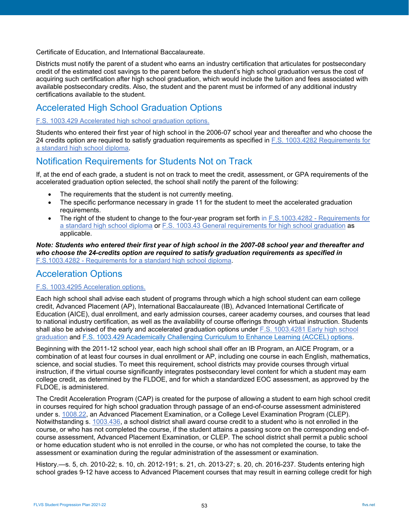Certificate of Education, and International Baccalaureate.

Districts must notify the parent of a student who earns an industry certification that articulates for postsecondary credit of the estimated cost savings to the parent before the student's high school graduation versus the cost of acquiring such certification after high school graduation, which would include the tuition and fees associated with available postsecondary credits. Also, the student and the parent must be informed of any additional industry certifications available to the student.

# <span id="page-52-0"></span>Accelerated High School Graduation Options

#### [F.S. 1003.429 Accelerated high school graduation options.](https://www.flsenate.gov/laws/statutes/2012/1003.429)

Students who entered their first year of high school in the 2006-07 school year and thereafter and who choose the 24 credits option are required to satisfy graduation requirements as specified in [F.S. 1003.4282 Requirements for](http://www.leg.state.fl.us/statutes/index.cfm?mode=View%20Statutes&SubMenu=1&App_mode=Display_Statute&Search_String=Accelerated+High+School+Graduation&URL=1000-1099/1003/Sections/1003.4282.html)  [a standard high school diploma.](http://www.leg.state.fl.us/statutes/index.cfm?mode=View%20Statutes&SubMenu=1&App_mode=Display_Statute&Search_String=Accelerated+High+School+Graduation&URL=1000-1099/1003/Sections/1003.4282.html)

## <span id="page-52-1"></span>Notification Requirements for Students Not on Track

If, at the end of each grade, a student is not on track to meet the credit, assessment, or GPA requirements of the accelerated graduation option selected, the school shall notify the parent of the following:

- The requirements that the student is not currently meeting.
- The specific performance necessary in grade 11 for the student to meet the accelerated graduation requirements.
- The right of the student to change to the four-year program set forth in F.S.1003.4282 Requirements for [a standard high school diploma](http://www.leg.state.fl.us/Statutes/index.cfm?App_mode=Display_Statute&URL=1000-1099/1003/Sections/1003.4282.html) or [F.S. 1003.43 General requirements for high school graduation](https://www.flsenate.gov/laws/statutes/2011/1003.43) as applicable.

*Note: Students who entered their first year of high school in the 2007-08 school year and thereafter and who choose the 24-credits option are required to satisfy graduation requirements as specified in* F.S.1003.4282 - [Requirements for a standard high school diploma.](http://www.leg.state.fl.us/Statutes/index.cfm?App_mode=Display_Statute&URL=1000-1099/1003/Sections/1003.4282.html)

## <span id="page-52-2"></span>Acceleration Options

#### [F.S. 1003.4295 Acceleration options.](http://www.leg.state.fl.us/statutes/index.cfm?mode=View%20Statutes&SubMenu=1&App_mode=Display_Statute&Search_String=Acceleration&URL=1000-1099/1003/Sections/1003.4295.html)

Each high school shall advise each student of programs through which a high school student can earn college credit, Advanced Placement (AP), International Baccalaureate (IB), Advanced International Certificate of Education (AICE), dual enrollment, and early admission courses, career academy courses, and courses that lead to national industry certification, as well as the availability of course offerings through virtual instruction. Students shall also be advised of the early and accelerated graduation options under [F.S. 1003.4281 Early high school](http://www.leg.state.fl.us/statutes/index.cfm?mode=View%20Statutes&SubMenu=1&App_mode=Display_Statute&Search_String=1003.4281&URL=1000-1099/1003/Sections/1003.4281.html)  [graduation](http://www.leg.state.fl.us/statutes/index.cfm?mode=View%20Statutes&SubMenu=1&App_mode=Display_Statute&Search_String=1003.4281&URL=1000-1099/1003/Sections/1003.4281.html) and [F.S. 1003.429 Academically Challenging Curriculum to](http://www.leg.state.fl.us/Statutes/index.cfm?App_mode=Display_Statute&Search_String=&URL=1000-1099/1002/Sections/1002.3105.html) Enhance Learning (ACCEL) options.

Beginning with the 2011-12 school year, each high school shall offer an IB Program, an AICE Program, or a combination of at least four courses in dual enrollment or AP, including one course in each English, mathematics, science, and social studies. To meet this requirement, school districts may provide courses through virtual instruction, if the virtual course significantly integrates postsecondary level content for which a student may earn college credit, as determined by the FLDOE, and for which a standardized EOC assessment, as approved by the FLDOE, is administered.

The Credit Acceleration Program (CAP) is created for the purpose of allowing a student to earn high school credit in courses required for high school graduation through passage of an end-of-course assessment administered under s. [1008.22,](https://www.flsenate.gov/Laws/Statutes/2018/1008.22) an Advanced Placement Examination, or a College Level Examination Program (CLEP). Notwithstanding s. [1003.436,](https://www.flsenate.gov/Laws/Statutes/2018/1003.436) a school district shall award course credit to a student who is not enrolled in the course, or who has not completed the course, if the student attains a passing score on the corresponding end-ofcourse assessment, Advanced Placement Examination, or CLEP. The school district shall permit a public school or home education student who is not enrolled in the course, or who has not completed the course, to take the assessment or examination during the regular administration of the assessment or examination.

History.—s. 5, ch. 2010-22; s. 10, ch. 2012-191; s. 21, ch. 2013-27; s. 20, ch. 2016-237. Students entering high school grades 9-12 have access to Advanced Placement courses that may result in earning college credit for high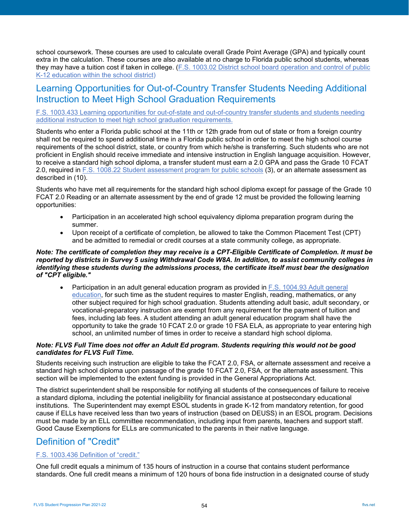school coursework. These courses are used to calculate overall Grade Point Average (GPA) and typically count extra in the calculation. These courses are also available at no charge to Florida public school students, whereas they may have a tuition cost if taken in college. [\(F.S. 1003.02 District school board operation and control of public](http://www.leg.state.fl.us/statutes/index.cfm?mode=View%20Statutes&SubMenu=1&App_mode=Display_Statute&Search_String=1003.02&URL=1000-1099/1003/Sections/1003.02.html)  [K-12 education within the school district\)](http://www.leg.state.fl.us/statutes/index.cfm?mode=View%20Statutes&SubMenu=1&App_mode=Display_Statute&Search_String=1003.02&URL=1000-1099/1003/Sections/1003.02.html)

## <span id="page-53-0"></span>Learning Opportunities for Out-of-Country Transfer Students Needing Additional Instruction to Meet High School Graduation Requirements

#### [F.S. 1003.433 Learning opportunities for out-of-state and out-of-country transfer students and students needing](http://www.leg.state.fl.us/statutes/index.cfm?mode=View%20Statutes&SubMenu=1&App_mode=Display_Statute&Search_String=1003.433&URL=1000-1099/1003/Sections/1003.433.html)  [additional instruction to meet high school graduation requirements.](http://www.leg.state.fl.us/statutes/index.cfm?mode=View%20Statutes&SubMenu=1&App_mode=Display_Statute&Search_String=1003.433&URL=1000-1099/1003/Sections/1003.433.html)

Students who enter a Florida public school at the 11th or 12th grade from out of state or from a foreign country shall not be required to spend additional time in a Florida public school in order to meet the high school course requirements of the school district, state, or country from which he/she is transferring. Such students who are not proficient in English should receive immediate and intensive instruction in English language acquisition. However, to receive a standard high school diploma, a transfer student must earn a 2.0 GPA and pass the Grade 10 FCAT 2.0, required in [F.S. 1008.22 Student assessment program for public schools](http://www.leg.state.fl.us/statutes/index.cfm?mode=View%20Statutes&SubMenu=1&App_mode=Display_Statute&Search_String=1008.22&URL=1000-1099/1008/Sections/1008.22.html) (3), or an alternate assessment as described in (10).

Students who have met all requirements for the standard high school diploma except for passage of the Grade 10 FCAT 2.0 Reading or an alternate assessment by the end of grade 12 must be provided the following learning opportunities:

- Participation in an accelerated high school equivalency diploma preparation program during the summer.
- Upon receipt of a certificate of completion, be allowed to take the Common Placement Test (CPT) and be admitted to remedial or credit courses at a state community college, as appropriate.

#### *Note: The certificate of completion they may receive is a CPT-Eligible Certificate of Completion. It must be reported by districts in Survey 5 using Withdrawal Code W8A. In addition, to assist community colleges in identifying these students during the admissions process, the certificate itself must bear the designation of "CPT eligible."*

• Participation in an adult general education program as provided in [F.S. 1004.93 Adult general](http://www.leg.state.fl.us/statutes/index.cfm?mode=View%20Statutes&SubMenu=1&App_mode=Display_Statute&Search_String=1004.93&URL=1000-1099/1004/Sections/1004.93.html)  [education,](http://www.leg.state.fl.us/statutes/index.cfm?mode=View%20Statutes&SubMenu=1&App_mode=Display_Statute&Search_String=1004.93&URL=1000-1099/1004/Sections/1004.93.html) for such time as the student requires to master English, reading, mathematics, or any other subject required for high school graduation. Students attending adult basic, adult secondary, or vocational-preparatory instruction are exempt from any requirement for the payment of tuition and fees, including lab fees. A student attending an adult general education program shall have the opportunity to take the grade 10 FCAT 2.0 or grade 10 FSA ELA, as appropriate to year entering high school, an unlimited number of times in order to receive a standard high school diploma.

#### *Note: FLVS Full Time does not offer an Adult Ed program. Students requiring this would not be good candidates for FLVS Full Time.*

Students receiving such instruction are eligible to take the FCAT 2.0, FSA, or alternate assessment and receive a standard high school diploma upon passage of the grade 10 FCAT 2.0, FSA, or the alternate assessment. This section will be implemented to the extent funding is provided in the General Appropriations Act.

The district superintendent shall be responsible for notifying all students of the consequences of failure to receive a standard diploma, including the potential ineligibility for financial assistance at postsecondary educational institutions. The Superintendent may exempt ESOL students in grade K-12 from mandatory retention, for good cause if ELLs have received less than two years of instruction (based on DEUSS) in an ESOL program. Decisions must be made by an ELL committee recommendation, including input from parents, teachers and support staff. Good Cause Exemptions for ELLs are communicated to the parents in their native language.

# <span id="page-53-1"></span>Definition of "Credit"

## [F.S. 1003.436 Definition of "credit."](http://www.leg.state.fl.us/statutes/index.cfm?mode=View%20Statutes&SubMenu=1&App_mode=Display_Statute&Search_String=1003.436&URL=1000-1099/1003/Sections/1003.436.html)

One full credit equals a minimum of 135 hours of instruction in a course that contains student performance standards. One full credit means a minimum of 120 hours of bona fide instruction in a designated course of study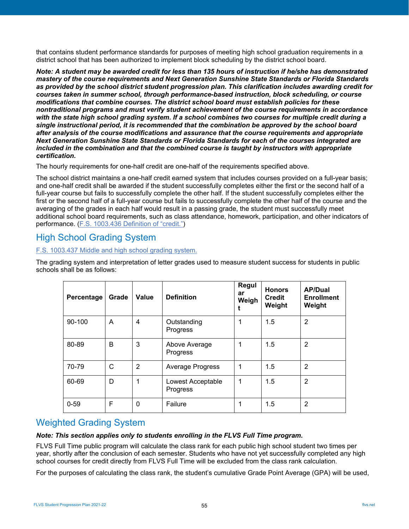that contains student performance standards for purposes of meeting high school graduation requirements in a district school that has been authorized to implement block scheduling by the district school board.

*Note: A student may be awarded credit for less than 135 hours of instruction if he/she has demonstrated mastery of the course requirements and Next Generation Sunshine State Standards or Florida Standards as provided by the school district student progression plan. This clarification includes awarding credit for courses taken in summer school, through performance-based instruction, block scheduling, or course modifications that combine courses. The district school board must establish policies for these nontraditional programs and must verify student achievement of the course requirements in accordance with the state high school grading system. If a school combines two courses for multiple credit during a single instructional period, it is recommended that the combination be approved by the school board after analysis of the course modifications and assurance that the course requirements and appropriate Next Generation Sunshine State Standards or Florida Standards for each of the courses integrated are included in the combination and that the combined course is taught by instructors with appropriate certification.*

The hourly requirements for one-half credit are one-half of the requirements specified above.

The school district maintains a one-half credit earned system that includes courses provided on a full-year basis; and one-half credit shall be awarded if the student successfully completes either the first or the second half of a full-year course but fails to successfully complete the other half. If the student successfully completes either the first or the second half of a full-year course but fails to successfully complete the other half of the course and the averaging of the grades in each half would result in a passing grade, the student must successfully meet additional school board requirements, such as class attendance, homework, participation, and other indicators of performance. [\(F.S. 1003.436 Definition of "credit."\)](http://www.leg.state.fl.us/statutes/index.cfm?mode=View%20Statutes&SubMenu=1&App_mode=Display_Statute&Search_String=1003.436&URL=1000-1099/1003/Sections/1003.436.html)

# <span id="page-54-0"></span>High School Grading System

## [F.S. 1003.437 Middle and high school grading system.](http://www.leg.state.fl.us/statutes/index.cfm?mode=View%20Statutes&SubMenu=1&App_mode=Display_Statute&Search_String=1003.437&URL=1000-1099/1003/Sections/1003.437.html)

The grading system and interpretation of letter grades used to measure student success for students in public schools shall be as follows:

| Percentage | Grade | Value | <b>Definition</b>             | Regul<br>ar<br>Weigh | <b>Honors</b><br><b>Credit</b><br>Weight | <b>AP/Dual</b><br><b>Enrollment</b><br>Weight |
|------------|-------|-------|-------------------------------|----------------------|------------------------------------------|-----------------------------------------------|
| 90-100     | A     | 4     | Outstanding<br>Progress       | 1                    | 1.5                                      | $\overline{2}$                                |
| 80-89      | B     | 3     | Above Average<br>Progress     | 1                    | 1.5                                      | $\overline{2}$                                |
| 70-79      | C     | 2     | <b>Average Progress</b>       | 1                    | 1.5                                      | $\overline{2}$                                |
| 60-69      | D     | 1     | Lowest Acceptable<br>Progress | 1                    | 1.5                                      | $\overline{2}$                                |
| $0 - 59$   | F     | 0     | Failure                       | 1                    | 1.5                                      | $\overline{2}$                                |

## <span id="page-54-1"></span>Weighted Grading System

### *Note: This section applies only to students enrolling in the FLVS Full Time program.*

FLVS Full Time public program will calculate the class rank for each public high school student two times per year, shortly after the conclusion of each semester. Students who have not yet successfully completed any high school courses for credit directly from FLVS Full Time will be excluded from the class rank calculation.

For the purposes of calculating the class rank, the student's cumulative Grade Point Average (GPA) will be used,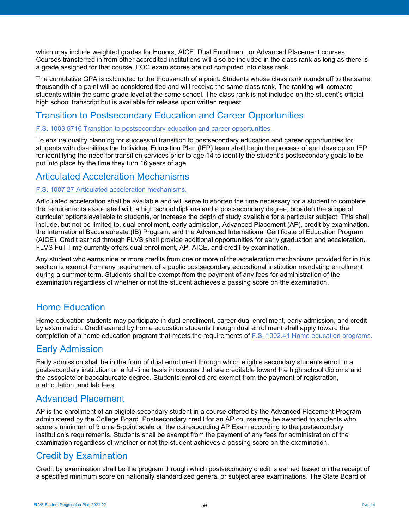which may include weighted grades for Honors, AICE, Dual Enrollment, or Advanced Placement courses. Courses transferred in from other accredited institutions will also be included in the class rank as long as there is a grade assigned for that course. EOC exam scores are not computed into class rank.

The cumulative GPA is calculated to the thousandth of a point. Students whose class rank rounds off to the same thousandth of a point will be considered tied and will receive the same class rank. The ranking will compare students within the same grade level at the same school. The class rank is not included on the student's official high school transcript but is available for release upon written request.

# <span id="page-55-0"></span>Transition to Postsecondary Education and Career Opportunities

#### [F.S. 1003.5716 Transition to postsecondary education and career opportunities.](http://www.leg.state.fl.us/statutes/index.cfm?mode=View%20Statutes&SubMenu=1&App_mode=Display_Statute&Search_String=1003.5716&URL=1000-1099/1003/Sections/1003.5716.html)

To ensure quality planning for successful transition to postsecondary education and career opportunities for students with disabilities the Individual Education Plan (IEP) team shall begin the process of and develop an IEP for identifying the need for transition services prior to age 14 to identify the student's postsecondary goals to be put into place by the time they turn 16 years of age.

## <span id="page-55-1"></span>Articulated Acceleration Mechanisms

#### [F.S. 1007.27 Articulated acceleration mechanisms.](http://www.leg.state.fl.us/statutes/index.cfm?mode=View%20Statutes&SubMenu=1&App_mode=Display_Statute&Search_String=1007.27&URL=1000-1099/1007/Sections/1007.27.html)

Articulated acceleration shall be available and will serve to shorten the time necessary for a student to complete the requirements associated with a high school diploma and a postsecondary degree, broaden the scope of curricular options available to students, or increase the depth of study available for a particular subject. This shall include, but not be limited to, dual enrollment, early admission, Advanced Placement (AP), credit by examination, the International Baccalaureate (IB) Program, and the Advanced International Certificate of Education Program (AICE). Credit earned through FLVS shall provide additional opportunities for early graduation and acceleration. FLVS Full Time currently offers dual enrollment, AP, AICE, and credit by examination.

Any student who earns nine or more credits from one or more of the acceleration mechanisms provided for in this section is exempt from any requirement of a public postsecondary educational institution mandating enrollment during a summer term. Students shall be exempt from the payment of any fees for administration of the examination regardless of whether or not the student achieves a passing score on the examination.

## <span id="page-55-2"></span>Home Education

Home education students may participate in dual enrollment, career dual enrollment, early admission, and credit by examination. Credit earned by home education students through dual enrollment shall apply toward the completion of a home education program that meets the requirements of [F.S. 1002.41 Home education programs.](http://www.leg.state.fl.us/statutes/index.cfm?mode=View%20Statutes&SubMenu=1&App_mode=Display_Statute&Search_String=1002.41&URL=1000-1099/1002/Sections/1002.41.html)

## <span id="page-55-3"></span>Early Admission

Early admission shall be in the form of dual enrollment through which eligible secondary students enroll in a postsecondary institution on a full-time basis in courses that are creditable toward the high school diploma and the associate or baccalaureate degree. Students enrolled are exempt from the payment of registration, matriculation, and lab fees.

## <span id="page-55-4"></span>Advanced Placement

AP is the enrollment of an eligible secondary student in a course offered by the Advanced Placement Program administered by the College Board. Postsecondary credit for an AP course may be awarded to students who score a minimum of 3 on a 5-point scale on the corresponding AP Exam according to the postsecondary institution's requirements. Students shall be exempt from the payment of any fees for administration of the examination regardless of whether or not the student achieves a passing score on the examination.

## <span id="page-55-5"></span>Credit by Examination

Credit by examination shall be the program through which postsecondary credit is earned based on the receipt of a specified minimum score on nationally standardized general or subject area examinations. The State Board of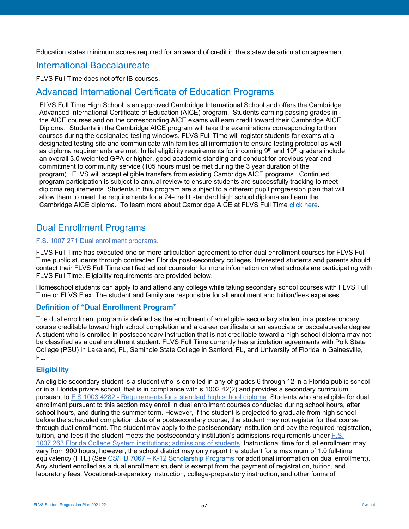Education states minimum scores required for an award of credit in the statewide articulation agreement.

## <span id="page-56-0"></span>International Baccalaureate

FLVS Full Time does not offer IB courses.

## <span id="page-56-1"></span>Advanced International Certificate of Education Programs

FLVS Full Time High School is an approved Cambridge International School and offers the Cambridge Advanced International Certificate of Education (AICE) program. Students earning passing grades in the AICE courses and on the corresponding AICE exams will earn credit toward their Cambridge AICE Diploma. Students in the Cambridge AICE program will take the examinations corresponding to their courses during the designated testing windows. FLVS Full Time will register students for exams at a designated testing site and communicate with families all information to ensure testing protocol as well as diploma requirements are met. Initial eligibility requirements for incoming  $9<sup>th</sup>$  and  $10<sup>th</sup>$  graders include an overall 3.0 weighted GPA or higher, good academic standing and conduct for previous year and commitment to community service (105 hours must be met during the 3 year duration of the program). FLVS will accept eligible transfers from existing Cambridge AICE programs. Continued program participation is subject to annual review to ensure students are successfully tracking to meet diploma requirements. Students in this program are subject to a different pupil progression plan that will allow them to meet the requirements for a 24-credit standard high school diploma and earn the Cambridge AICE diploma. To learn more about Cambridge AICE at FLVS Full Time [click here.](https://www.flvs.net/online-courses/aice?source=courses/hs/full-time)

## <span id="page-56-2"></span>Dual Enrollment Programs

### [F.S. 1007.271 Dual enrollment programs.](http://www.leg.state.fl.us/statutes/index.cfm?mode=View%20Statutes&SubMenu=1&App_mode=Display_Statute&Search_String=1007.271&URL=1000-1099/1007/Sections/1007.271.html)

FLVS Full Time has executed one or more articulation agreement to offer dual enrollment courses for FLVS Full Time public students through contracted Florida post-secondary colleges. Interested students and parents should contact their FLVS Full Time certified school counselor for more information on what schools are participating with FLVS Full Time. Eligibility requirements are provided below.

Homeschool students can apply to and attend any college while taking secondary school courses with FLVS Full Time or FLVS Flex. The student and family are responsible for all enrollment and tuition/fees expenses.

### <span id="page-56-3"></span>**Definition of "Dual Enrollment Program"**

The dual enrollment program is defined as the enrollment of an eligible secondary student in a postsecondary course creditable toward high school completion and a career certificate or an associate or baccalaureate degree A student who is enrolled in postsecondary instruction that is not creditable toward a high school diploma may not be classified as a dual enrollment student. FLVS Full Time currently has articulation agreements with Polk State College (PSU) in Lakeland, FL, Seminole State College in Sanford, FL, and University of Florida in Gainesville, FL.

## <span id="page-56-4"></span>**Eligibility**

An eligible secondary student is a student who is enrolled in any of grades 6 through 12 in a Florida public school or in a Florida private school, that is in compliance with s.1002.42(2) and provides a secondary curriculum pursuant to F.S.1003.4282 - [Requirements for a standard high school diploma.](http://www.leg.state.fl.us/Statutes/index.cfm?App_mode=Display_Statute&URL=1000-1099/1003/Sections/1003.4282.html) Students who are eligible for dual enrollment pursuant to this section may enroll in dual enrollment courses conducted during school hours, after school hours, and during the summer term. However, if the student is projected to graduate from high school before the scheduled completion date of a postsecondary course, the student may not register for that course through dual enrollment. The student may apply to the postsecondary institution and pay the required registration, tuition, and fees if the student meets the postsecondary institution's admissions requirements under [F.S.](http://www.leg.state.fl.us/statutes/index.cfm?mode=View%20Statutes&SubMenu=1&App_mode=Display_Statute&Search_String=1007.263&URL=1000-1099/1007/Sections/1007.263.html)  [1007.263 Florida College System institutions; admissions of students.](http://www.leg.state.fl.us/statutes/index.cfm?mode=View%20Statutes&SubMenu=1&App_mode=Display_Statute&Search_String=1007.263&URL=1000-1099/1007/Sections/1007.263.html) Instructional time for dual enrollment may vary from 900 hours; however, the school district may only report the student for a maximum of 1.0 full-time equivalency (FTE) (See CS/HB 7067 - [K-12 Scholarship Programs](https://www.flsenate.gov/Committees/BillSummaries/2020/html/2256) for additional information on dual enrollment). Any student enrolled as a dual enrollment student is exempt from the payment of registration, tuition, and laboratory fees. Vocational-preparatory instruction, college-preparatory instruction, and other forms of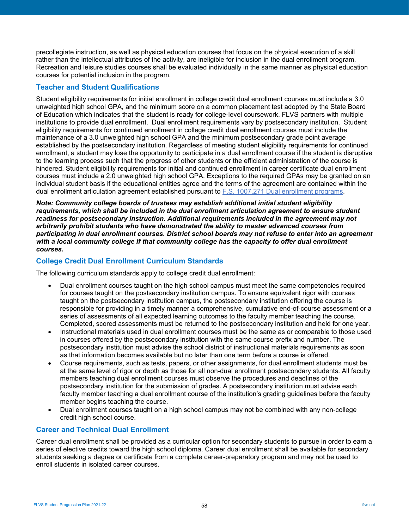precollegiate instruction, as well as physical education courses that focus on the physical execution of a skill rather than the intellectual attributes of the activity, are ineligible for inclusion in the dual enrollment program. Recreation and leisure studies courses shall be evaluated individually in the same manner as physical education courses for potential inclusion in the program.

### <span id="page-57-0"></span>**Teacher and Student Qualifications**

Student eligibility requirements for initial enrollment in college credit dual enrollment courses must include a 3.0 unweighted high school GPA, and the minimum score on a common placement test adopted by the State Board of Education which indicates that the student is ready for college-level coursework. FLVS partners with multiple institutions to provide dual enrollment. Dual enrollment requirements vary by postsecondary institution. Student eligibility requirements for continued enrollment in college credit dual enrollment courses must include the maintenance of a 3.0 unweighted high school GPA and the minimum postsecondary grade point average established by the postsecondary institution. Regardless of meeting student eligibility requirements for continued enrollment, a student may lose the opportunity to participate in a dual enrollment course if the student is disruptive to the learning process such that the progress of other students or the efficient administration of the course is hindered. Student eligibility requirements for initial and continued enrollment in career certificate dual enrollment courses must include a 2.0 unweighted high school GPA. Exceptions to the required GPAs may be granted on an individual student basis if the educational entities agree and the terms of the agreement are contained within the dual enrollment articulation agreement established pursuant to [F.S. 1007.271 Dual enrollment programs.](http://www.leg.state.fl.us/statutes/index.cfm?mode=View%20Statutes&SubMenu=1&App_mode=Display_Statute&Search_String=1007.271&URL=1000-1099/1007/Sections/1007.271.html)

*Note: Community college boards of trustees may establish additional initial student eligibility requirements, which shall be included in the dual enrollment articulation agreement to ensure student readiness for postsecondary instruction. Additional requirements included in the agreement may not arbitrarily prohibit students who have demonstrated the ability to master advanced courses from participating in dual enrollment courses. District school boards may not refuse to enter into an agreement with a local community college if that community college has the capacity to offer dual enrollment courses.*

## <span id="page-57-1"></span>**College Credit Dual Enrollment Curriculum Standards**

The following curriculum standards apply to college credit dual enrollment:

- Dual enrollment courses taught on the high school campus must meet the same competencies required for courses taught on the postsecondary institution campus. To ensure equivalent rigor with courses taught on the postsecondary institution campus, the postsecondary institution offering the course is responsible for providing in a timely manner a comprehensive, cumulative end-of-course assessment or a series of assessments of all expected learning outcomes to the faculty member teaching the course. Completed, scored assessments must be returned to the postsecondary institution and held for one year.
- Instructional materials used in dual enrollment courses must be the same as or comparable to those used in courses offered by the postsecondary institution with the same course prefix and number. The postsecondary institution must advise the school district of instructional materials requirements as soon as that information becomes available but no later than one term before a course is offered.
- Course requirements, such as tests, papers, or other assignments, for dual enrollment students must be at the same level of rigor or depth as those for all non-dual enrollment postsecondary students. All faculty members teaching dual enrollment courses must observe the procedures and deadlines of the postsecondary institution for the submission of grades. A postsecondary institution must advise each faculty member teaching a dual enrollment course of the institution's grading guidelines before the faculty member begins teaching the course.
- Dual enrollment courses taught on a high school campus may not be combined with any non-college credit high school course.

## <span id="page-57-2"></span>**Career and Technical Dual Enrollment**

Career dual enrollment shall be provided as a curricular option for secondary students to pursue in order to earn a series of elective credits toward the high school diploma. Career dual enrollment shall be available for secondary students seeking a degree or certificate from a complete career-preparatory program and may not be used to enroll students in isolated career courses.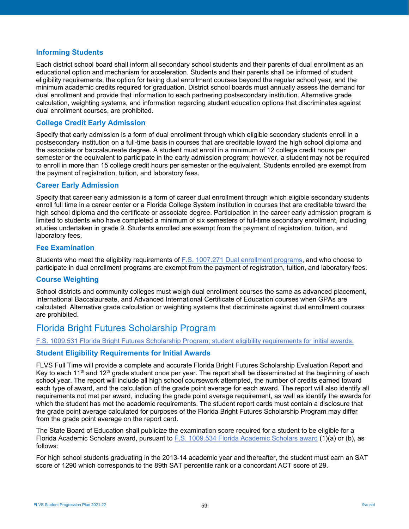### <span id="page-58-0"></span>**Informing Students**

Each district school board shall inform all secondary school students and their parents of dual enrollment as an educational option and mechanism for acceleration. Students and their parents shall be informed of student eligibility requirements, the option for taking dual enrollment courses beyond the regular school year, and the minimum academic credits required for graduation. District school boards must annually assess the demand for dual enrollment and provide that information to each partnering postsecondary institution. Alternative grade calculation, weighting systems, and information regarding student education options that discriminates against dual enrollment courses, are prohibited.

## <span id="page-58-1"></span>**College Credit Early Admission**

Specify that early admission is a form of dual enrollment through which eligible secondary students enroll in a postsecondary institution on a full-time basis in courses that are creditable toward the high school diploma and the associate or baccalaureate degree. A student must enroll in a minimum of 12 college credit hours per semester or the equivalent to participate in the early admission program; however, a student may not be required to enroll in more than 15 college credit hours per semester or the equivalent. Students enrolled are exempt from the payment of registration, tuition, and laboratory fees.

### <span id="page-58-2"></span>**Career Early Admission**

Specify that career early admission is a form of career dual enrollment through which eligible secondary students enroll full time in a career center or a Florida College System institution in courses that are creditable toward the high school diploma and the certificate or associate degree. Participation in the career early admission program is limited to students who have completed a minimum of six semesters of full-time secondary enrollment, including studies undertaken in grade 9. Students enrolled are exempt from the payment of registration, tuition, and laboratory fees.

## <span id="page-58-3"></span>**Fee Examination**

Students who meet the eligibility requirements of [F.S. 1007.271 Dual enrollment programs,](http://www.leg.state.fl.us/statutes/index.cfm?mode=View%20Statutes&SubMenu=1&App_mode=Display_Statute&Search_String=1007.271&URL=1000-1099/1007/Sections/1007.271.html) and who choose to participate in dual enrollment programs are exempt from the payment of registration, tuition, and laboratory fees.

### <span id="page-58-4"></span>**Course Weighting**

School districts and community colleges must weigh dual enrollment courses the same as advanced placement, International Baccalaureate, and Advanced International Certificate of Education courses when GPAs are calculated. Alternative grade calculation or weighting systems that discriminate against dual enrollment courses are prohibited.

## <span id="page-58-5"></span>Florida Bright Futures Scholarship Program

#### [F.S. 1009.531 Florida Bright Futures Scholarship Program; student eligibility requirements for initial awards.](http://www.leg.state.fl.us/statutes/index.cfm?mode=View%20Statutes&SubMenu=1&App_mode=Display_Statute&Search_String=1009.531&URL=1000-1099/1009/Sections/1009.531.html)

### <span id="page-58-6"></span>**Student Eligibility Requirements for Initial Awards**

FLVS Full Time will provide a complete and accurate Florida Bright Futures Scholarship Evaluation Report and Key to each 11<sup>th</sup> and 12<sup>th</sup> grade student once per year. The report shall be disseminated at the beginning of each school year. The report will include all high school coursework attempted, the number of credits earned toward each type of award, and the calculation of the grade point average for each award. The report will also identify all requirements not met per award, including the grade point average requirement, as well as identify the awards for which the student has met the academic requirements. The student report cards must contain a disclosure that the grade point average calculated for purposes of the Florida Bright Futures Scholarship Program may differ from the grade point average on the report card.

The State Board of Education shall publicize the examination score required for a student to be eligible for a Florida Academic Scholars award, pursuant to [F.S. 1009.534 Florida Academic Scholars award](http://www.leg.state.fl.us/statutes/index.cfm?mode=View%20Statutes&SubMenu=1&App_mode=Display_Statute&Search_String=1009.534&URL=1000-1099/1009/Sections/1009.534.html) (1)(a) or (b), as follows:

For high school students graduating in the 2013-14 academic year and thereafter, the student must earn an SAT score of 1290 which corresponds to the 89th SAT percentile rank or a concordant ACT score of 29.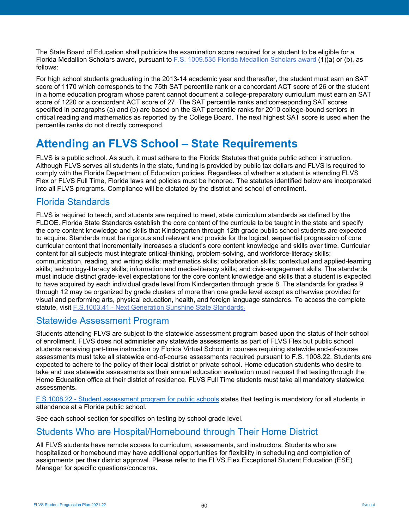The State Board of Education shall publicize the examination score required for a student to be eligible for a Florida Medallion Scholars award, pursuant to [F.S. 1009.535 Florida Medallion Scholars award](http://www.leg.state.fl.us/statutes/index.cfm?mode=View%20Statutes&SubMenu=1&App_mode=Display_Statute&Search_String=1009.535&URL=1000-1099/1009/Sections/1009.535.html) (1)(a) or (b), as follows:

For high school students graduating in the 2013-14 academic year and thereafter, the student must earn an SAT score of 1170 which corresponds to the 75th SAT percentile rank or a concordant ACT score of 26 or the student in a home education program whose parent cannot document a college-preparatory curriculum must earn an SAT score of 1220 or a concordant ACT score of 27. The SAT percentile ranks and corresponding SAT scores specified in paragraphs (a) and (b) are based on the SAT percentile ranks for 2010 college-bound seniors in critical reading and mathematics as reported by the College Board. The next highest SAT score is used when the percentile ranks do not directly correspond.

# <span id="page-59-0"></span>**Attending an FLVS School – State Requirements**

FLVS is a public school. As such, it must adhere to the Florida Statutes that guide public school instruction. Although FLVS serves all students in the state, funding is provided by public tax dollars and FLVS is required to comply with the Florida Department of Education policies. Regardless of whether a student is attending FLVS Flex or FLVS Full Time, Florida laws and policies must be honored. The statutes identified below are incorporated into all FLVS programs. Compliance will be dictated by the district and school of enrollment.

## <span id="page-59-1"></span>Florida Standards

FLVS is required to teach, and students are required to meet, state curriculum standards as defined by the FLDOE. Florida State Standards establish the core content of the curricula to be taught in the state and specify the core content knowledge and skills that Kindergarten through 12th grade public school students are expected to acquire. Standards must be rigorous and relevant and provide for the logical, sequential progression of core curricular content that incrementally increases a student's core content knowledge and skills over time. Curricular content for all subjects must integrate critical-thinking, problem-solving, and workforce-literacy skills; communication, reading, and writing skills; mathematics skills; collaboration skills; contextual and applied-learning skills; technology-literacy skills; information and media-literacy skills; and civic-engagement skills. The standards must include distinct grade-level expectations for the core content knowledge and skills that a student is expected to have acquired by each individual grade level from Kindergarten through grade 8. The standards for grades 9 through 12 may be organized by grade clusters of more than one grade level except as otherwise provided for visual and performing arts, physical education, health, and foreign language standards. To access the complete statute, visit F.S.1003.41 - [Next Generation Sunshine State Standards.](http://www.leg.state.fl.us/statutes/index.cfm?mode=View%20Statutes&SubMenu=1&App_mode=Display_Statute&Search_String=1003.41&URL=1000-1099/1003/Sections/1003.41.html)

## <span id="page-59-2"></span>Statewide Assessment Program

Students attending FLVS are subject to the statewide assessment program based upon the status of their school of enrollment. FLVS does not administer any statewide assessments as part of FLVS Flex but public school students receiving part-time instruction by Florida Virtual School in courses requiring statewide end-of-course assessments must take all statewide end-of-course assessments required pursuant to F.S. 1008.22. Students are expected to adhere to the policy of their local district or private school. Home education students who desire to take and use statewide assessments as their annual education evaluation must request that testing through the Home Education office at their district of residence. FLVS Full Time students must take all mandatory statewide assessments.

F.S.1008.22 - [Student assessment program for public schools](http://www.leg.state.fl.us/Statutes/?App_mode=Display_Statute&URL=1000-1099/1008/Sections/1008.22.html) states that testing is mandatory for all students in attendance at a Florida public school.

See each school section for specifics on testing by school grade level.

## <span id="page-59-3"></span>Students Who are Hospital/Homebound through Their Home District

All FLVS students have remote access to curriculum, assessments, and instructors. Students who are hospitalized or homebound may have additional opportunities for flexibility in scheduling and completion of assignments per their district approval. Please refer to the FLVS Flex Exceptional Student Education (ESE) Manager for specific questions/concerns.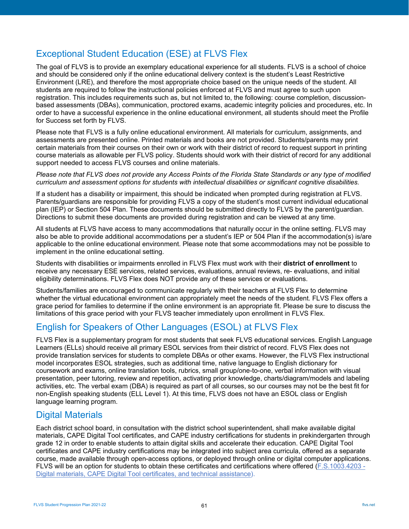# <span id="page-60-0"></span>Exceptional Student Education (ESE) at FLVS Flex

The goal of FLVS is to provide an exemplary educational experience for all students. FLVS is a school of choice and should be considered only if the online educational delivery context is the student's Least Restrictive Environment (LRE), and therefore the most appropriate choice based on the unique needs of the student. All students are required to follow the instructional policies enforced at FLVS and must agree to such upon registration. This includes requirements such as, but not limited to, the following: course completion, discussionbased assessments (DBAs), communication, proctored exams, academic integrity policies and procedures, etc. In order to have a successful experience in the online educational environment, all students should meet the Profile for Success set forth by FLVS.

Please note that FLVS is a fully online educational environment. All materials for curriculum, assignments, and assessments are presented online. Printed materials and books are not provided. Students/parents may print certain materials from their courses on their own or work with their district of record to request support in printing course materials as allowable per FLVS policy. Students should work with their district of record for any additional support needed to access FLVS courses and online materials.

*Please note that FLVS does not provide any Access Points of the Florida State Standards or any type of modified curriculum and assessment options for students with intellectual disabilities or significant cognitive disabilities.*

If a student has a disability or impairment, this should be indicated when prompted during registration at FLVS. Parents/guardians are responsible for providing FLVS a copy of the student's most current individual educational plan (IEP) or Section 504 Plan. These documents should be submitted directly to FLVS by the parent/guardian. Directions to submit these documents are provided during registration and can be viewed at any time.

All students at FLVS have access to many accommodations that naturally occur in the online setting. FLVS may also be able to provide additional accommodations per a student's IEP or 504 Plan if the accommodation(s) is/are applicable to the online educational environment. Please note that some accommodations may not be possible to implement in the online educational setting.

Students with disabilities or impairments enrolled in FLVS Flex must work with their **district of enrollment** to receive any necessary ESE services, related services, evaluations, annual reviews, re- evaluations, and initial eligibility determinations. FLVS Flex does NOT provide any of these services or evaluations.

Students/families are encouraged to communicate regularly with their teachers at FLVS Flex to determine whether the virtual educational environment can appropriately meet the needs of the student. FLVS Flex offers a grace period for families to determine if the online environment is an appropriate fit. Please be sure to discuss the limitations of this grace period with your FLVS teacher immediately upon enrollment in FLVS Flex.

# <span id="page-60-1"></span>English for Speakers of Other Languages (ESOL) at FLVS Flex

FLVS Flex is a supplementary program for most students that seek FLVS educational services. English Language Learners (ELLs) should receive all primary ESOL services from their district of record. FLVS Flex does not provide translation services for students to complete DBAs or other exams. However, the FLVS Flex instructional model incorporates ESOL strategies, such as additional time, native language to English dictionary for coursework and exams, online translation tools, rubrics, small group/one-to-one, verbal information with visual presentation, peer tutoring, review and repetition, activating prior knowledge, charts/diagram/models and labeling activities, etc. The verbal exam (DBA) is required as part of all courses, so our courses may not be the best fit for non-English speaking students (ELL Level 1). At this time, FLVS does not have an ESOL class or English language learning program.

## <span id="page-60-2"></span>Digital Materials

Each district school board, in consultation with the district school superintendent, shall make available digital materials, CAPE Digital Tool certificates, and CAPE industry certifications for students in prekindergarten through grade 12 in order to enable students to attain digital skills and accelerate their education. CAPE Digital Tool certificates and CAPE industry certifications may be integrated into subject area curricula, offered as a separate course, made available through open-access options, or deployed through online or digital computer applications. FLVS will be an option for students to obtain these certificates and certifications where offered [\(F.S.1003.4203 -](http://www.leg.state.fl.us/statutes/index.cfm?mode=View%20Statutes&SubMenu=1&App_mode=Display_Statute&Search_String=1003.4203&URL=1000-1099/1003/Sections/1003.4203.html) [Digital materials, CAPE Digital Tool certificates, and technical assistance\)](http://www.leg.state.fl.us/statutes/index.cfm?mode=View%20Statutes&SubMenu=1&App_mode=Display_Statute&Search_String=1003.4203&URL=1000-1099/1003/Sections/1003.4203.html).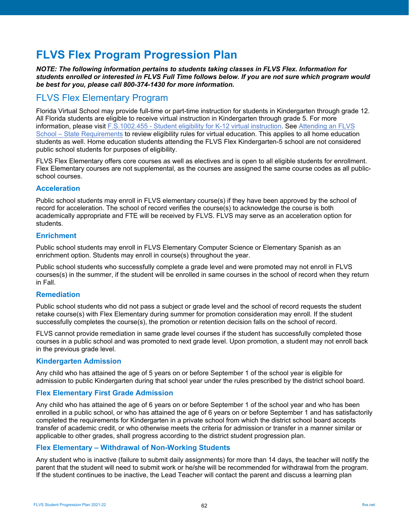# <span id="page-61-0"></span>**FLVS Flex Program Progression Plan**

*NOTE: The following information pertains to students taking classes in FLVS Flex. Information for students enrolled or interested in FLVS Full Time follows below. If you are not sure which program would be best for you, please call 800-374-1430 for more information.*

# <span id="page-61-1"></span>FLVS Flex Elementary Program

Florida Virtual School may provide full-time or part-time instruction for students in Kindergarten through grade 12. All Florida students are eligible to receive virtual instruction in Kindergarten through grade 5. For more information, please visit F.S.1002.455 - [Student eligibility for K-12 virtual instruction.](http://www.leg.state.fl.us/statutes/index.cfm?mode=View%20Statutes&SubMenu=1&App_mode=Display_Statute&Search_String=1002.455&URL=1000-1099/1002/Sections/1002.455.html) See [Attending an FLVS](https://www.flvs.net/elementary)  School – [State Requirements](https://www.flvs.net/elementary) to review eligibility rules for virtual education. This applies to all home education students as well. Home education students attending the FLVS Flex Kindergarten-5 school are not considered public school students for purposes of eligibility.

FLVS Flex Elementary offers core courses as well as electives and is open to all eligible students for enrollment. Flex Elementary courses are not supplemental, as the courses are assigned the same course codes as all publicschool courses.

### <span id="page-61-2"></span>**Acceleration**

Public school students may enroll in FLVS elementary course(s) if they have been approved by the school of record for acceleration. The school of record verifies the course(s) to acknowledge the course is both academically appropriate and FTE will be received by FLVS. FLVS may serve as an acceleration option for students.

### <span id="page-61-3"></span>**Enrichment**

Public school students may enroll in FLVS Elementary Computer Science or Elementary Spanish as an enrichment option. Students may enroll in course(s) throughout the year.

Public school students who successfully complete a grade level and were promoted may not enroll in FLVS courses(s) in the summer, if the student will be enrolled in same courses in the school of record when they return in Fall.

## <span id="page-61-4"></span>**Remediation**

Public school students who did not pass a subject or grade level and the school of record requests the student retake course(s) with Flex Elementary during summer for promotion consideration may enroll. If the student successfully completes the course(s), the promotion or retention decision falls on the school of record.

FLVS cannot provide remediation in same grade level courses if the student has successfully completed those courses in a public school and was promoted to next grade level. Upon promotion, a student may not enroll back in the previous grade level.

### <span id="page-61-5"></span>**Kindergarten Admission**

Any child who has attained the age of 5 years on or before September 1 of the school year is eligible for admission to public Kindergarten during that school year under the rules prescribed by the district school board.

## <span id="page-61-6"></span>**Flex Elementary First Grade Admission**

Any child who has attained the age of 6 years on or before September 1 of the school year and who has been enrolled in a public school, or who has attained the age of 6 years on or before September 1 and has satisfactorily completed the requirements for Kindergarten in a private school from which the district school board accepts transfer of academic credit, or who otherwise meets the criteria for admission or transfer in a manner similar or applicable to other grades, shall progress according to the district student progression plan.

## <span id="page-61-7"></span>**Flex Elementary – Withdrawal of Non-Working Students**

Any student who is inactive (failure to submit daily assignments) for more than 14 days, the teacher will notify the parent that the student will need to submit work or he/she will be recommended for withdrawal from the program. If the student continues to be inactive, the Lead Teacher will contact the parent and discuss a learning plan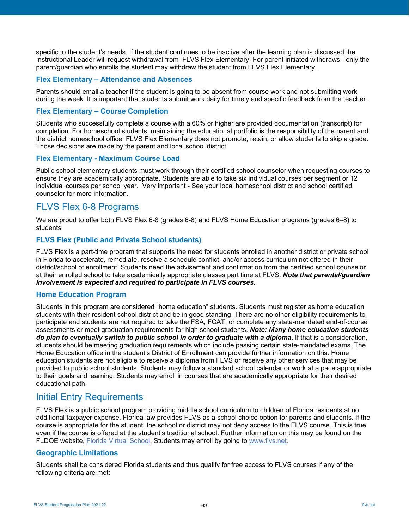specific to the student's needs. If the student continues to be inactive after the learning plan is discussed the Instructional Leader will request withdrawal from FLVS Flex Elementary. For parent initiated withdraws - only the parent/guardian who enrolls the student may withdraw the student from FLVS Flex Elementary.

### <span id="page-62-0"></span>**Flex Elementary – Attendance and Absences**

Parents should email a teacher if the student is going to be absent from course work and not submitting work during the week. It is important that students submit work daily for timely and specific feedback from the teacher.

#### <span id="page-62-1"></span>**Flex Elementary – Course Completion**

Students who successfully complete a course with a 60% or higher are provided documentation (transcript) for completion. For homeschool students, maintaining the educational portfolio is the responsibility of the parent and the district homeschool office. FLVS Flex Elementary does not promote, retain, or allow students to skip a grade. Those decisions are made by the parent and local school district.

### <span id="page-62-2"></span>**Flex Elementary - Maximum Course Load**

Public school elementary students must work through their certified school counselor when requesting courses to ensure they are academically appropriate. Students are able to take six individual courses per segment or 12 individual courses per school year. Very important - See your local homeschool district and school certified counselor for more information.

## <span id="page-62-3"></span>FLVS Flex 6-8 Programs

We are proud to offer both FLVS Flex 6-8 (grades 6-8) and FLVS Home Education programs (grades 6–8) to students

### <span id="page-62-4"></span>**FLVS Flex (Public and Private School students)**

FLVS Flex is a part-time program that supports the need for students enrolled in another district or private school in Florida to accelerate, remediate, resolve a schedule conflict, and/or access curriculum not offered in their district/school of enrollment. Students need the advisement and confirmation from the certified school counselor at their enrolled school to take academically appropriate classes part time at FLVS. *Note that parental/guardian involvement is expected and required to participate in FLVS courses*.

### <span id="page-62-5"></span>**Home Education Program**

Students in this program are considered "home education" students. Students must register as home education students with their resident school district and be in good standing. There are no other eligibility requirements to participate and students are not required to take the FSA, FCAT, or complete any state-mandated end-of-course assessments or meet graduation requirements for high school students. *Note: Many home education students do plan to eventually switch to public school in order to graduate with a diploma*. If that is a consideration, students should be meeting graduation requirements which include passing certain state-mandated exams. The Home Education office in the student's District of Enrollment can provide further information on this. Home education students are not eligible to receive a diploma from FLVS or receive any other services that may be provided to public school students. Students may follow a standard school calendar or work at a pace appropriate to their goals and learning. Students may enroll in courses that are academically appropriate for their desired educational path.

## <span id="page-62-6"></span>Initial Entry Requirements

FLVS Flex is a public school program providing middle school curriculum to children of Florida residents at no additional taxpayer expense. Florida law provides FLVS as a school choice option for parents and students. If the course is appropriate for the student, the school or district may not deny access to the FLVS course. This is true even if the course is offered at the student's traditional school. Further information on this may be found on the FLDOE website, [Florida Virtual School.](http://fldoe.org/schools/school-choice/virtual-edu/florida-virtual-school/) Students may enroll by going to [www.flvs.net.](http://www.flvs.net/)

### <span id="page-62-7"></span>**Geographic Limitations**

Students shall be considered Florida students and thus qualify for free access to FLVS courses if any of the following criteria are met: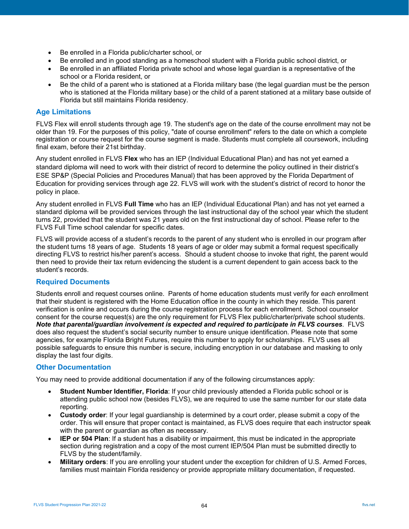- Be enrolled in a Florida public/charter school, or
- Be enrolled and in good standing as a homeschool student with a Florida public school district, or
- Be enrolled in an affiliated Florida private school and whose legal guardian is a representative of the school or a Florida resident, or
- Be the child of a parent who is stationed at a Florida military base (the legal guardian must be the person who is stationed at the Florida military base) or the child of a parent stationed at a military base outside of Florida but still maintains Florida residency.

### <span id="page-63-0"></span>**Age Limitations**

FLVS Flex will enroll students through age 19. The student's age on the date of the course enrollment may not be older than 19. For the purposes of this policy, "date of course enrollment" refers to the date on which a complete registration or course request for the course segment is made. Students must complete all coursework, including final exam, before their 21st birthday.

Any student enrolled in FLVS **Flex** who has an IEP (Individual Educational Plan) and has not yet earned a standard diploma will need to work with their district of record to determine the policy outlined in their district's ESE SP&P (Special Policies and Procedures Manual) that has been approved by the Florida Department of Education for providing services through age 22. FLVS will work with the student's district of record to honor the policy in place.

Any student enrolled in FLVS **Full Time** who has an IEP (Individual Educational Plan) and has not yet earned a standard diploma will be provided services through the last instructional day of the school year which the student turns 22, provided that the student was 21 years old on the first instructional day of school. Please refer to the FLVS Full Time school calendar for specific dates.

FLVS will provide access of a student's records to the parent of any student who is enrolled in our program after the student turns 18 years of age. Students 18 years of age or older may submit a formal request specifically directing FLVS to restrict his/her parent's access. Should a student choose to invoke that right, the parent would then need to provide their tax return evidencing the student is a current dependent to gain access back to the student's records.

### <span id="page-63-1"></span>**Required Documents**

Students enroll and request courses online. Parents of home education students must verify for *each* enrollment that their student is registered with the Home Education office in the county in which they reside. This parent verification is online and occurs during the course registration process for each enrollment. School counselor consent for the course request(s) are the only requirement for FLVS Flex public/charter/private school students. *Note that parental/guardian involvement is expected and required to participate in FLVS courses*. FLVS does also request the student's social security number to ensure unique identification. Please note that some agencies, for example Florida Bright Futures, require this number to apply for scholarships. FLVS uses all possible safeguards to ensure this number is secure, including encryption in our database and masking to only display the last four digits.

## <span id="page-63-2"></span>**Other Documentation**

You may need to provide additional documentation if any of the following circumstances apply:

- **Student Number Identifier, Florida**: If your child previously attended a Florida public school or is attending public school now (besides FLVS), we are required to use the same number for our state data reporting.
- **Custody order**: If your legal guardianship is determined by a court order, please submit a copy of the order. This will ensure that proper contact is maintained, as FLVS does require that each instructor speak with the parent or guardian as often as necessary.
- **IEP or 504 Plan**: If a student has a disability or impairment, this must be indicated in the appropriate section during registration and a copy of the most current IEP/504 Plan must be submitted directly to FLVS by the student/family.
- **Military orders**: If you are enrolling your student under the exception for children of U.S. Armed Forces, families must maintain Florida residency or provide appropriate military documentation, if requested.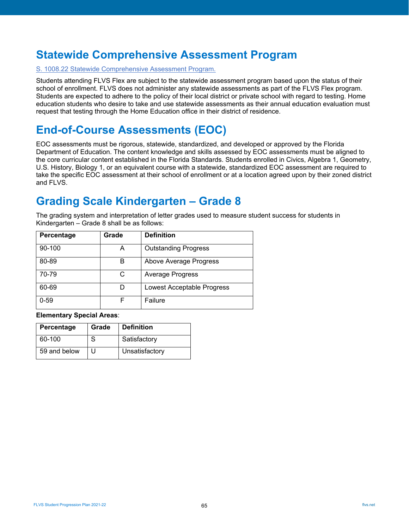# <span id="page-64-0"></span>**Statewide Comprehensive Assessment Program**

#### [S. 1008.22 Statewide Comprehensive Assessment Program.](http://www.leg.state.fl.us/Statutes/?App_mode=Display_Statute&URL=1000-1099/1008/Sections/1008.22.html)

Students attending FLVS Flex are subject to the statewide assessment program based upon the status of their school of enrollment. FLVS does not administer any statewide assessments as part of the FLVS Flex program. Students are expected to adhere to the policy of their local district or private school with regard to testing. Home education students who desire to take and use statewide assessments as their annual education evaluation must request that testing through the Home Education office in their district of residence.

# <span id="page-64-1"></span>**End-of-Course Assessments (EOC)**

EOC assessments must be rigorous, statewide, standardized, and developed or approved by the Florida Department of Education. The content knowledge and skills assessed by EOC assessments must be aligned to the core curricular content established in the Florida Standards. Students enrolled in Civics, Algebra 1, Geometry, U.S. History, Biology 1, or an equivalent course with a statewide, standardized EOC assessment are required to take the specific EOC assessment at their school of enrollment or at a location agreed upon by their zoned district and FLVS.

# <span id="page-64-2"></span>**Grading Scale Kindergarten – Grade 8**

The grading system and interpretation of letter grades used to measure student success for students in Kindergarten – Grade 8 shall be as follows:

| Percentage | Grade | <b>Definition</b>                 |
|------------|-------|-----------------------------------|
| 90-100     | А     | <b>Outstanding Progress</b>       |
| 80-89      | в     | Above Average Progress            |
| 70-79      | C     | <b>Average Progress</b>           |
| 60-69      |       | <b>Lowest Acceptable Progress</b> |
| $0 - 59$   |       | Failure                           |

**Elementary Special Areas**:

| Percentage   | Grade | <b>Definition</b> |
|--------------|-------|-------------------|
| 60-100       | S     | Satisfactory      |
| 59 and below | Ħ     | Unsatisfactory    |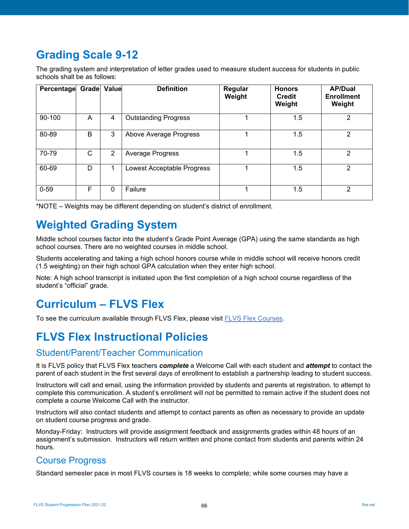# <span id="page-65-0"></span>**Grading Scale 9-12**

The grading system and interpretation of letter grades used to measure student success for students in public schools shall be as follows:

| Percentage | <b>Grade</b> Value |   | <b>Definition</b>           | Regular<br>Weight | <b>Honors</b><br><b>Credit</b><br>Weight | <b>AP/Dual</b><br><b>Enrollment</b><br>Weight |
|------------|--------------------|---|-----------------------------|-------------------|------------------------------------------|-----------------------------------------------|
| 90-100     | A                  | 4 | <b>Outstanding Progress</b> |                   | 1.5                                      | 2                                             |
| 80-89      | B                  | 3 | Above Average Progress      |                   | 1.5                                      | 2                                             |
| 70-79      | C                  | 2 | Average Progress            |                   | 1.5                                      | $\mathcal{P}$                                 |
| 60-69      | D                  | 1 | Lowest Acceptable Progress  |                   | 1.5                                      | 2                                             |
| $0 - 59$   | F                  | 0 | Failure                     |                   | 1.5                                      | 2                                             |

\*NOTE – Weights may be different depending on student's district of enrollment.

# <span id="page-65-1"></span>**Weighted Grading System**

Middle school courses factor into the student's Grade Point Average (GPA) using the same standards as high school courses. There are no weighted courses in middle school.

Students accelerating and taking a high school honors course while in middle school will receive honors credit (1.5 weighting) on their high school GPA calculation when they enter high school.

Note: A high school transcript is initiated upon the first completion of a high school course regardless of the student's "official" grade.

# <span id="page-65-2"></span>**Curriculum – FLVS Flex**

To see the curriculum available through FLVS Flex, please visit [FLVS Flex Courses.](https://www.flvs.net/flex/courses#middleschool)

# <span id="page-65-3"></span>**FLVS Flex Instructional Policies**

## <span id="page-65-4"></span>Student/Parent/Teacher Communication

It is FLVS policy that FLVS Flex teachers *complete* a Welcome Call with each student and *attempt* to contact the parent of each student in the first several days of enrollment to establish a partnership leading to student success.

Instructors will call and email, using the information provided by students and parents at registration, to attempt to complete this communication. A student's enrollment will not be permitted to remain active if the student does not complete a course Welcome Call with the instructor.

Instructors will also contact students and attempt to contact parents as often as necessary to provide an update on student course progress and grade.

Monday-Friday: Instructors will provide assignment feedback and assignments grades within 48 hours of an assignment's submission. Instructors will return written and phone contact from students and parents within 24 hours.

# <span id="page-65-5"></span>Course Progress

Standard semester pace in most FLVS courses is 18 weeks to complete; while some courses may have a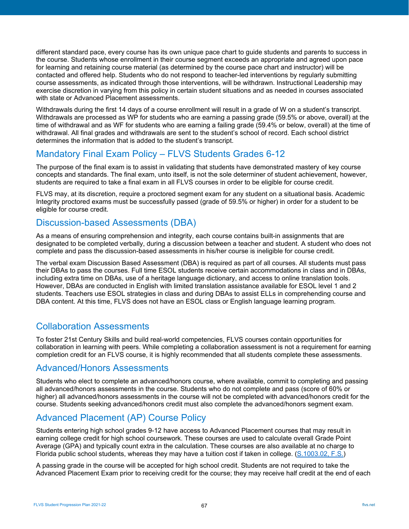different standard pace, every course has its own unique pace chart to guide students and parents to success in the course. Students whose enrollment in their course segment exceeds an appropriate and agreed upon pace for learning and retaining course material (as determined by the course pace chart and instructor) will be contacted and offered help. Students who do not respond to teacher-led interventions by regularly submitting course assessments, as indicated through those interventions, will be withdrawn. Instructional Leadership may exercise discretion in varying from this policy in certain student situations and as needed in courses associated with state or Advanced Placement assessments.

Withdrawals during the first 14 days of a course enrollment will result in a grade of W on a student's transcript. Withdrawals are processed as WP for students who are earning a passing grade (59.5% or above, overall) at the time of withdrawal and as WF for students who are earning a failing grade (59.4% or below, overall) at the time of withdrawal. All final grades and withdrawals are sent to the student's school of record. Each school district determines the information that is added to the student's transcript.

# <span id="page-66-0"></span>Mandatory Final Exam Policy – FLVS Students Grades 6-12

The purpose of the final exam is to assist in validating that students have demonstrated mastery of key course concepts and standards. The final exam, unto itself, is not the sole determiner of student achievement, however, students are required to take a final exam in all FLVS courses in order to be eligible for course credit.

FLVS may, at its discretion, require a proctored segment exam for any student on a situational basis. Academic Integrity proctored exams must be successfully passed (grade of 59.5% or higher) in order for a student to be eligible for course credit.

## <span id="page-66-1"></span>Discussion-based Assessments (DBA)

As a means of ensuring comprehension and integrity, each course contains built-in assignments that are designated to be completed verbally, during a discussion between a teacher and student. A student who does not complete and pass the discussion-based assessments in his/her course is ineligible for course credit.

The verbal exam Discussion Based Assessment (DBA) is required as part of all courses. All students must pass their DBAs to pass the courses. Full time ESOL students receive certain accommodations in class and in DBAs, including extra time on DBAs, use of a heritage language dictionary, and access to online translation tools. However, DBAs are conducted in English with limited translation assistance available for ESOL level 1 and 2 students. Teachers use ESOL strategies in class and during DBAs to assist ELLs in comprehending course and DBA content. At this time, FLVS does not have an ESOL class or English language learning program.

## <span id="page-66-2"></span>Collaboration Assessments

To foster 21st Century Skills and build real-world competencies, FLVS courses contain opportunities for collaboration in learning with peers. While completing a collaboration assessment is not a requirement for earning completion credit for an FLVS course, it is highly recommended that all students complete these assessments.

## <span id="page-66-3"></span>Advanced/Honors Assessments

Students who elect to complete an advanced/honors course, where available, commit to completing and passing all advanced/honors assessments in the course. Students who do not complete and pass (score of 60% or higher) all advanced/honors assessments in the course will not be completed with advanced/honors credit for the course. Students seeking advanced/honors credit must also complete the advanced/honors segment exam.

# <span id="page-66-4"></span>Advanced Placement (AP) Course Policy

Students entering high school grades 9-12 have access to Advanced Placement courses that may result in earning college credit for high school coursework. These courses are used to calculate overall Grade Point Average (GPA) and typically count extra in the calculation. These courses are also available at no charge to Florida public school students, whereas they may have a tuition cost if taken in college. [\(S.1003.02, F.S.\)](http://www.leg.state.fl.us/statutes/index.cfm?mode=View%20Statutes&SubMenu=1&App_mode=Display_Statute&Search_String=1003.02&URL=1000-1099/1003/Sections/1003.02.html)

A passing grade in the course will be accepted for high school credit. Students are not required to take the Advanced Placement Exam prior to receiving credit for the course; they may receive half credit at the end of each